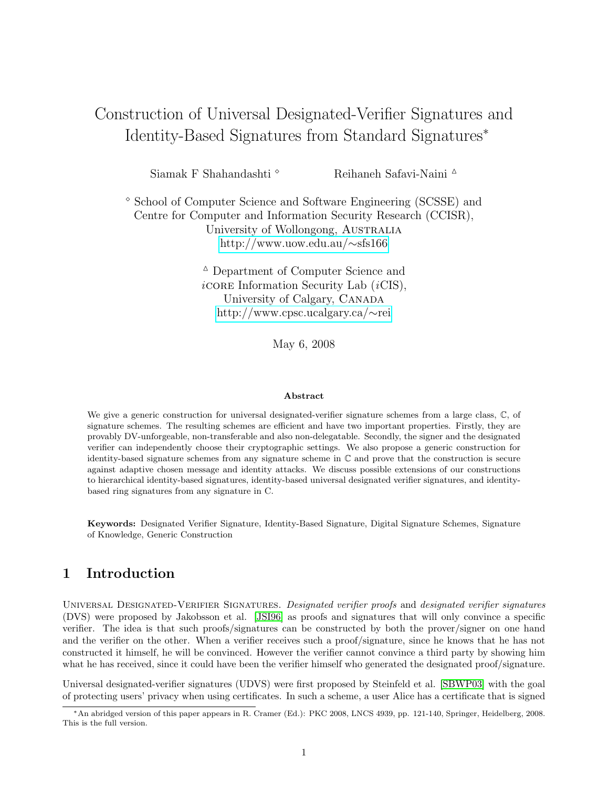# <span id="page-0-0"></span>Construction of Universal Designated-Verifier Signatures and Identity-Based Signatures from Standard Signatures<sup>∗</sup>

Siamak F Shahandashti  $\degree$  Reihaneh Safavi-Naini  $\degree$ 

 School of Computer Science and Software Engineering (SCSSE) and Centre for Computer and Information Security Research (CCISR), University of Wollongong, AUSTRALIA [http://www.uow.edu.au/](http://www.uow.edu.au/~sfs166)∼sfs166

> $\triangle$  Department of Computer Science and  $i$ CORE Information Security Lab  $(i$ CIS), University of Calgary, CANADA [http://www.cpsc.ucalgary.ca/](http://www.cpsc.ucalgary.ca/~rei)∼rei

> > May 6, 2008

#### Abstract

We give a generic construction for universal designated-verifier signature schemes from a large class, C, of signature schemes. The resulting schemes are efficient and have two important properties. Firstly, they are provably DV-unforgeable, non-transferable and also non-delegatable. Secondly, the signer and the designated verifier can independently choose their cryptographic settings. We also propose a generic construction for identity-based signature schemes from any signature scheme in C and prove that the construction is secure against adaptive chosen message and identity attacks. We discuss possible extensions of our constructions to hierarchical identity-based signatures, identity-based universal designated verifier signatures, and identitybased ring signatures from any signature in C.

Keywords: Designated Verifier Signature, Identity-Based Signature, Digital Signature Schemes, Signature of Knowledge, Generic Construction

# 1 Introduction

UNIVERSAL DESIGNATED-VERIFIER SIGNATURES. Designated verifier proofs and designated verifier signatures (DVS) were proposed by Jakobsson et al. [\[JSI96\]](#page-17-0) as proofs and signatures that will only convince a specific verifier. The idea is that such proofs/signatures can be constructed by both the prover/signer on one hand and the verifier on the other. When a verifier receives such a proof/signature, since he knows that he has not constructed it himself, he will be convinced. However the verifier cannot convince a third party by showing him what he has received, since it could have been the verifier himself who generated the designated proof/signature.

Universal designated-verifier signatures (UDVS) were first proposed by Steinfeld et al. [\[SBWP03\]](#page-18-0) with the goal of protecting users' privacy when using certificates. In such a scheme, a user Alice has a certificate that is signed

<sup>∗</sup>An abridged version of this paper appears in R. Cramer (Ed.): PKC 2008, LNCS 4939, pp. 121-140, Springer, Heidelberg, 2008. This is the full version.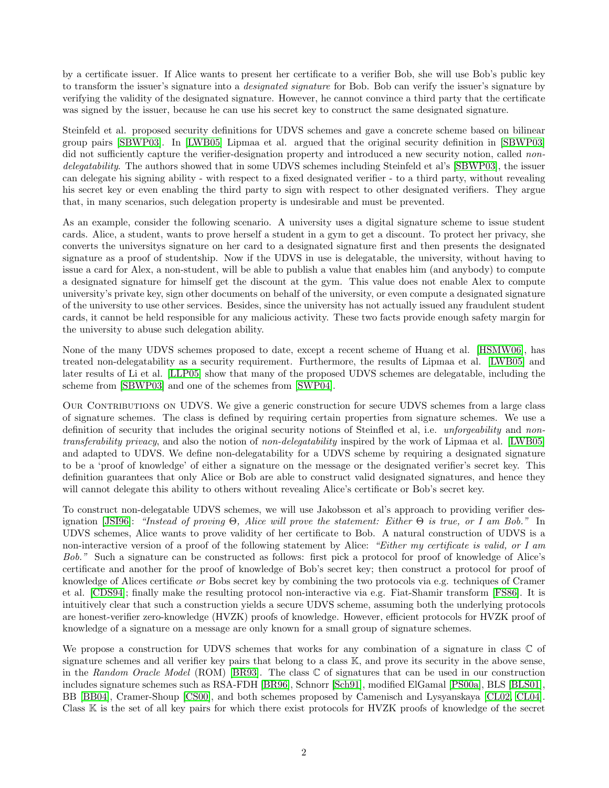<span id="page-1-0"></span>by a certificate issuer. If Alice wants to present her certificate to a verifier Bob, she will use Bob's public key to transform the issuer's signature into a *designated signature* for Bob. Bob can verify the issuer's signature by verifying the validity of the designated signature. However, he cannot convince a third party that the certificate was signed by the issuer, because he can use his secret key to construct the same designated signature.

Steinfeld et al. proposed security definitions for UDVS schemes and gave a concrete scheme based on bilinear group pairs [\[SBWP03\]](#page-18-0). In [\[LWB05\]](#page-17-1) Lipmaa et al. argued that the original security definition in [\[SBWP03\]](#page-18-0) did not sufficiently capture the verifier-designation property and introduced a new security notion, called non-delegatability. The authors showed that in some UDVS schemes including Steinfeld et al's [\[SBWP03\]](#page-18-0), the issuer can delegate his signing ability - with respect to a fixed designated verifier - to a third party, without revealing his secret key or even enabling the third party to sign with respect to other designated verifiers. They argue that, in many scenarios, such delegation property is undesirable and must be prevented.

As an example, consider the following scenario. A university uses a digital signature scheme to issue student cards. Alice, a student, wants to prove herself a student in a gym to get a discount. To protect her privacy, she converts the universitys signature on her card to a designated signature first and then presents the designated signature as a proof of studentship. Now if the UDVS in use is delegatable, the university, without having to issue a card for Alex, a non-student, will be able to publish a value that enables him (and anybody) to compute a designated signature for himself get the discount at the gym. This value does not enable Alex to compute university's private key, sign other documents on behalf of the university, or even compute a designated signature of the university to use other services. Besides, since the university has not actually issued any fraudulent student cards, it cannot be held responsible for any malicious activity. These two facts provide enough safety margin for the university to abuse such delegation ability.

None of the many UDVS schemes proposed to date, except a recent scheme of Huang et al. [\[HSMW06\]](#page-17-2), has treated non-delegatability as a security requirement. Furthermore, the results of Lipmaa et al. [\[LWB05\]](#page-17-1) and later results of Li et al. [\[LLP05\]](#page-17-3) show that many of the proposed UDVS schemes are delegatable, including the scheme from [\[SBWP03\]](#page-18-0) and one of the schemes from [\[SWP04\]](#page-18-1).

OUR CONTRIBUTIONS ON UDVS. We give a generic construction for secure UDVS schemes from a large class of signature schemes. The class is defined by requiring certain properties from signature schemes. We use a definition of security that includes the original security notions of Steinfled et al, i.e. *unforgeability* and nontransferability privacy, and also the notion of non-delegatability inspired by the work of Lipmaa et al. [\[LWB05\]](#page-17-1) and adapted to UDVS. We define non-delegatability for a UDVS scheme by requiring a designated signature to be a 'proof of knowledge' of either a signature on the message or the designated verifier's secret key. This definition guarantees that only Alice or Bob are able to construct valid designated signatures, and hence they will cannot delegate this ability to others without revealing Alice's certificate or Bob's secret key.

To construct non-delegatable UDVS schemes, we will use Jakobsson et al's approach to providing verifier des-ignation [\[JSI96\]](#page-17-0): "Instead of proving  $\Theta$ , Alice will prove the statement: Either  $\Theta$  is true, or I am Bob." In UDVS schemes, Alice wants to prove validity of her certificate to Bob. A natural construction of UDVS is a non-interactive version of a proof of the following statement by Alice: "Either my certificate is valid, or I am Bob." Such a signature can be constructed as follows: first pick a protocol for proof of knowledge of Alice's certificate and another for the proof of knowledge of Bob's secret key; then construct a protocol for proof of knowledge of Alices certificate or Bobs secret key by combining the two protocols via e.g. techniques of Cramer et al. [\[CDS94\]](#page-15-0); finally make the resulting protocol non-interactive via e.g. Fiat-Shamir transform [\[FS86\]](#page-16-0). It is intuitively clear that such a construction yields a secure UDVS scheme, assuming both the underlying protocols are honest-verifier zero-knowledge (HVZK) proofs of knowledge. However, efficient protocols for HVZK proof of knowledge of a signature on a message are only known for a small group of signature schemes.

We propose a construction for UDVS schemes that works for any combination of a signature in class  $\mathbb C$  of signature schemes and all verifier key pairs that belong to a class K, and prove its security in the above sense, in the Random Oracle Model (ROM) [\[BR93\]](#page-15-1). The class C of signatures that can be used in our construction includes signature schemes such as RSA-FDH [\[BR96\]](#page-15-2), Schnorr [\[Sch91\]](#page-18-2), modified ElGamal [\[PS00a\]](#page-18-3), BLS [\[BLS01\]](#page-15-3), BB [\[BB04\]](#page-14-0), Cramer-Shoup [\[CS00\]](#page-16-1), and both schemes proposed by Camenisch and Lysyanskaya [\[CL02,](#page-15-4) [CL04\]](#page-15-5). Class K is the set of all key pairs for which there exist protocols for HVZK proofs of knowledge of the secret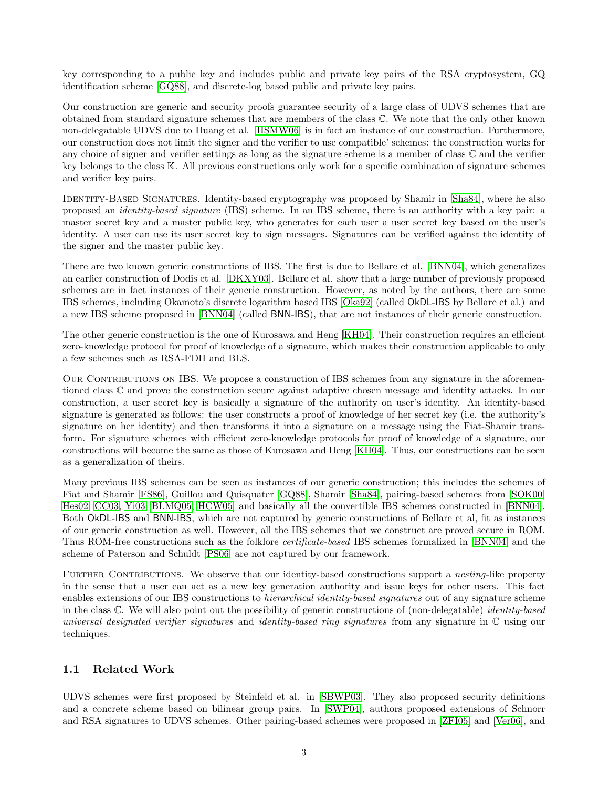<span id="page-2-0"></span>key corresponding to a public key and includes public and private key pairs of the RSA cryptosystem, GQ identification scheme [\[GQ88\]](#page-16-2), and discrete-log based public and private key pairs.

Our construction are generic and security proofs guarantee security of a large class of UDVS schemes that are obtained from standard signature schemes that are members of the class C. We note that the only other known non-delegatable UDVS due to Huang et al. [\[HSMW06\]](#page-17-2) is in fact an instance of our construction. Furthermore, our construction does not limit the signer and the verifier to use compatible' schemes: the construction works for any choice of signer and verifier settings as long as the signature scheme is a member of class  $\mathbb C$  and the verifier key belongs to the class K. All previous constructions only work for a specific combination of signature schemes and verifier key pairs.

IDENTITY-BASED SIGNATURES. Identity-based cryptography was proposed by Shamir in [\[Sha84\]](#page-18-4), where he also proposed an identity-based signature (IBS) scheme. In an IBS scheme, there is an authority with a key pair: a master secret key and a master public key, who generates for each user a user secret key based on the user's identity. A user can use its user secret key to sign messages. Signatures can be verified against the identity of the signer and the master public key.

There are two known generic constructions of IBS. The first is due to Bellare et al. [\[BNN04\]](#page-15-6), which generalizes an earlier construction of Dodis et al. [\[DKXY03\]](#page-16-3). Bellare et al. show that a large number of previously proposed schemes are in fact instances of their generic construction. However, as noted by the authors, there are some IBS schemes, including Okamoto's discrete logarithm based IBS [\[Oka92\]](#page-18-5) (called OkDL-IBS by Bellare et al.) and a new IBS scheme proposed in [\[BNN04\]](#page-15-6) (called BNN-IBS), that are not instances of their generic construction.

The other generic construction is the one of Kurosawa and Heng [\[KH04\]](#page-17-4). Their construction requires an efficient zero-knowledge protocol for proof of knowledge of a signature, which makes their construction applicable to only a few schemes such as RSA-FDH and BLS.

OUR CONTRIBUTIONS ON IBS. We propose a construction of IBS schemes from any signature in the aforementioned class C and prove the construction secure against adaptive chosen message and identity attacks. In our construction, a user secret key is basically a signature of the authority on user's identity. An identity-based signature is generated as follows: the user constructs a proof of knowledge of her secret key (i.e. the authority's signature on her identity) and then transforms it into a signature on a message using the Fiat-Shamir transform. For signature schemes with efficient zero-knowledge protocols for proof of knowledge of a signature, our constructions will become the same as those of Kurosawa and Heng [\[KH04\]](#page-17-4). Thus, our constructions can be seen as a generalization of theirs.

Many previous IBS schemes can be seen as instances of our generic construction; this includes the schemes of Fiat and Shamir [\[FS86\]](#page-16-0), Guillou and Quisquater [\[GQ88\]](#page-16-2), Shamir [\[Sha84\]](#page-18-4), pairing-based schemes from [\[SOK00,](#page-18-6) [Hes02,](#page-17-5) [CC03,](#page-15-7) [Yi03,](#page-18-7) [BLMQ05,](#page-14-1) [HCW05\]](#page-17-6) and basically all the convertible IBS schemes constructed in [\[BNN04\]](#page-15-6). Both OkDL-IBS and BNN-IBS, which are not captured by generic constructions of Bellare et al, fit as instances of our generic construction as well. However, all the IBS schemes that we construct are proved secure in ROM. Thus ROM-free constructions such as the folklore certificate-based IBS schemes formalized in [\[BNN04\]](#page-15-6) and the scheme of Paterson and Schuldt [\[PS06\]](#page-18-8) are not captured by our framework.

FURTHER CONTRIBUTIONS. We observe that our identity-based constructions support a nesting-like property in the sense that a user can act as a new key generation authority and issue keys for other users. This fact enables extensions of our IBS constructions to *hierarchical identity-based signatures* out of any signature scheme in the class C. We will also point out the possibility of generic constructions of (non-delegatable) *identity-based* universal designated verifier signatures and identity-based ring signatures from any signature in  $\mathbb C$  using our techniques.

### 1.1 Related Work

UDVS schemes were first proposed by Steinfeld et al. in [\[SBWP03\]](#page-18-0). They also proposed security definitions and a concrete scheme based on bilinear group pairs. In [\[SWP04\]](#page-18-1), authors proposed extensions of Schnorr and RSA signatures to UDVS schemes. Other pairing-based schemes were proposed in [\[ZFI05\]](#page-18-9) and [\[Ver06\]](#page-18-10), and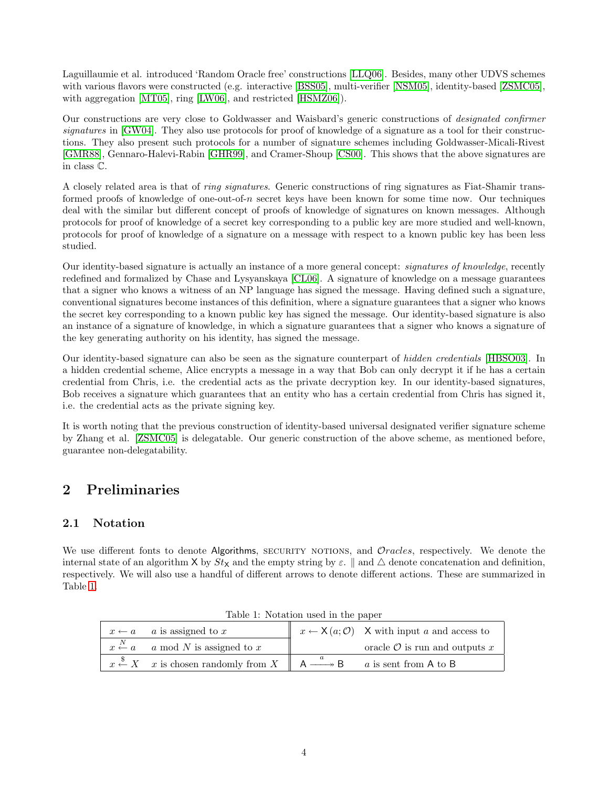<span id="page-3-1"></span>Laguillaumie et al. introduced 'Random Oracle free' constructions [\[LLQ06\]](#page-17-7). Besides, many other UDVS schemes with various flavors were constructed (e.g. interactive [\[BSS05\]](#page-15-8), multi-verifier [\[NSM05\]](#page-17-8), identity-based [\[ZSMC05\]](#page-18-11), with aggregation [\[MT05\]](#page-17-9), ring [\[LW06\]](#page-17-10), and restricted [\[HSMZ06\]](#page-17-11)).

Our constructions are very close to Goldwasser and Waisbard's generic constructions of designated confirmer signatures in [\[GW04\]](#page-16-4). They also use protocols for proof of knowledge of a signature as a tool for their constructions. They also present such protocols for a number of signature schemes including Goldwasser-Micali-Rivest [\[GMR88\]](#page-16-5), Gennaro-Halevi-Rabin [\[GHR99\]](#page-16-6), and Cramer-Shoup [\[CS00\]](#page-16-1). This shows that the above signatures are in class C.

A closely related area is that of ring signatures. Generic constructions of ring signatures as Fiat-Shamir transformed proofs of knowledge of one-out-of-n secret keys have been known for some time now. Our techniques deal with the similar but different concept of proofs of knowledge of signatures on known messages. Although protocols for proof of knowledge of a secret key corresponding to a public key are more studied and well-known, protocols for proof of knowledge of a signature on a message with respect to a known public key has been less studied.

Our identity-based signature is actually an instance of a more general concept: signatures of knowledge, recently redefined and formalized by Chase and Lysyanskaya [\[CL06\]](#page-16-7). A signature of knowledge on a message guarantees that a signer who knows a witness of an NP language has signed the message. Having defined such a signature, conventional signatures become instances of this definition, where a signature guarantees that a signer who knows the secret key corresponding to a known public key has signed the message. Our identity-based signature is also an instance of a signature of knowledge, in which a signature guarantees that a signer who knows a signature of the key generating authority on his identity, has signed the message.

Our identity-based signature can also be seen as the signature counterpart of hidden credentials [\[HBSO03\]](#page-17-12). In a hidden credential scheme, Alice encrypts a message in a way that Bob can only decrypt it if he has a certain credential from Chris, i.e. the credential acts as the private decryption key. In our identity-based signatures, Bob receives a signature which guarantees that an entity who has a certain credential from Chris has signed it, i.e. the credential acts as the private signing key.

It is worth noting that the previous construction of identity-based universal designated verifier signature scheme by Zhang et al. [\[ZSMC05\]](#page-18-11) is delegatable. Our generic construction of the above scheme, as mentioned before, guarantee non-delegatability.

# 2 Preliminaries

## 2.1 Notation

We use different fonts to denote Algorithms, SECURITY NOTIONS, and Oracles, respectively. We denote the internal state of an algorithm  $X$  by  $St_X$  and the empty string by  $\varepsilon$ .  $\parallel$  and  $\triangle$  denote concatenation and definition, respectively. We will also use a handful of different arrows to denote different actions. These are summarized in Table [1.](#page-3-0)

| $x \leftarrow a$ a is assigned to x                                                                               | $x \leftarrow X(a; \mathcal{O})$ X with input a and access to |
|-------------------------------------------------------------------------------------------------------------------|---------------------------------------------------------------|
| $x \stackrel{N}{\leftarrow} a$ a mod <u>N is assigned to</u> x                                                    | oracle $\mathcal O$ is run and outputs x                      |
| $x \stackrel{\$}{\leftarrow} X$ x is chosen randomly from $X \parallel A \longrightarrow B$ a is sent from A to B |                                                               |

<span id="page-3-0"></span>Table 1: Notation used in the paper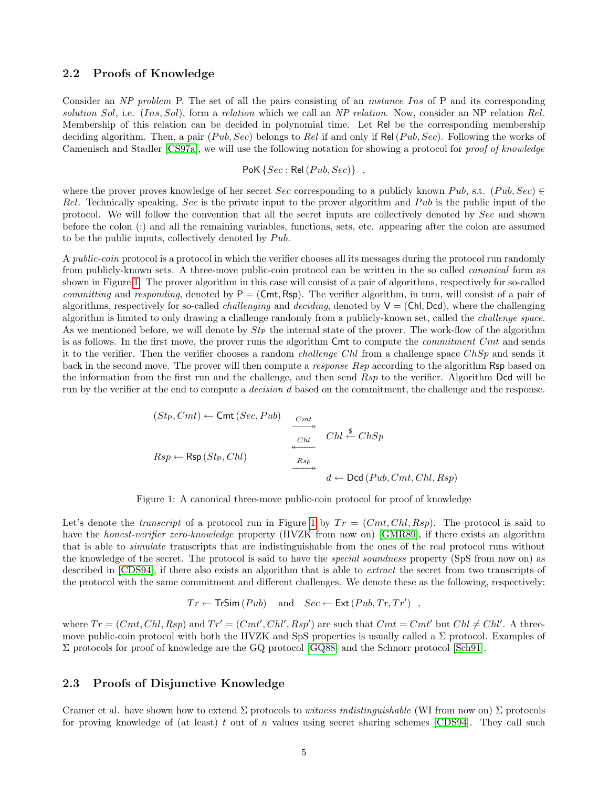#### <span id="page-4-1"></span>2.2 Proofs of Knowledge

Consider an NP problem P. The set of all the pairs consisting of an *instance Ins* of P and its corresponding solution Sol, i.e. (Ins, Sol), form a relation which we call an NP relation. Now, consider an NP relation Rel. Membership of this relation can be decided in polynomial time. Let Rel be the corresponding membership deciding algorithm. Then, a pair  $(Pub, Sec)$  belongs to Rel if and only if Rel(Pub, Sec). Following the works of Camenisch and Stadler [\[CS97a\]](#page-16-8), we will use the following notation for showing a protocol for proof of knowledge

PoK 
$$
\{Sec : Rel(Pub, Sec)\}
$$
,

where the prover proves knowledge of her secret Sec corresponding to a publicly known Pub, s.t.  $(Pub, Sec) \in$ Rel. Technically speaking, Sec is the private input to the prover algorithm and  $Pub$  is the public input of the protocol. We will follow the convention that all the secret inputs are collectively denoted by Sec and shown before the colon (:) and all the remaining variables, functions, sets, etc. appearing after the colon are assumed to be the public inputs, collectively denoted by  $Pub.$ 

A public-coin protocol is a protocol in which the verifier chooses all its messages during the protocol run randomly from publicly-known sets. A three-move public-coin protocol can be written in the so called *canonical* form as shown in Figure [1.](#page-4-0) The prover algorithm in this case will consist of a pair of algorithms, respectively for so-called committing and responding, denoted by  $P = (Cmt, Rsp)$ . The verifier algorithm, in turn, will consist of a pair of algorithms, respectively for so-called *challenging* and *deciding*, denoted by  $V = (ChI, Dcd)$ , where the challenging algorithm is limited to only drawing a challenge randomly from a publicly-known set, called the *challenge space*. As we mentioned before, we will denote by  $St_P$  the internal state of the prover. The work-flow of the algorithm is as follows. In the first move, the prover runs the algorithm Cmt to compute the *commitment Cmt* and sends it to the verifier. Then the verifier chooses a random *challenge Chl* from a challenge space  $ChSp$  and sends it back in the second move. The prover will then compute a response Rsp according to the algorithm Rsp based on the information from the first run and the challenge, and then send Rsp to the verifier. Algorithm Dcd will be run by the verifier at the end to compute a *decision d* based on the commitment, the challenge and the response.

$$
(St_{P}, Cmt) \leftarrow \text{Cmt}(Sec, Pub)
$$
\n
$$
C_{hl} \xrightarrow{C_{hl}} Chl \xleftarrow{C_{h}} ChSp
$$
\n
$$
Rsp \leftarrow \text{Rsp}(St_{P}, Chl)
$$
\n
$$
\xrightarrow{Rsp}
$$
\n
$$
d \leftarrow \text{Dcd}(Pub, Cmt, Chl, Rsp)
$$

<span id="page-4-0"></span>Figure 1: A canonical three-move public-coin protocol for proof of knowledge

Let's denote the *transcript* of a protocol run in Figure [1](#page-4-0) by  $Tr = (Cmt, Chl, Rsp)$ . The protocol is said to have the *honest-verifier zero-knowledge* property (HVZK from now on) [\[GMR89\]](#page-16-9), if there exists an algorithm that is able to *simulate* transcripts that are indistinguishable from the ones of the real protocol runs without the knowledge of the secret. The protocol is said to have the *special soundness* property (SpS from now on) as described in [\[CDS94\]](#page-15-0), if there also exists an algorithm that is able to extract the secret from two transcripts of the protocol with the same commitment and different challenges. We denote these as the following, respectively:

$$
Tr \leftarrow \text{TrSim}(Pub) \quad \text{and} \quad Sec \leftarrow \text{Ext}(Pub, Tr, Tr') ,
$$

where  $Tr = (Cmt, Chl, Rsp)$  and  $Tr' = (Cmt', Chl', Rsp')$  are such that  $Cmt = Cmt'$  but  $Chl \neq Chl'$ . A threemove public-coin protocol with both the HVZK and SpS properties is usually called a  $\Sigma$  protocol. Examples of  $\Sigma$  protocols for proof of knowledge are the GQ protocol [\[GQ88\]](#page-16-2) and the Schnorr protocol [\[Sch91\]](#page-18-2).

### 2.3 Proofs of Disjunctive Knowledge

Cramer et al. have shown how to extend  $\Sigma$  protocols to witness indistinguishable (WI from now on)  $\Sigma$  protocols for proving knowledge of (at least) t out of n values using secret sharing schemes [\[CDS94\]](#page-15-0). They call such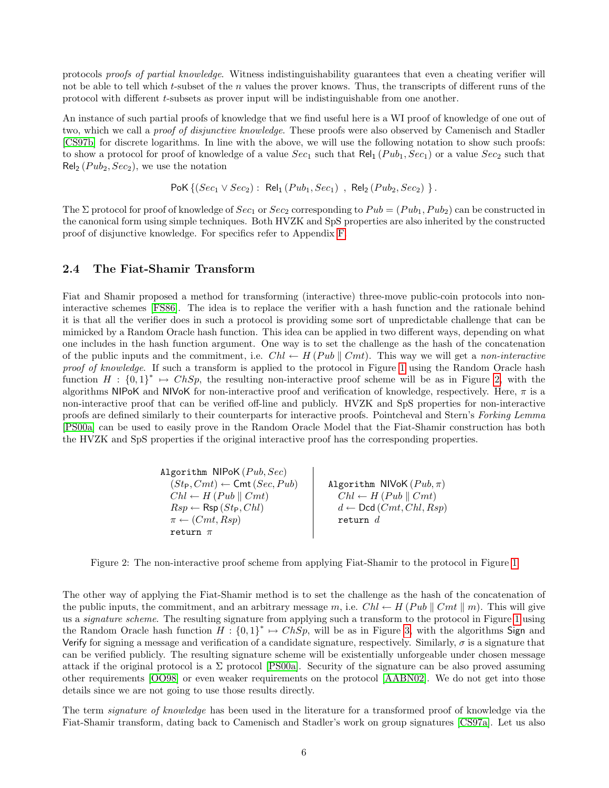<span id="page-5-1"></span>protocols proofs of partial knowledge. Witness indistinguishability guarantees that even a cheating verifier will not be able to tell which t-subset of the n values the prover knows. Thus, the transcripts of different runs of the protocol with different t-subsets as prover input will be indistinguishable from one another.

An instance of such partial proofs of knowledge that we find useful here is a WI proof of knowledge of one out of two, which we call a *proof of disjunctive knowledge*. These proofs were also observed by Camenisch and Stadler [\[CS97b\]](#page-16-10) for discrete logarithms. In line with the above, we will use the following notation to show such proofs: to show a protocol for proof of knowledge of a value  $Sec_1$  such that  $\text{Rel}_1(Pub_1, Sec_1)$  or a value  $Sec_2$  such that  $\text{Rel}_2$  ( $Pub_2, Sec_2$ ), we use the notation

PoK 
$$
\{(Sec_1 \vee Sec_2): \text{ Rel}_1(Pub_1, Sec_1), \text{ Rel}_2(Pub_2, Sec_2) \}
$$
.

The  $\Sigma$  protocol for proof of knowledge of  $Sec_1$  or  $Sec_2$  corresponding to  $Pub = (Pub_1, Pub_2)$  can be constructed in the canonical form using simple techniques. Both HVZK and SpS properties are also inherited by the constructed proof of disjunctive knowledge. For specifics refer to Appendix [F.](#page-32-0)

#### 2.4 The Fiat-Shamir Transform

Fiat and Shamir proposed a method for transforming (interactive) three-move public-coin protocols into noninteractive schemes [\[FS86\]](#page-16-0). The idea is to replace the verifier with a hash function and the rationale behind it is that all the verifier does in such a protocol is providing some sort of unpredictable challenge that can be mimicked by a Random Oracle hash function. This idea can be applied in two different ways, depending on what one includes in the hash function argument. One way is to set the challenge as the hash of the concatenation of the public inputs and the commitment, i.e.  $Chl \leftarrow H(Pub \parallel Cmt)$ . This way we will get a non-interactive proof of knowledge. If such a transform is applied to the protocol in Figure [1](#page-4-0) using the Random Oracle hash function  $H : \{0,1\}^* \mapsto ChSp$ , the resulting non-interactive proof scheme will be as in Figure [2,](#page-5-0) with the algorithms NIPoK and NIVoK for non-interactive proof and verification of knowledge, respectively. Here, π is a non-interactive proof that can be verified off-line and publicly. HVZK and SpS properties for non-interactive proofs are defined similarly to their counterparts for interactive proofs. Pointcheval and Stern's Forking Lemma [\[PS00a\]](#page-18-3) can be used to easily prove in the Random Oracle Model that the Fiat-Shamir construction has both the HVZK and SpS properties if the original interactive proof has the corresponding properties.

| Algorithm $NIPoK$ ( $Pub, Sec)$ )         |                                            |
|-------------------------------------------|--------------------------------------------|
| $(St_P, Cmt) \leftarrow$ Cmt $(Sec, Pub)$ | Algorithm NIVoK $(Pub, \pi)$               |
| $Chl \leftarrow H(Pub    Cmt)$            | $Chl \leftarrow H(Pub    Cmt)$             |
| $Rsp \leftarrow \text{Rsp}(St_P, Chl)$    | $d \leftarrow \textsf{Dcd}(Cmt, Chl, Rsp)$ |
| $\pi \leftarrow (Cmt, Rsp)$               | return $d$                                 |
| return $\pi$                              |                                            |

<span id="page-5-0"></span>Figure 2: The non-interactive proof scheme from applying Fiat-Shamir to the protocol in Figure [1](#page-4-0)

The other way of applying the Fiat-Shamir method is to set the challenge as the hash of the concatenation of the public inputs, the commitment, and an arbitrary message m, i.e.  $Chl \leftarrow H(Pub \parallel Cmt \parallel m)$ . This will give us a *signature scheme*. The resulting signature from applying such a transform to the protocol in Figure [1](#page-4-0) using the Random Oracle hash function  $H: \{0,1\}^* \mapsto ChSp$ , will be as in Figure [3,](#page-6-0) with the algorithms Sign and Verify for signing a message and verification of a candidate signature, respectively. Similarly,  $\sigma$  is a signature that can be verified publicly. The resulting signature scheme will be existentially unforgeable under chosen message attack if the original protocol is a  $\Sigma$  protocol [\[PS00a\]](#page-18-3). Security of the signature can be also proved assuming other requirements [\[OO98\]](#page-18-12) or even weaker requirements on the protocol [\[AABN02\]](#page-14-2). We do not get into those details since we are not going to use those results directly.

The term signature of knowledge has been used in the literature for a transformed proof of knowledge via the Fiat-Shamir transform, dating back to Camenisch and Stadler's work on group signatures [\[CS97a\]](#page-16-8). Let us also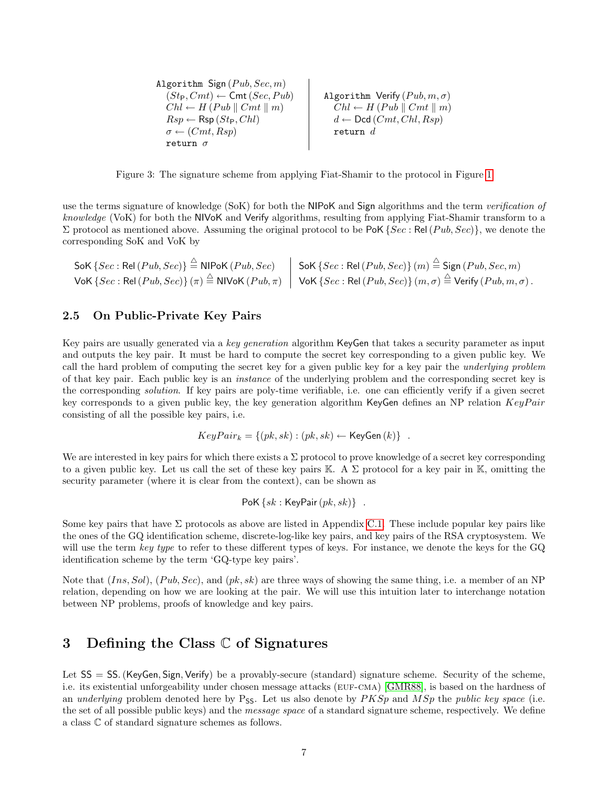<span id="page-6-1"></span>Algorithm  $Sign(Pub, Sec, m)$  $(St_P, Cmt) \leftarrow$  Cmt  $(Sec, Pub)$  $Chl \leftarrow H$  (Pub  $\parallel Cmt \parallel m$ )  $Rsp \leftarrow \mathsf{Rsp}\left(St_{\mathsf{P}}, Chl\right)$  $\sigma \leftarrow (Cmt, Rsp)$ return  $\sigma$ Algorithm Verify  $(P u b, m, \sigma)$  $Chl \leftarrow H(Pub \parallel Cmt \parallel m)$  $d \leftarrow \textsf{Dcd}(Cmt, Chl, Rsp)$ return  $d$ 

<span id="page-6-0"></span>Figure 3: The signature scheme from applying Fiat-Shamir to the protocol in Figure [1](#page-4-0)

use the terms signature of knowledge (SoK) for both the NIPoK and Sign algorithms and the term verification of knowledge (VoK) for both the NIVoK and Verify algorithms, resulting from applying Fiat-Shamir transform to a  $\Sigma$  protocol as mentioned above. Assuming the original protocol to be PoK {Sec: Rel(Pub, Sec)}, we denote the corresponding SoK and VoK by

| SoK $\{Sec: \mathsf{Rel}\,(Pub, Sec)\}\stackrel{\triangle}{=} \mathsf{NIPoK}\,(Pub, Sec)$ | $\perp$ SoK { $Sec$ : Rel $(Pub, Sec)$ } $(m) \stackrel{\triangle}{=}$ Sign $(Pub, Sec, m)$                                                                                                              |
|-------------------------------------------------------------------------------------------|----------------------------------------------------------------------------------------------------------------------------------------------------------------------------------------------------------|
|                                                                                           | VoK $\{Sec: \text{Rel}(Pub, Sec)\}$ $(\pi) \stackrel{\triangle}{=} \text{NIVoK}(Pub, \pi)$ $\big $ VoK $\{Sec: \text{Rel}(Pub, Sec)\}$ $(m, \sigma) \stackrel{\triangle}{=}$ Verify $(Pub, m, \sigma)$ . |

#### 2.5 On Public-Private Key Pairs

Key pairs are usually generated via a key generation algorithm KeyGen that takes a security parameter as input and outputs the key pair. It must be hard to compute the secret key corresponding to a given public key. We call the hard problem of computing the secret key for a given public key for a key pair the underlying problem of that key pair. Each public key is an instance of the underlying problem and the corresponding secret key is the corresponding solution. If key pairs are poly-time verifiable, i.e. one can efficiently verify if a given secret key corresponds to a given public key, the key generation algorithm KeyGen defines an NP relation  $KeyPair$ consisting of all the possible key pairs, i.e.

$$
KeyPair_k = \{(pk, sk) : (pk, sk) \leftarrow \text{KeyGen}(k)\} .
$$

We are interested in key pairs for which there exists a  $\Sigma$  protocol to prove knowledge of a secret key corresponding to a given public key. Let us call the set of these key pairs K. A  $\Sigma$  protocol for a key pair in K, omitting the security parameter (where it is clear from the context), can be shown as

PoK 
$$
\{sk : \text{KeyPair}(pk, sk)\}
$$
.

Some key pairs that have  $\Sigma$  protocols as above are listed in Appendix [C.1.](#page-25-0) These include popular key pairs like the ones of the GQ identification scheme, discrete-log-like key pairs, and key pairs of the RSA cryptosystem. We will use the term key type to refer to these different types of keys. For instance, we denote the keys for the  $GQ$ identification scheme by the term 'GQ-type key pairs'.

Note that  $(In, Sol), (Pub, Sec),$  and  $(pk, sk)$  are three ways of showing the same thing, i.e. a member of an NP relation, depending on how we are looking at the pair. We will use this intuition later to interchange notation between NP problems, proofs of knowledge and key pairs.

### 3 Defining the Class C of Signatures

Let  $SS = SS$ . (KeyGen, Sign, Verify) be a provably-secure (standard) signature scheme. Security of the scheme, i.e. its existential unforgeability under chosen message attacks (euf-cma) [\[GMR88\]](#page-16-5), is based on the hardness of an underlying problem denoted here by  $P_{\text{SS}}$ . Let us also denote by  $PKSp$  and  $MSp$  the public key space (i.e. the set of all possible public keys) and the *message space* of a standard signature scheme, respectively. We define a class C of standard signature schemes as follows.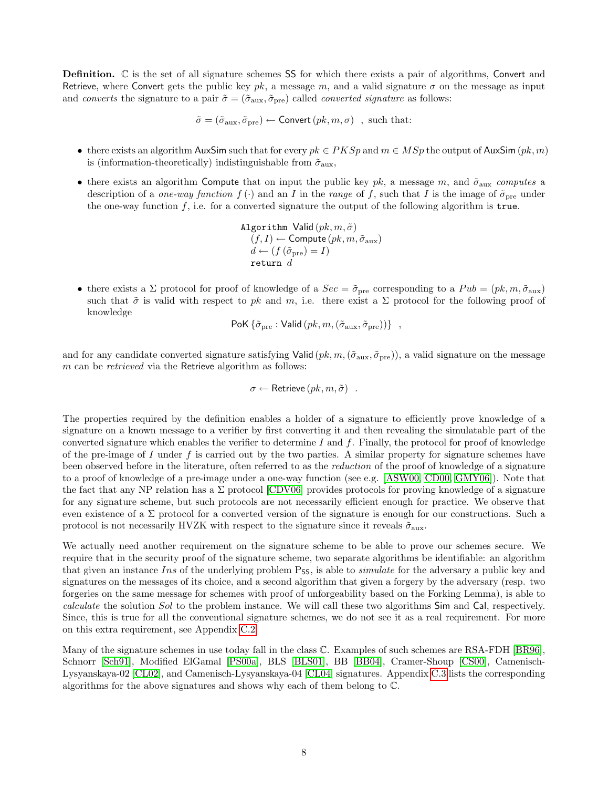<span id="page-7-0"></span>Definition. C is the set of all signature schemes SS for which there exists a pair of algorithms, Convert and Retrieve, where Convert gets the public key  $pk$ , a message m, and a valid signature  $\sigma$  on the message as input and converts the signature to a pair  $\tilde{\sigma} = (\tilde{\sigma}_{aux}, \tilde{\sigma}_{pre})$  called converted signature as follows:

 $\tilde{\sigma} = (\tilde{\sigma}_{aux}, \tilde{\sigma}_{pre}) \leftarrow$  Convert $(pk, m, \sigma)$ , such that:

- there exists an algorithm AuxSim such that for every  $pk \in PKSp$  and  $m \in MSp$  the output of AuxSim  $(pk, m)$ is (information-theoretically) indistinguishable from  $\tilde{\sigma}_{aux}$ ,
- there exists an algorithm Compute that on input the public key pk, a message m, and  $\tilde{\sigma}_{aux}$  computes a description of a *one-way function*  $f(\cdot)$  and an I in the range of f, such that I is the image of  $\tilde{\sigma}_{pre}$  under the one-way function  $f$ , i.e. for a converted signature the output of the following algorithm is true.

Algorithm Valid  $(pk, m, \tilde{\sigma})$  $(f, I) \leftarrow$  Compute  $(pk, m, \tilde{\sigma}_{\text{aux}})$  $d \leftarrow (f\left(\tilde{\sigma}_{pre}\right) = I)$ return  $d$ 

• there exists a  $\Sigma$  protocol for proof of knowledge of a  $Sec = \tilde{\sigma}_{pre}$  corresponding to a  $Pub = (pk, m, \tilde{\sigma}_{aux})$ such that  $\tilde{\sigma}$  is valid with respect to pk and m, i.e. there exist a  $\Sigma$  protocol for the following proof of knowledge

PoK 
$$
\{\tilde{\sigma}_{pre} : \text{Valid}(pk, m, (\tilde{\sigma}_{aux}, \tilde{\sigma}_{pre}))\}
$$
,

and for any candidate converted signature satisfying Valid  $(pk, m, (\tilde{\sigma}_{aux}, \tilde{\sigma}_{pre}))$ , a valid signature on the message m can be *retrieved* via the Retrieve algorithm as follows:

$$
\sigma \leftarrow \mathsf{Retrieve}\left(pk, m, \tilde{\sigma}\right) \enspace .
$$

The properties required by the definition enables a holder of a signature to efficiently prove knowledge of a signature on a known message to a verifier by first converting it and then revealing the simulatable part of the converted signature which enables the verifier to determine  $I$  and  $f$ . Finally, the protocol for proof of knowledge of the pre-image of I under f is carried out by the two parties. A similar property for signature schemes have been observed before in the literature, often referred to as the reduction of the proof of knowledge of a signature to a proof of knowledge of a pre-image under a one-way function (see e.g. [\[ASW00,](#page-14-3) [CD00,](#page-15-9) [GMY06\]](#page-16-11)). Note that the fact that any NP relation has a  $\Sigma$  protocol [\[CDV06\]](#page-15-10) provides protocols for proving knowledge of a signature for any signature scheme, but such protocols are not necessarily efficient enough for practice. We observe that even existence of a  $\Sigma$  protocol for a converted version of the signature is enough for our constructions. Such a protocol is not necessarily HVZK with respect to the signature since it reveals  $\tilde{\sigma}_{\mathrm{aux}}$ .

We actually need another requirement on the signature scheme to be able to prove our schemes secure. We require that in the security proof of the signature scheme, two separate algorithms be identifiable: an algorithm that given an instance Ins of the underlying problem  $P_{SS}$ , is able to *simulate* for the adversary a public key and signatures on the messages of its choice, and a second algorithm that given a forgery by the adversary (resp. two forgeries on the same message for schemes with proof of unforgeability based on the Forking Lemma), is able to calculate the solution Sol to the problem instance. We will call these two algorithms Sim and Cal, respectively. Since, this is true for all the conventional signature schemes, we do not see it as a real requirement. For more on this extra requirement, see Appendix [C.2.](#page-25-1)

Many of the signature schemes in use today fall in the class C. Examples of such schemes are RSA-FDH [\[BR96\]](#page-15-2), Schnorr [\[Sch91\]](#page-18-2), Modified ElGamal [\[PS00a\]](#page-18-3), BLS [\[BLS01\]](#page-15-3), BB [\[BB04\]](#page-14-0), Cramer-Shoup [\[CS00\]](#page-16-1), Camenisch-Lysyanskaya-02 [\[CL02\]](#page-15-4), and Camenisch-Lysyanskaya-04 [\[CL04\]](#page-15-5) signatures. Appendix [C.3](#page-26-0) lists the corresponding algorithms for the above signatures and shows why each of them belong to C.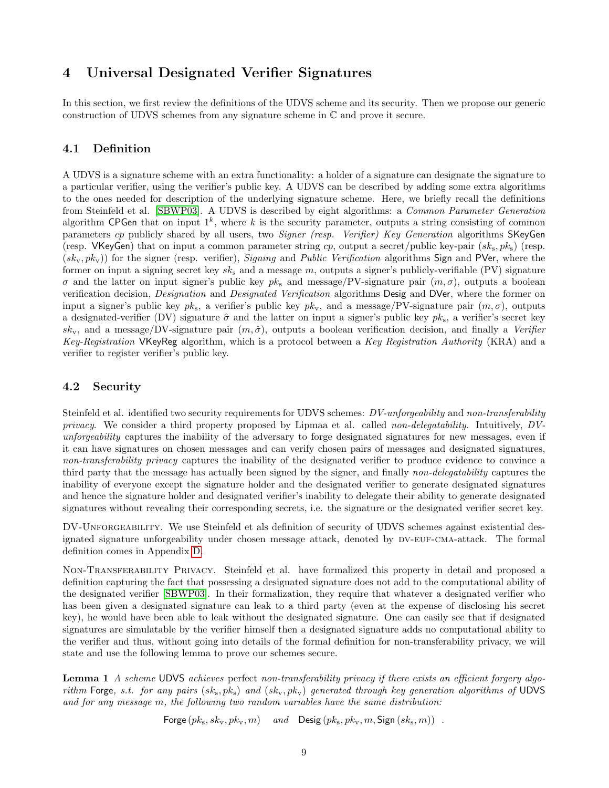# <span id="page-8-1"></span>4 Universal Designated Verifier Signatures

In this section, we first review the definitions of the UDVS scheme and its security. Then we propose our generic construction of UDVS schemes from any signature scheme in C and prove it secure.

### 4.1 Definition

A UDVS is a signature scheme with an extra functionality: a holder of a signature can designate the signature to a particular verifier, using the verifier's public key. A UDVS can be described by adding some extra algorithms to the ones needed for description of the underlying signature scheme. Here, we briefly recall the definitions from Steinfeld et al. [\[SBWP03\]](#page-18-0). A UDVS is described by eight algorithms: a Common Parameter Generation algorithm CPGen that on input  $1^k$ , where k is the security parameter, outputs a string consisting of common parameters cp publicly shared by all users, two Signer (resp. Verifier) Key Generation algorithms SKeyGen (resp. VKeyGen) that on input a common parameter string cp, output a secret/public key-pair  $(s_k, pk_s)$  (resp.  $(s_k, p_k)$  for the signer (resp. verifier), Signing and Public Verification algorithms Sign and PVer, where the former on input a signing secret key  $sk_s$  and a message m, outputs a signer's publicly-verifiable (PV) signature  $\sigma$  and the latter on input signer's public key  $pk_s$  and message/PV-signature pair  $(m, \sigma)$ , outputs a boolean verification decision, *Designation* and *Designated Verification* algorithms Desig and DVer, where the former on input a signer's public key  $pk_s$ , a verifier's public key  $pk_v$ , and a message/PV-signature pair  $(m, \sigma)$ , outputs a designated-verifier (DV) signature  $\hat{\sigma}$  and the latter on input a signer's public key  $pk_s$ , a verifier's secret key sk<sub>v</sub>, and a message/DV-signature pair  $(m, \hat{\sigma})$ , outputs a boolean verification decision, and finally a Verifier Key-Registration VKeyReg algorithm, which is a protocol between a Key Registration Authority (KRA) and a verifier to register verifier's public key.

### 4.2 Security

Steinfeld et al. identified two security requirements for UDVS schemes: *DV-unforgeability* and non-transferability privacy. We consider a third property proposed by Lipmaa et al. called non-delegatability. Intuitively, DVunforgeability captures the inability of the adversary to forge designated signatures for new messages, even if it can have signatures on chosen messages and can verify chosen pairs of messages and designated signatures, non-transferability privacy captures the inability of the designated verifier to produce evidence to convince a third party that the message has actually been signed by the signer, and finally non-delegatability captures the inability of everyone except the signature holder and the designated verifier to generate designated signatures and hence the signature holder and designated verifier's inability to delegate their ability to generate designated signatures without revealing their corresponding secrets, i.e. the signature or the designated verifier secret key.

DV-Unforgeability. We use Steinfeld et als definition of security of UDVS schemes against existential designated signature unforgeability under chosen message attack, denoted by DV-EUF-CMA-attack. The formal definition comes in Appendix [D.](#page-30-0)

Non-Transferability Privacy. Steinfeld et al. have formalized this property in detail and proposed a definition capturing the fact that possessing a designated signature does not add to the computational ability of the designated verifier [\[SBWP03\]](#page-18-0). In their formalization, they require that whatever a designated verifier who has been given a designated signature can leak to a third party (even at the expense of disclosing his secret key), he would have been able to leak without the designated signature. One can easily see that if designated signatures are simulatable by the verifier himself then a designated signature adds no computational ability to the verifier and thus, without going into details of the formal definition for non-transferability privacy, we will state and use the following lemma to prove our schemes secure.

<span id="page-8-0"></span>Lemma 1 A scheme UDVS achieves perfect non-transferability privacy if there exists an efficient forgery algorithm Forge, s.t. for any pairs  $(s k<sub>s</sub>, p k<sub>s</sub>)$  and  $(s k<sub>v</sub>, p k<sub>v</sub>)$  generated through key generation algorithms of UDVS and for any message m, the following two random variables have the same distribution:

Forge  $(pk_s, sk_v, pk_v, m)$  and Desig  $(pk_s, pk_v, m,$  Sign  $(sk_s, m)$ .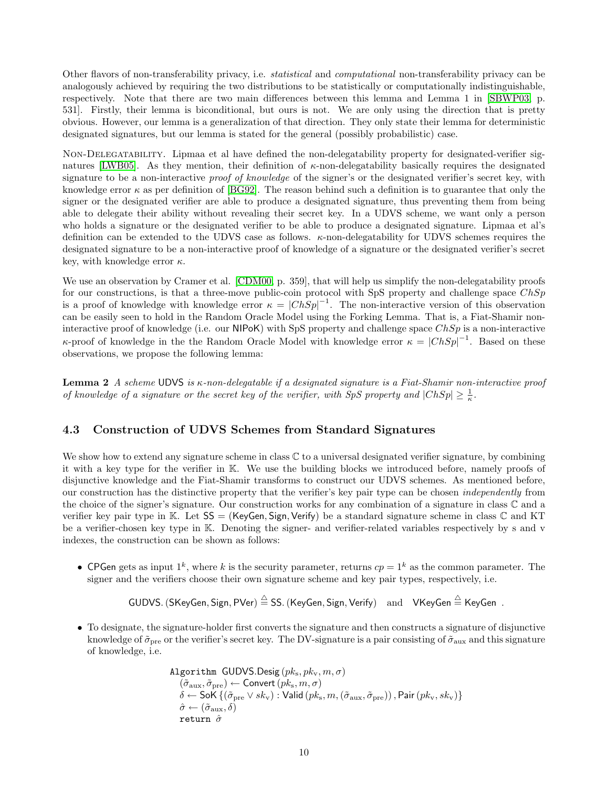<span id="page-9-1"></span>Other flavors of non-transferability privacy, i.e. statistical and computational non-transferability privacy can be analogously achieved by requiring the two distributions to be statistically or computationally indistinguishable, respectively. Note that there are two main differences between this lemma and Lemma 1 in [\[SBWP03,](#page-18-0) p. 531]. Firstly, their lemma is biconditional, but ours is not. We are only using the direction that is pretty obvious. However, our lemma is a generalization of that direction. They only state their lemma for deterministic designated signatures, but our lemma is stated for the general (possibly probabilistic) case.

Non-Delegatability. Lipmaa et al have defined the non-delegatability property for designated-verifier sig-natures [\[LWB05\]](#page-17-1). As they mention, their definition of  $\kappa$ -non-delegatability basically requires the designated signature to be a non-interactive proof of knowledge of the signer's or the designated verifier's secret key, with knowledge error  $\kappa$  as per definition of [\[BG92\]](#page-14-4). The reason behind such a definition is to guarantee that only the signer or the designated verifier are able to produce a designated signature, thus preventing them from being able to delegate their ability without revealing their secret key. In a UDVS scheme, we want only a person who holds a signature or the designated verifier to be able to produce a designated signature. Lipmaa et al's definition can be extended to the UDVS case as follows. κ-non-delegatability for UDVS schemes requires the designated signature to be a non-interactive proof of knowledge of a signature or the designated verifier's secret key, with knowledge error  $\kappa$ .

We use an observation by Cramer et al. [\[CDM00,](#page-15-11) p. 359], that will help us simplify the non-delegatability proofs for our constructions, is that a three-move public-coin protocol with SpS property and challenge space  $ChSp$ is a proof of knowledge with knowledge error  $\kappa = |ChSp|^{-1}$ . The non-interactive version of this observation can be easily seen to hold in the Random Oracle Model using the Forking Lemma. That is, a Fiat-Shamir noninteractive proof of knowledge (i.e. our NIPoK) with SpS property and challenge space  $ChSp$  is a non-interactive κ-proof of knowledge in the the Random Oracle Model with knowledge error  $\kappa = |ChSp|^{-1}$ . Based on these observations, we propose the following lemma:

<span id="page-9-0"></span>**Lemma 2** A scheme UDVS is  $\kappa$ -non-delegatable if a designated signature is a Fiat-Shamir non-interactive proof of knowledge of a signature or the secret key of the verifier, with SpS property and  $|ChSp| \geq \frac{1}{\kappa}$ .

#### 4.3 Construction of UDVS Schemes from Standard Signatures

We show how to extend any signature scheme in class  $\mathbb C$  to a universal designated verifier signature, by combining it with a key type for the verifier in K. We use the building blocks we introduced before, namely proofs of disjunctive knowledge and the Fiat-Shamir transforms to construct our UDVS schemes. As mentioned before, our construction has the distinctive property that the verifier's key pair type can be chosen independently from the choice of the signer's signature. Our construction works for any combination of a signature in class C and a verifier key pair type in K. Let  $SS = (KeyGen, Sign, Verify)$  be a standard signature scheme in class  $\mathbb C$  and KT be a verifier-chosen key type in K. Denoting the signer- and verifier-related variables respectively by s and v indexes, the construction can be shown as follows:

• CPGen gets as input  $1^k$ , where k is the security parameter, returns  $cp = 1^k$  as the common parameter. The signer and the verifiers choose their own signature scheme and key pair types, respectively, i.e.

<code>GUDVS.(SKeyGen, Sign, PVer)</code>  $\stackrel{\triangle}{=}$  SS. (KeyGen, Sign, Verify)  $\quad$  and  $\quad$  VKeyGen  $\stackrel{\triangle}{=}$  KeyGen  $\,$  .

• To designate, the signature-holder first converts the signature and then constructs a signature of disjunctive knowledge of  $\tilde{\sigma}_{pre}$  or the verifier's secret key. The DV-signature is a pair consisting of  $\tilde{\sigma}_{aux}$  and this signature of knowledge, i.e.

$$
\begin{array}{l} \texttt{Algorithm \; GUDVS.Desig}\left(pk_{\rm s},pk_{\rm v},m,\sigma\right)\\ \left(\tilde{\sigma}_{\rm aux},\tilde{\sigma}_{\rm pre}\right)\leftarrow\textsf{Convert}\left(pk_{\rm s},m,\sigma\right)\\ \delta\leftarrow\textsf{Sok}\left\{\left(\tilde{\sigma}_{\rm pre}\vee sk_{\rm v}\right):\textsf{Valid}\left(pk_{\rm s},m,\left(\tilde{\sigma}_{\rm aux},\tilde{\sigma}_{\rm pre}\right)\right),\textsf{Pair}\left(pk_{\rm v},sk_{\rm v}\right)\right\} \\ \hat{\sigma}\leftarrow\left(\tilde{\sigma}_{\rm aux},\delta\right) \\ \textcolor{red}{\textbf{return }\hat{\sigma}} \end{array}
$$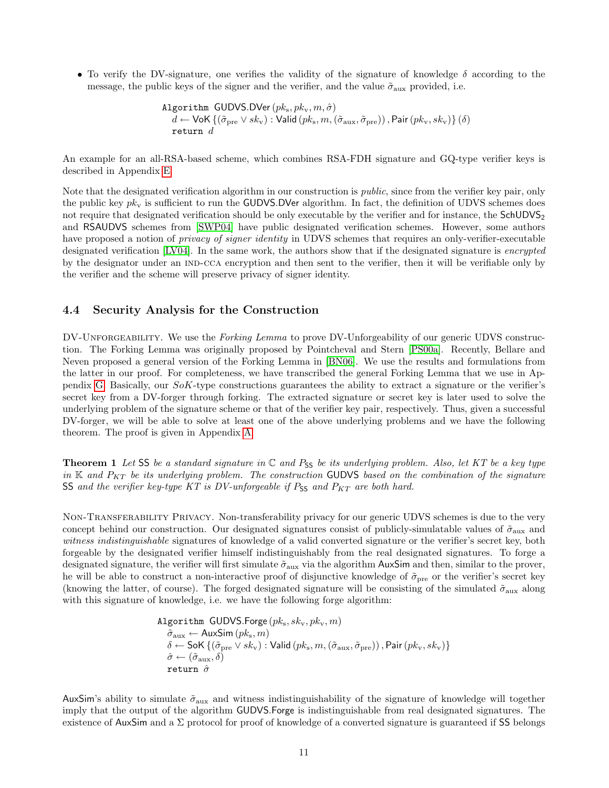<span id="page-10-0"></span>• To verify the DV-signature, one verifies the validity of the signature of knowledge  $\delta$  according to the message, the public keys of the signer and the verifier, and the value  $\tilde{\sigma}_{aux}$  provided, i.e.

Algorithm GUDVS.DVer (
$$
pk_s
$$
,  $pk_v$ ,  $m$ ,  $\hat{\sigma}$ )  
\n $d \leftarrow \text{VoK }\{(\tilde{\sigma}_{pre} \vee sk_v) : \text{Valid } (pk_s, m, (\tilde{\sigma}_{aux}, \tilde{\sigma}_{pre}))\}$ , Pair ( $pk_v$ ,  $sk_v$ )\}(δ)  
\nreturn  $d$ 

An example for an all-RSA-based scheme, which combines RSA-FDH signature and GQ-type verifier keys is described in Appendix [E.](#page-31-0)

Note that the designated verification algorithm in our construction is *public*, since from the verifier key pair, only the public key  $pk_v$  is sufficient to run the GUDVS.DVer algorithm. In fact, the definition of UDVS schemes does not require that designated verification should be only executable by the verifier and for instance, the  $SchUDVS<sub>2</sub>$ and RSAUDVS schemes from [\[SWP04\]](#page-18-1) have public designated verification schemes. However, some authors have proposed a notion of *privacy of signer identity* in UDVS schemes that requires an only-verifier-executable designated verification [\[LV04\]](#page-17-13). In the same work, the authors show that if the designated signature is *encrypted* by the designator under an IND-CCA encryption and then sent to the verifier, then it will be verifiable only by the verifier and the scheme will preserve privacy of signer identity.

#### 4.4 Security Analysis for the Construction

DV-UNFORGEABILITY. We use the Forking Lemma to prove DV-Unforgeability of our generic UDVS construction. The Forking Lemma was originally proposed by Pointcheval and Stern [\[PS00a\]](#page-18-3). Recently, Bellare and Neven proposed a general version of the Forking Lemma in [\[BN06\]](#page-15-12). We use the results and formulations from the latter in our proof. For completeness, we have transcribed the general Forking Lemma that we use in Appendix [G.](#page-34-0) Basically, our SoK-type constructions guarantees the ability to extract a signature or the verifier's secret key from a DV-forger through forking. The extracted signature or secret key is later used to solve the underlying problem of the signature scheme or that of the verifier key pair, respectively. Thus, given a successful DV-forger, we will be able to solve at least one of the above underlying problems and we have the following theorem. The proof is given in Appendix [A.](#page-19-0)

<span id="page-10-1"></span>**Theorem 1** Let SS be a standard signature in  $\mathbb C$  and  $P_{SS}$  be its underlying problem. Also, let KT be a key type in K and  $P_{KT}$  be its underlying problem. The construction GUDVS based on the combination of the signature SS and the verifier key-type KT is DV-unforgeable if  $P_{SS}$  and  $P_{KT}$  are both hard.

Non-Transferability Privacy. Non-transferability privacy for our generic UDVS schemes is due to the very concept behind our construction. Our designated signatures consist of publicly-simulatable values of  $\tilde{\sigma}_{aux}$  and witness indistinguishable signatures of knowledge of a valid converted signature or the verifier's secret key, both forgeable by the designated verifier himself indistinguishably from the real designated signatures. To forge a designated signature, the verifier will first simulate  $\tilde{\sigma}_{aux}$  via the algorithm AuxSim and then, similar to the prover, he will be able to construct a non-interactive proof of disjunctive knowledge of  $\tilde{\sigma}_{pre}$  or the verifier's secret key (knowing the latter, of course). The forged designated signature will be consisting of the simulated  $\tilde{\sigma}_{aux}$  along with this signature of knowledge, i.e. we have the following forge algorithm:

$$
\begin{array}{l} \texttt{Algorithm \; GUDVS. Forge\,} (pk_\mathrm{s}, sk_\mathrm{v}, pk_\mathrm{v}, m) \\ \tilde{\sigma}_\mathrm{aux} \leftarrow \textsf{AuxSim\,} (pk_\mathrm{s}, m) \\ \delta \leftarrow \textsf{Sok\,} \{ (\tilde{\sigma}_\mathrm{pre} \vee sk_\mathrm{v}) : \textsf{Valid\,} (pk_\mathrm{s}, m, (\tilde{\sigma}_\mathrm{aux}, \tilde{\sigma}_\mathrm{pre}))\,, \textsf{Pair\,} (pk_\mathrm{v}, sk_\mathrm{v}) \} \\ \hat{\sigma} \leftarrow (\tilde{\sigma}_\mathrm{aux}, \delta) \\ \textcolor{red}{\mathtt return} \enskip \hat{\sigma} \end{array}
$$

AuxSim's ability to simulate  $\tilde{\sigma}_{aux}$  and witness indistinguishability of the signature of knowledge will together imply that the output of the algorithm GUDVS.Forge is indistinguishable from real designated signatures. The existence of AuxSim and a  $\Sigma$  protocol for proof of knowledge of a converted signature is guaranteed if SS belongs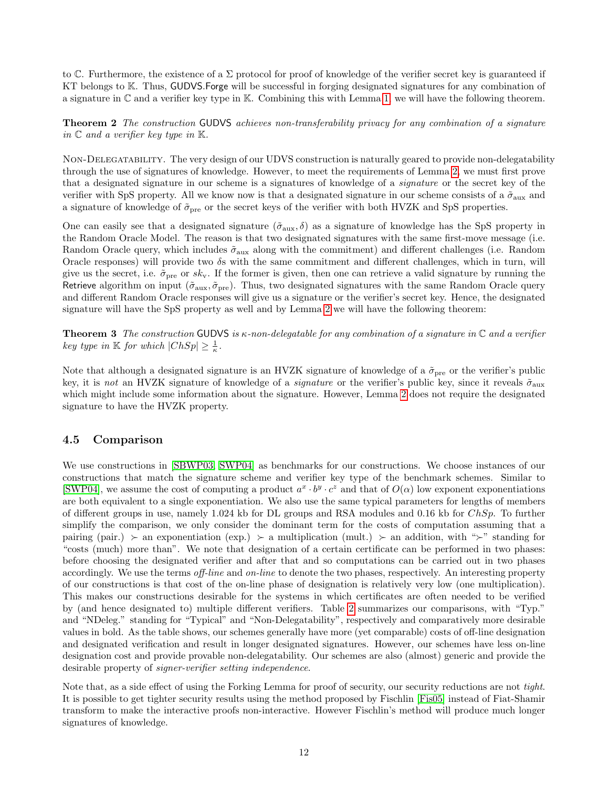<span id="page-11-0"></span>to C. Furthermore, the existence of a  $\Sigma$  protocol for proof of knowledge of the verifier secret key is guaranteed if KT belongs to K. Thus, GUDVS.Forge will be successful in forging designated signatures for any combination of a signature in C and a verifier key type in K. Combining this with Lemma [1,](#page-8-0) we will have the following theorem.

Theorem 2 The construction GUDVS achieves non-transferability privacy for any combination of a signature in  $\mathbb C$  and a verifier key type in  $\mathbb K$ .

Non-Delegatability. The very design of our UDVS construction is naturally geared to provide non-delegatability through the use of signatures of knowledge. However, to meet the requirements of Lemma [2,](#page-9-0) we must first prove that a designated signature in our scheme is a signatures of knowledge of a signature or the secret key of the verifier with SpS property. All we know now is that a designated signature in our scheme consists of a  $\tilde{\sigma}_{aux}$  and a signature of knowledge of  $\tilde{\sigma}_{pre}$  or the secret keys of the verifier with both HVZK and SpS properties.

One can easily see that a designated signature  $(\tilde{\sigma}_{aux}, \delta)$  as a signature of knowledge has the SpS property in the Random Oracle Model. The reason is that two designated signatures with the same first-move message (i.e. Random Oracle query, which includes  $\tilde{\sigma}_{aux}$  along with the commitment) and different challenges (i.e. Random Oracle responses) will provide two δs with the same commitment and different challenges, which in turn, will give us the secret, i.e.  $\tilde{\sigma}_{pre}$  or  $sk_v$ . If the former is given, then one can retrieve a valid signature by running the Retrieve algorithm on input  $(\tilde{\sigma}_{aux}, \tilde{\sigma}_{pre})$ . Thus, two designated signatures with the same Random Oracle query and different Random Oracle responses will give us a signature or the verifier's secret key. Hence, the designated signature will have the SpS property as well and by Lemma [2](#page-9-0) we will have the following theorem:

**Theorem 3** The construction GUDVS is  $\kappa$ -non-delegatable for any combination of a signature in  $\mathbb C$  and a verifier key type in  $\mathbb{K}$  for which  $|ChSp| \geq \frac{1}{\kappa}$ .

Note that although a designated signature is an HVZK signature of knowledge of a  $\tilde{\sigma}_{\text{pre}}$  or the verifier's public key, it is not an HVZK signature of knowledge of a *signature* or the verifier's public key, since it reveals  $\tilde{\sigma}_{aux}$ which might include some information about the signature. However, Lemma [2](#page-9-0) does not require the designated signature to have the HVZK property.

#### 4.5 Comparison

We use constructions in [\[SBWP03,](#page-18-0) [SWP04\]](#page-18-1) as benchmarks for our constructions. We choose instances of our constructions that match the signature scheme and verifier key type of the benchmark schemes. Similar to [\[SWP04\]](#page-18-1), we assume the cost of computing a product  $a^x \cdot b^y \cdot c^z$  and that of  $O(\alpha)$  low exponent exponentiations are both equivalent to a single exponentiation. We also use the same typical parameters for lengths of members of different groups in use, namely 1.024 kb for DL groups and RSA modules and 0.16 kb for  $ChSp$ . To further simplify the comparison, we only consider the dominant term for the costs of computation assuming that a pairing (pair.)  $\succ$  an exponentiation (exp.)  $\succ$  a multiplication (mult.)  $\succ$  an addition, with " $\succ$ " standing for "costs (much) more than". We note that designation of a certain certificate can be performed in two phases: before choosing the designated verifier and after that and so computations can be carried out in two phases accordingly. We use the terms off-line and on-line to denote the two phases, respectively. An interesting property of our constructions is that cost of the on-line phase of designation is relatively very low (one multiplication). This makes our constructions desirable for the systems in which certificates are often needed to be verified by (and hence designated to) multiple different verifiers. Table [2](#page-12-0) summarizes our comparisons, with "Typ." and "NDeleg." standing for "Typical" and "Non-Delegatability", respectively and comparatively more desirable values in bold. As the table shows, our schemes generally have more (yet comparable) costs of off-line designation and designated verification and result in longer designated signatures. However, our schemes have less on-line designation cost and provide provable non-delegatability. Our schemes are also (almost) generic and provide the desirable property of signer-verifier setting independence.

Note that, as a side effect of using the Forking Lemma for proof of security, our security reductions are not tight. It is possible to get tighter security results using the method proposed by Fischlin [\[Fis05\]](#page-16-12) instead of Fiat-Shamir transform to make the interactive proofs non-interactive. However Fischlin's method will produce much longer signatures of knowledge.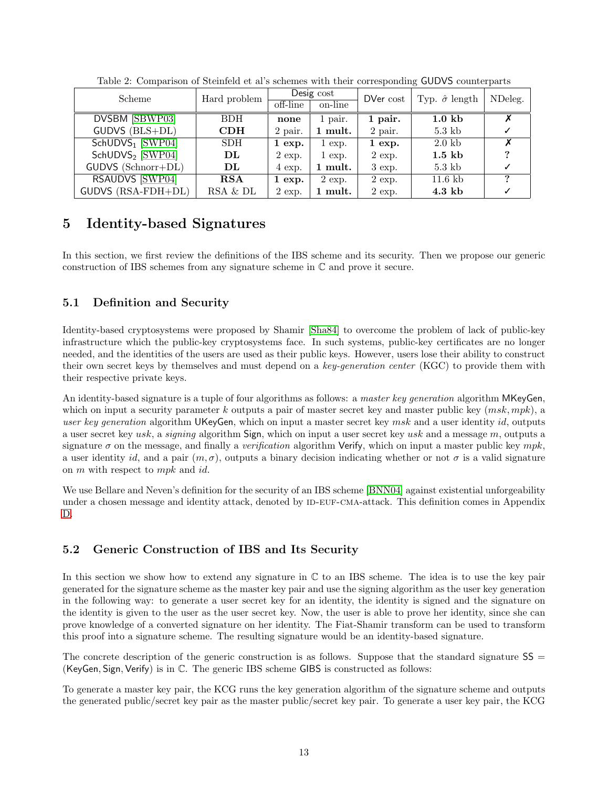<span id="page-12-1"></span>

|                              |               |             |            |           | $\overline{\phantom{0}}$   |         |
|------------------------------|---------------|-------------|------------|-----------|----------------------------|---------|
| Scheme                       | Hard problem  | Desig cost  |            | DVer cost | Typ. $\hat{\sigma}$ length | NDeleg. |
|                              |               | $off$ -line | on-line    |           |                            |         |
| DVSBM [SBWP03]               | <b>BDH</b>    | none        | 1 pair.    | 1 pair.   | $1.0 \text{ kb}$           |         |
| GUDVS (BLS+DL)               | CDH           | 2 pair.     | 1 mult.    | 2 pair.   | $5.3 \;{\rm kb}$           |         |
| SchUDVS $_1$ [SWP04]         | <b>SDH</b>    | 1 exp.      | $1 \exp.$  | $1 \exp.$ | $2.0 \text{ kb}$           |         |
| SchUDVS <sub>2</sub> [SWP04] | DL            | $2 \exp.$   | $1 \exp.$  | $2 \exp.$ | $1.5$ kb                   |         |
| GUDVS (Schnorr+DL)           | $\mathbf{DL}$ | 4 exp.      | 1 mult.    | $3 \exp.$ | $5.3 \;{\rm kb}$           |         |
| RSAUDVS [SWP04]              | <b>RSA</b>    | 1 exp.      | $2 \exp$ . | $2 \exp.$ | $11.6 \text{ kb}$          | ?       |
| <b>GUDVS</b> (RSA-FDH+DL)    | RSA & DL      | $2 \exp$ .  | 1 mult.    | $2 \exp.$ | $4.3 \text{ kb}$           |         |

<span id="page-12-0"></span>Table 2: Comparison of Steinfeld et al's schemes with their corresponding GUDVS counterparts

# 5 Identity-based Signatures

In this section, we first review the definitions of the IBS scheme and its security. Then we propose our generic construction of IBS schemes from any signature scheme in C and prove it secure.

# 5.1 Definition and Security

Identity-based cryptosystems were proposed by Shamir [\[Sha84\]](#page-18-4) to overcome the problem of lack of public-key infrastructure which the public-key cryptosystems face. In such systems, public-key certificates are no longer needed, and the identities of the users are used as their public keys. However, users lose their ability to construct their own secret keys by themselves and must depend on a key-generation center (KGC) to provide them with their respective private keys.

An identity-based signature is a tuple of four algorithms as follows: a master key generation algorithm MKeyGen, which on input a security parameter k outputs a pair of master secret key and master public key  $(msk, mpk)$ , a user key generation algorithm UKeyGen, which on input a master secret key msk and a user identity id, outputs a user secret key usk, a signing algorithm Sign, which on input a user secret key usk and a message  $m$ , outputs a signature  $\sigma$  on the message, and finally a *verification* algorithm Verify, which on input a master public key mpk, a user identity id, and a pair  $(m, \sigma)$ , outputs a binary decision indicating whether or not  $\sigma$  is a valid signature on m with respect to mpk and id.

We use Bellare and Neven's definition for the security of an IBS scheme [\[BNN04\]](#page-15-6) against existential unforgeability under a chosen message and identity attack, denoted by ID-EUF-CMA-attack. This definition comes in Appendix [D.](#page-30-0)

# 5.2 Generic Construction of IBS and Its Security

In this section we show how to extend any signature in  $\mathbb C$  to an IBS scheme. The idea is to use the key pair generated for the signature scheme as the master key pair and use the signing algorithm as the user key generation in the following way: to generate a user secret key for an identity, the identity is signed and the signature on the identity is given to the user as the user secret key. Now, the user is able to prove her identity, since she can prove knowledge of a converted signature on her identity. The Fiat-Shamir transform can be used to transform this proof into a signature scheme. The resulting signature would be an identity-based signature.

The concrete description of the generic construction is as follows. Suppose that the standard signature  $SS =$ (KeyGen, Sign, Verify) is in  $\mathbb C$ . The generic IBS scheme GIBS is constructed as follows:

To generate a master key pair, the KCG runs the key generation algorithm of the signature scheme and outputs the generated public/secret key pair as the master public/secret key pair. To generate a user key pair, the KCG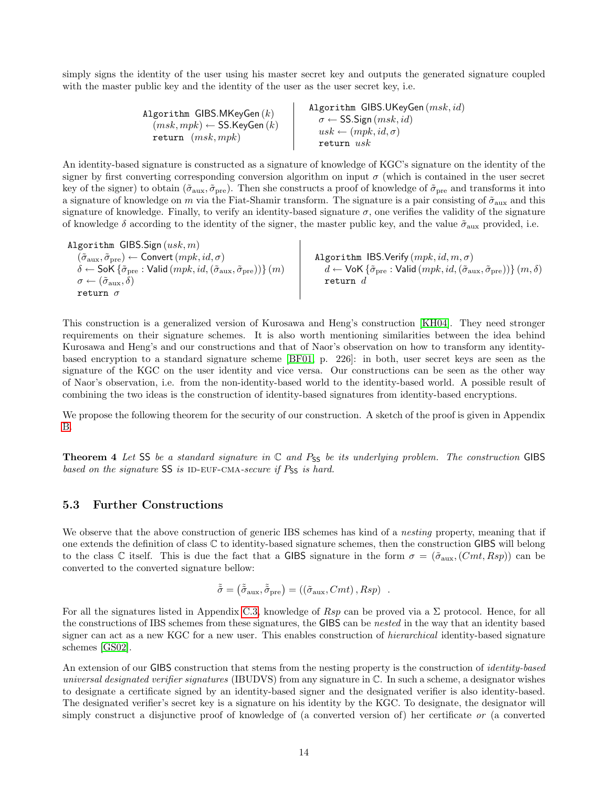<span id="page-13-0"></span>simply signs the identity of the user using his master secret key and outputs the generated signature coupled with the master public key and the identity of the user as the user secret key, i.e.

| Algorithm GIBS.MKeyGen $(k)$<br>$(msk, mpk) \leftarrow$ SS. Key Gen $(k)$<br>return $(msk, mpk)$ | Algorithm GIBS.UKeyGen $(msk, id)$<br>$\sigma \leftarrow$ SS.Sign ( <i>msk, id</i> ) |
|--------------------------------------------------------------------------------------------------|--------------------------------------------------------------------------------------|
|                                                                                                  | $usk \leftarrow (mpk, id, \sigma)$<br>return $usk$                                   |

An identity-based signature is constructed as a signature of knowledge of KGC's signature on the identity of the signer by first converting corresponding conversion algorithm on input  $\sigma$  (which is contained in the user secret key of the signer) to obtain  $(\tilde{\sigma}_{aux}, \tilde{\sigma}_{pre})$ . Then she constructs a proof of knowledge of  $\tilde{\sigma}_{pre}$  and transforms it into a signature of knowledge on m via the Fiat-Shamir transform. The signature is a pair consisting of  $\tilde{\sigma}_{aux}$  and this signature of knowledge. Finally, to verify an identity-based signature  $\sigma$ , one verifies the validity of the signature of knowledge  $\delta$  according to the identity of the signer, the master public key, and the value  $\tilde{\sigma}_{aux}$  provided, i.e.

Algorithm GIBS.Sign  $(usk, m)$  $(\tilde{\sigma}_{\text{aux}}, \tilde{\sigma}_{\text{pre}}) \leftarrow \text{Convert}(mpk, id, \sigma)$  $\delta \leftarrow \mathsf{Sok}\left\{ \tilde{\sigma}_{\mathrm{pre}}:\mathsf{Valid}\left(mpk,id,(\tilde{\sigma}_{\mathrm{aux}},\tilde{\sigma}_{\mathrm{pre}})\right)\right\} (m)$  $\sigma \leftarrow (\tilde{\sigma}_{\mathrm{aux}}, \delta)$ return  $\sigma$ Algorithm IBS.Verify  $(mpk, id, m, \sigma)$  $d \leftarrow \mathsf{Vok}\left\{\tilde{\sigma}_{\mathrm{pre}}:\mathsf{Valid}\left(mpk,id,(\tilde{\sigma}_{\mathrm{aux}},\tilde{\sigma}_{\mathrm{pre}})\right)\right\}(m,\delta)$ return  $d$ 

This construction is a generalized version of Kurosawa and Heng's construction [\[KH04\]](#page-17-4). They need stronger requirements on their signature schemes. It is also worth mentioning similarities between the idea behind Kurosawa and Heng's and our constructions and that of Naor's observation on how to transform any identitybased encryption to a standard signature scheme [\[BF01,](#page-14-5) p. 226]: in both, user secret keys are seen as the signature of the KGC on the user identity and vice versa. Our constructions can be seen as the other way of Naor's observation, i.e. from the non-identity-based world to the identity-based world. A possible result of combining the two ideas is the construction of identity-based signatures from identity-based encryptions.

<span id="page-13-1"></span>We propose the following theorem for the security of our construction. A sketch of the proof is given in Appendix [B.](#page-23-0)

**Theorem 4** Let SS be a standard signature in  $\mathbb C$  and  $P_{SS}$  be its underlying problem. The construction GIBS based on the signature SS is ID-EUF-CMA-secure if  $P_{SS}$  is hard.

#### 5.3 Further Constructions

We observe that the above construction of generic IBS schemes has kind of a *nesting* property, meaning that if one extends the definition of class C to identity-based signature schemes, then the construction GIBS will belong to the class C itself. This is due the fact that a GIBS signature in the form  $\sigma = (\tilde{\sigma}_{aux},(Cmt,Rsp))$  can be converted to the converted signature bellow:

$$
\tilde{\tilde{\sigma}} = (\tilde{\tilde{\sigma}}_{\text{aux}}, \tilde{\tilde{\sigma}}_{\text{pre}}) = ((\tilde{\sigma}_{\text{aux}}, Cmt), Rsp) .
$$

For all the signatures listed in Appendix [C.3,](#page-26-0) knowledge of Rsp can be proved via a  $\Sigma$  protocol. Hence, for all the constructions of IBS schemes from these signatures, the GIBS can be nested in the way that an identity based signer can act as a new KGC for a new user. This enables construction of *hierarchical* identity-based signature schemes [\[GS02\]](#page-16-13).

An extension of our GIBS construction that stems from the nesting property is the construction of *identity-based* universal designated verifier signatures (IBUDVS) from any signature in  $\mathbb{C}$ . In such a scheme, a designator wishes to designate a certificate signed by an identity-based signer and the designated verifier is also identity-based. The designated verifier's secret key is a signature on his identity by the KGC. To designate, the designator will simply construct a disjunctive proof of knowledge of (a converted version of) her certificate or (a converted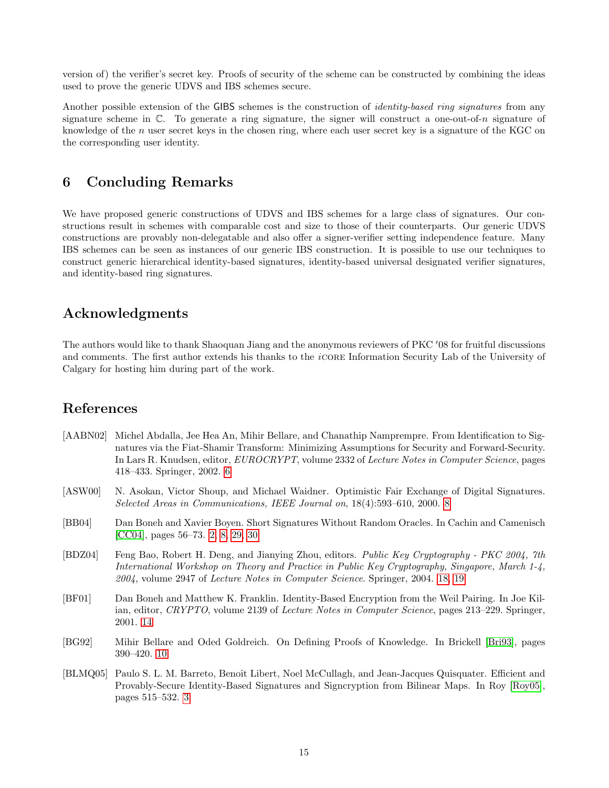<span id="page-14-6"></span>version of) the verifier's secret key. Proofs of security of the scheme can be constructed by combining the ideas used to prove the generic UDVS and IBS schemes secure.

Another possible extension of the GIBS schemes is the construction of *identity-based ring signatures* from any signature scheme in  $\mathbb{C}$ . To generate a ring signature, the signer will construct a one-out-of-n signature of knowledge of the n user secret keys in the chosen ring, where each user secret key is a signature of the KGC on the corresponding user identity.

# 6 Concluding Remarks

We have proposed generic constructions of UDVS and IBS schemes for a large class of signatures. Our constructions result in schemes with comparable cost and size to those of their counterparts. Our generic UDVS constructions are provably non-delegatable and also offer a signer-verifier setting independence feature. Many IBS schemes can be seen as instances of our generic IBS construction. It is possible to use our techniques to construct generic hierarchical identity-based signatures, identity-based universal designated verifier signatures, and identity-based ring signatures.

# Acknowledgments

The authors would like to thank Shaoquan Jiang and the anonymous reviewers of PKC <sup>0</sup>08 for fruitful discussions and comments. The first author extends his thanks to the icore Information Security Lab of the University of Calgary for hosting him during part of the work.

# References

- <span id="page-14-2"></span>[AABN02] Michel Abdalla, Jee Hea An, Mihir Bellare, and Chanathip Namprempre. From Identification to Signatures via the Fiat-Shamir Transform: Minimizing Assumptions for Security and Forward-Security. In Lars R. Knudsen, editor, EUROCRYPT, volume 2332 of Lecture Notes in Computer Science, pages 418–433. Springer, 2002. [6](#page-5-1)
- <span id="page-14-3"></span>[ASW00] N. Asokan, Victor Shoup, and Michael Waidner. Optimistic Fair Exchange of Digital Signatures. Selected Areas in Communications, IEEE Journal on, 18(4):593–610, 2000. [8](#page-7-0)
- <span id="page-14-0"></span>[BB04] Dan Boneh and Xavier Boyen. Short Signatures Without Random Oracles. In Cachin and Camenisch [\[CC04\]](#page-15-13), pages 56–73. [2,](#page-1-0) [8,](#page-7-0) [29,](#page-28-0) [30](#page-29-0)
- <span id="page-14-7"></span>[BDZ04] Feng Bao, Robert H. Deng, and Jianying Zhou, editors. Public Key Cryptography - PKC 2004, 7th International Workshop on Theory and Practice in Public Key Cryptography, Singapore, March 1-4, 2004, volume 2947 of Lecture Notes in Computer Science. Springer, 2004. [18,](#page-17-14) [19](#page-18-13)
- <span id="page-14-5"></span>[BF01] Dan Boneh and Matthew K. Franklin. Identity-Based Encryption from the Weil Pairing. In Joe Kilian, editor, CRYPTO, volume 2139 of Lecture Notes in Computer Science, pages 213–229. Springer, 2001. [14](#page-13-0)
- <span id="page-14-4"></span>[BG92] Mihir Bellare and Oded Goldreich. On Defining Proofs of Knowledge. In Brickell [\[Bri93\]](#page-15-14), pages 390–420. [10](#page-9-1)
- <span id="page-14-1"></span>[BLMQ05] Paulo S. L. M. Barreto, Benoît Libert, Noel McCullagh, and Jean-Jacques Quisquater. Efficient and Provably-Secure Identity-Based Signatures and Signcryption from Bilinear Maps. In Roy [\[Roy05\]](#page-18-14), pages 515–532. [3](#page-2-0)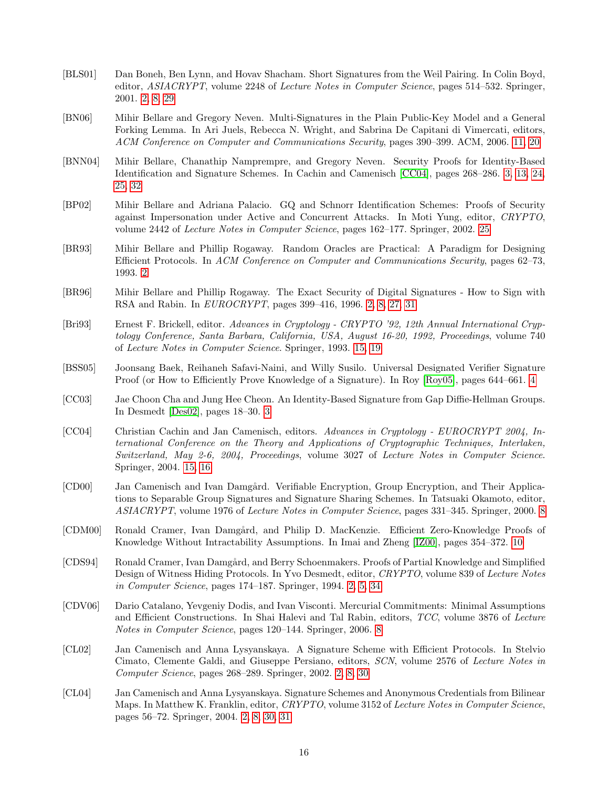- <span id="page-15-15"></span><span id="page-15-3"></span>[BLS01] Dan Boneh, Ben Lynn, and Hovav Shacham. Short Signatures from the Weil Pairing. In Colin Boyd, editor, ASIACRYPT, volume 2248 of Lecture Notes in Computer Science, pages 514–532. Springer, 2001. [2,](#page-1-0) [8,](#page-7-0) [29](#page-28-0)
- <span id="page-15-12"></span>[BN06] Mihir Bellare and Gregory Neven. Multi-Signatures in the Plain Public-Key Model and a General Forking Lemma. In Ari Juels, Rebecca N. Wright, and Sabrina De Capitani di Vimercati, editors, ACM Conference on Computer and Communications Security, pages 390–399. ACM, 2006. [11,](#page-10-0) [20](#page-19-1)
- <span id="page-15-6"></span>[BNN04] Mihir Bellare, Chanathip Namprempre, and Gregory Neven. Security Proofs for Identity-Based Identification and Signature Schemes. In Cachin and Camenisch [\[CC04\]](#page-15-13), pages 268–286. [3,](#page-2-0) [13,](#page-12-1) [24,](#page-23-1) [25,](#page-24-0) [32](#page-31-1)
- <span id="page-15-16"></span>[BP02] Mihir Bellare and Adriana Palacio. GQ and Schnorr Identification Schemes: Proofs of Security against Impersonation under Active and Concurrent Attacks. In Moti Yung, editor, CRYPTO, volume 2442 of Lecture Notes in Computer Science, pages 162–177. Springer, 2002. [25](#page-24-0)
- <span id="page-15-1"></span>[BR93] Mihir Bellare and Phillip Rogaway. Random Oracles are Practical: A Paradigm for Designing Efficient Protocols. In ACM Conference on Computer and Communications Security, pages 62–73, 1993. [2](#page-1-0)
- <span id="page-15-2"></span>[BR96] Mihir Bellare and Phillip Rogaway. The Exact Security of Digital Signatures - How to Sign with RSA and Rabin. In EUROCRYPT, pages 399–416, 1996. [2,](#page-1-0) [8,](#page-7-0) [27,](#page-26-1) [31](#page-30-1)
- <span id="page-15-14"></span>[Bri93] Ernest F. Brickell, editor. Advances in Cryptology - CRYPTO '92, 12th Annual International Cryptology Conference, Santa Barbara, California, USA, August 16-20, 1992, Proceedings, volume 740 of Lecture Notes in Computer Science. Springer, 1993. [15,](#page-14-6) [19](#page-18-13)
- <span id="page-15-8"></span>[BSS05] Joonsang Baek, Reihaneh Safavi-Naini, and Willy Susilo. Universal Designated Verifier Signature Proof (or How to Efficiently Prove Knowledge of a Signature). In Roy [\[Roy05\]](#page-18-14), pages 644–661. [4](#page-3-1)
- <span id="page-15-7"></span>[CC03] Jae Choon Cha and Jung Hee Cheon. An Identity-Based Signature from Gap Diffie-Hellman Groups. In Desmedt [\[Des02\]](#page-16-14), pages 18–30. [3](#page-2-0)
- <span id="page-15-13"></span>[CC04] Christian Cachin and Jan Camenisch, editors. Advances in Cryptology - EUROCRYPT 2004, International Conference on the Theory and Applications of Cryptographic Techniques, Interlaken, Switzerland, May 2-6, 2004, Proceedings, volume 3027 of Lecture Notes in Computer Science. Springer, 2004. [15,](#page-14-6) [16](#page-15-15)
- <span id="page-15-9"></span>[CD00] Jan Camenisch and Ivan Damgård. Verifiable Encryption, Group Encryption, and Their Applications to Separable Group Signatures and Signature Sharing Schemes. In Tatsuaki Okamoto, editor, ASIACRYPT, volume 1976 of Lecture Notes in Computer Science, pages 331–345. Springer, 2000. [8](#page-7-0)
- <span id="page-15-11"></span>[CDM00] Ronald Cramer, Ivan Damgård, and Philip D. MacKenzie. Efficient Zero-Knowledge Proofs of Knowledge Without Intractability Assumptions. In Imai and Zheng [\[IZ00\]](#page-17-15), pages 354–372. [10](#page-9-1)
- <span id="page-15-0"></span>[CDS94] Ronald Cramer, Ivan Damgård, and Berry Schoenmakers. Proofs of Partial Knowledge and Simplified Design of Witness Hiding Protocols. In Yvo Desmedt, editor, CRYPTO, volume 839 of Lecture Notes in Computer Science, pages 174–187. Springer, 1994. [2,](#page-1-0) [5,](#page-4-1) [34](#page-33-0)
- <span id="page-15-10"></span>[CDV06] Dario Catalano, Yevgeniy Dodis, and Ivan Visconti. Mercurial Commitments: Minimal Assumptions and Efficient Constructions. In Shai Halevi and Tal Rabin, editors, TCC, volume 3876 of Lecture Notes in Computer Science, pages 120–144. Springer, 2006. [8](#page-7-0)
- <span id="page-15-4"></span>[CL02] Jan Camenisch and Anna Lysyanskaya. A Signature Scheme with Efficient Protocols. In Stelvio Cimato, Clemente Galdi, and Giuseppe Persiano, editors, SCN, volume 2576 of Lecture Notes in Computer Science, pages 268–289. Springer, 2002. [2,](#page-1-0) [8,](#page-7-0) [30](#page-29-0)
- <span id="page-15-5"></span>[CL04] Jan Camenisch and Anna Lysyanskaya. Signature Schemes and Anonymous Credentials from Bilinear Maps. In Matthew K. Franklin, editor, CRYPTO, volume 3152 of Lecture Notes in Computer Science, pages 56–72. Springer, 2004. [2,](#page-1-0) [8,](#page-7-0) [30,](#page-29-0) [31](#page-30-1)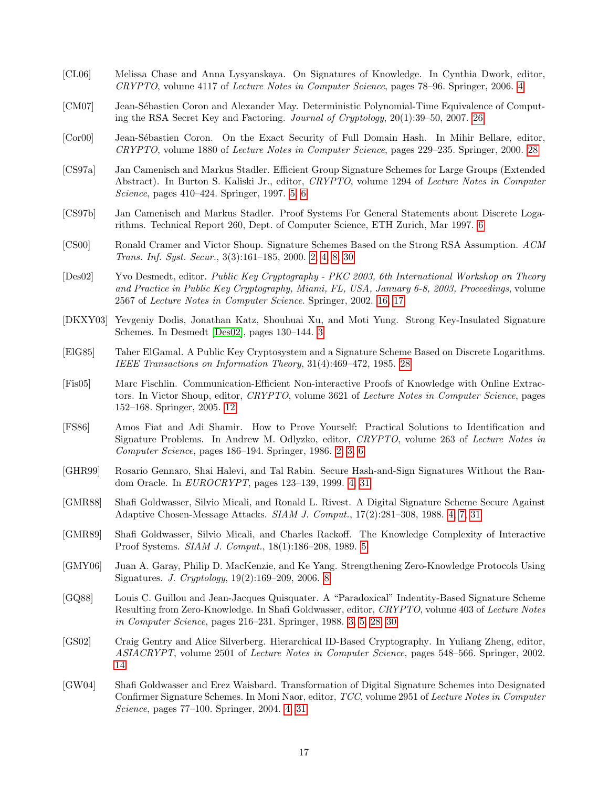- <span id="page-16-15"></span><span id="page-16-7"></span>[CL06] Melissa Chase and Anna Lysyanskaya. On Signatures of Knowledge. In Cynthia Dwork, editor, CRYPTO, volume 4117 of Lecture Notes in Computer Science, pages 78–96. Springer, 2006. [4](#page-3-1)
- <span id="page-16-16"></span>[CM07] Jean-S´ebastien Coron and Alexander May. Deterministic Polynomial-Time Equivalence of Computing the RSA Secret Key and Factoring. Journal of Cryptology, 20(1):39–50, 2007. [26](#page-25-2)
- <span id="page-16-17"></span>[Cor00] Jean-Sébastien Coron. On the Exact Security of Full Domain Hash. In Mihir Bellare, editor, CRYPTO, volume 1880 of Lecture Notes in Computer Science, pages 229–235. Springer, 2000. [28](#page-27-0)
- <span id="page-16-8"></span>[CS97a] Jan Camenisch and Markus Stadler. Efficient Group Signature Schemes for Large Groups (Extended Abstract). In Burton S. Kaliski Jr., editor, CRYPTO, volume 1294 of Lecture Notes in Computer Science, pages 410–424. Springer, 1997. [5,](#page-4-1) [6](#page-5-1)
- <span id="page-16-10"></span>[CS97b] Jan Camenisch and Markus Stadler. Proof Systems For General Statements about Discrete Logarithms. Technical Report 260, Dept. of Computer Science, ETH Zurich, Mar 1997. [6](#page-5-1)
- <span id="page-16-1"></span>[CS00] Ronald Cramer and Victor Shoup. Signature Schemes Based on the Strong RSA Assumption. ACM Trans. Inf. Syst. Secur., 3(3):161–185, 2000. [2,](#page-1-0) [4,](#page-3-1) [8,](#page-7-0) [30](#page-29-0)
- <span id="page-16-14"></span>[Des02] Yvo Desmedt, editor. Public Key Cryptography - PKC 2003, 6th International Workshop on Theory and Practice in Public Key Cryptography, Miami, FL, USA, January 6-8, 2003, Proceedings, volume 2567 of Lecture Notes in Computer Science. Springer, 2002. [16,](#page-15-15) [17](#page-16-15)
- <span id="page-16-3"></span>[DKXY03] Yevgeniy Dodis, Jonathan Katz, Shouhuai Xu, and Moti Yung. Strong Key-Insulated Signature Schemes. In Desmedt [\[Des02\]](#page-16-14), pages 130–144. [3](#page-2-0)
- <span id="page-16-18"></span>[ElG85] Taher ElGamal. A Public Key Cryptosystem and a Signature Scheme Based on Discrete Logarithms. IEEE Transactions on Information Theory, 31(4):469–472, 1985. [28](#page-27-0)
- <span id="page-16-12"></span>[Fis05] Marc Fischlin. Communication-Efficient Non-interactive Proofs of Knowledge with Online Extractors. In Victor Shoup, editor, CRYPTO, volume 3621 of Lecture Notes in Computer Science, pages 152–168. Springer, 2005. [12](#page-11-0)
- <span id="page-16-0"></span>[FS86] Amos Fiat and Adi Shamir. How to Prove Yourself: Practical Solutions to Identification and Signature Problems. In Andrew M. Odlyzko, editor, CRYPTO, volume 263 of Lecture Notes in Computer Science, pages 186–194. Springer, 1986. [2,](#page-1-0) [3,](#page-2-0) [6](#page-5-1)
- <span id="page-16-6"></span>[GHR99] Rosario Gennaro, Shai Halevi, and Tal Rabin. Secure Hash-and-Sign Signatures Without the Random Oracle. In EUROCRYPT, pages 123–139, 1999. [4,](#page-3-1) [31](#page-30-1)
- <span id="page-16-5"></span>[GMR88] Shafi Goldwasser, Silvio Micali, and Ronald L. Rivest. A Digital Signature Scheme Secure Against Adaptive Chosen-Message Attacks. SIAM J. Comput., 17(2):281–308, 1988. [4,](#page-3-1) [7,](#page-6-1) [31](#page-30-1)
- <span id="page-16-9"></span>[GMR89] Shafi Goldwasser, Silvio Micali, and Charles Rackoff. The Knowledge Complexity of Interactive Proof Systems. SIAM J. Comput., 18(1):186–208, 1989. [5](#page-4-1)
- <span id="page-16-11"></span>[GMY06] Juan A. Garay, Philip D. MacKenzie, and Ke Yang. Strengthening Zero-Knowledge Protocols Using Signatures. J. Cryptology, 19(2):169–209, 2006. [8](#page-7-0)
- <span id="page-16-2"></span>[GQ88] Louis C. Guillou and Jean-Jacques Quisquater. A "Paradoxical" Indentity-Based Signature Scheme Resulting from Zero-Knowledge. In Shafi Goldwasser, editor, CRYPTO, volume 403 of Lecture Notes in Computer Science, pages 216–231. Springer, 1988. [3,](#page-2-0) [5,](#page-4-1) [28,](#page-27-0) [30](#page-29-0)
- <span id="page-16-13"></span>[GS02] Craig Gentry and Alice Silverberg. Hierarchical ID-Based Cryptography. In Yuliang Zheng, editor, ASIACRYPT, volume 2501 of Lecture Notes in Computer Science, pages 548–566. Springer, 2002. [14](#page-13-0)
- <span id="page-16-4"></span>[GW04] Shafi Goldwasser and Erez Waisbard. Transformation of Digital Signature Schemes into Designated Confirmer Signature Schemes. In Moni Naor, editor, TCC, volume 2951 of Lecture Notes in Computer Science, pages 77–100. Springer, 2004. [4,](#page-3-1) [31](#page-30-1)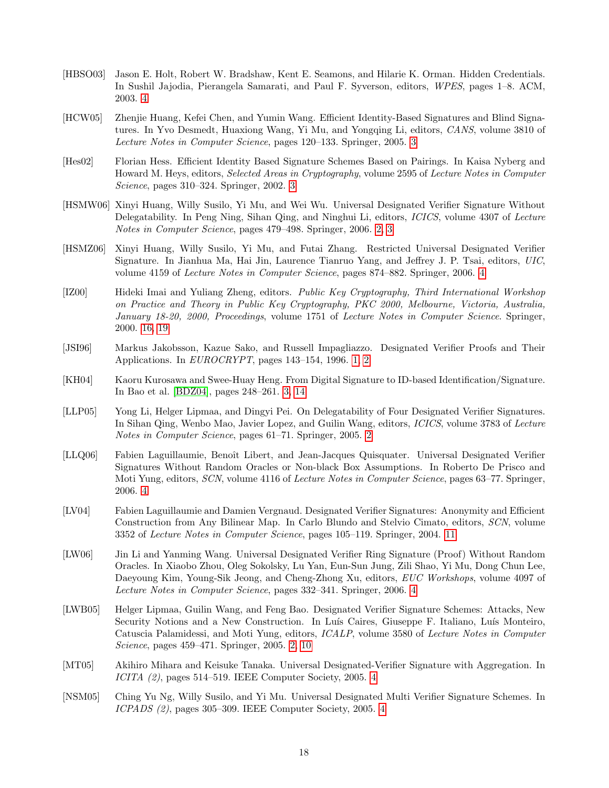- <span id="page-17-14"></span><span id="page-17-12"></span>[HBSO03] Jason E. Holt, Robert W. Bradshaw, Kent E. Seamons, and Hilarie K. Orman. Hidden Credentials. In Sushil Jajodia, Pierangela Samarati, and Paul F. Syverson, editors, WPES, pages 1–8. ACM, 2003. [4](#page-3-1)
- <span id="page-17-6"></span>[HCW05] Zhenjie Huang, Kefei Chen, and Yumin Wang. Efficient Identity-Based Signatures and Blind Signatures. In Yvo Desmedt, Huaxiong Wang, Yi Mu, and Yongqing Li, editors, CANS, volume 3810 of Lecture Notes in Computer Science, pages 120–133. Springer, 2005. [3](#page-2-0)
- <span id="page-17-5"></span>[Hes02] Florian Hess. Efficient Identity Based Signature Schemes Based on Pairings. In Kaisa Nyberg and Howard M. Heys, editors, Selected Areas in Cryptography, volume 2595 of Lecture Notes in Computer Science, pages 310–324. Springer, 2002. [3](#page-2-0)
- <span id="page-17-2"></span>[HSMW06] Xinyi Huang, Willy Susilo, Yi Mu, and Wei Wu. Universal Designated Verifier Signature Without Delegatability. In Peng Ning, Sihan Qing, and Ninghui Li, editors, ICICS, volume 4307 of Lecture Notes in Computer Science, pages 479–498. Springer, 2006. [2,](#page-1-0) [3](#page-2-0)
- <span id="page-17-11"></span>[HSMZ06] Xinyi Huang, Willy Susilo, Yi Mu, and Futai Zhang. Restricted Universal Designated Verifier Signature. In Jianhua Ma, Hai Jin, Laurence Tianruo Yang, and Jeffrey J. P. Tsai, editors, UIC, volume 4159 of Lecture Notes in Computer Science, pages 874–882. Springer, 2006. [4](#page-3-1)
- <span id="page-17-15"></span>[IZ00] Hideki Imai and Yuliang Zheng, editors. Public Key Cryptography, Third International Workshop on Practice and Theory in Public Key Cryptography, PKC 2000, Melbourne, Victoria, Australia, January 18-20, 2000, Proceedings, volume 1751 of Lecture Notes in Computer Science. Springer, 2000. [16,](#page-15-15) [19](#page-18-13)
- <span id="page-17-0"></span>[JSI96] Markus Jakobsson, Kazue Sako, and Russell Impagliazzo. Designated Verifier Proofs and Their Applications. In EUROCRYPT, pages 143–154, 1996. [1,](#page-0-0) [2](#page-1-0)
- <span id="page-17-4"></span>[KH04] Kaoru Kurosawa and Swee-Huay Heng. From Digital Signature to ID-based Identification/Signature. In Bao et al. [\[BDZ04\]](#page-14-7), pages 248–261. [3,](#page-2-0) [14](#page-13-0)
- <span id="page-17-3"></span>[LLP05] Yong Li, Helger Lipmaa, and Dingyi Pei. On Delegatability of Four Designated Verifier Signatures. In Sihan Qing, Wenbo Mao, Javier Lopez, and Guilin Wang, editors, ICICS, volume 3783 of Lecture Notes in Computer Science, pages 61–71. Springer, 2005. [2](#page-1-0)
- <span id="page-17-7"></span>[LLQ06] Fabien Laguillaumie, Benoît Libert, and Jean-Jacques Quisquater. Universal Designated Verifier Signatures Without Random Oracles or Non-black Box Assumptions. In Roberto De Prisco and Moti Yung, editors, SCN, volume 4116 of Lecture Notes in Computer Science, pages 63–77. Springer, 2006. [4](#page-3-1)
- <span id="page-17-13"></span>[LV04] Fabien Laguillaumie and Damien Vergnaud. Designated Verifier Signatures: Anonymity and Efficient Construction from Any Bilinear Map. In Carlo Blundo and Stelvio Cimato, editors, SCN, volume 3352 of Lecture Notes in Computer Science, pages 105–119. Springer, 2004. [11](#page-10-0)
- <span id="page-17-10"></span>[LW06] Jin Li and Yanming Wang. Universal Designated Verifier Ring Signature (Proof) Without Random Oracles. In Xiaobo Zhou, Oleg Sokolsky, Lu Yan, Eun-Sun Jung, Zili Shao, Yi Mu, Dong Chun Lee, Daeyoung Kim, Young-Sik Jeong, and Cheng-Zhong Xu, editors, EUC Workshops, volume 4097 of Lecture Notes in Computer Science, pages 332–341. Springer, 2006. [4](#page-3-1)
- <span id="page-17-1"></span>[LWB05] Helger Lipmaa, Guilin Wang, and Feng Bao. Designated Verifier Signature Schemes: Attacks, New Security Notions and a New Construction. In Luís Caires, Giuseppe F. Italiano, Luís Monteiro, Catuscia Palamidessi, and Moti Yung, editors, ICALP, volume 3580 of Lecture Notes in Computer Science, pages 459–471. Springer, 2005. [2,](#page-1-0) [10](#page-9-1)
- <span id="page-17-9"></span>[MT05] Akihiro Mihara and Keisuke Tanaka. Universal Designated-Verifier Signature with Aggregation. In ICITA (2), pages 514–519. IEEE Computer Society, 2005. [4](#page-3-1)
- <span id="page-17-8"></span>[NSM05] Ching Yu Ng, Willy Susilo, and Yi Mu. Universal Designated Multi Verifier Signature Schemes. In ICPADS (2), pages 305–309. IEEE Computer Society, 2005. [4](#page-3-1)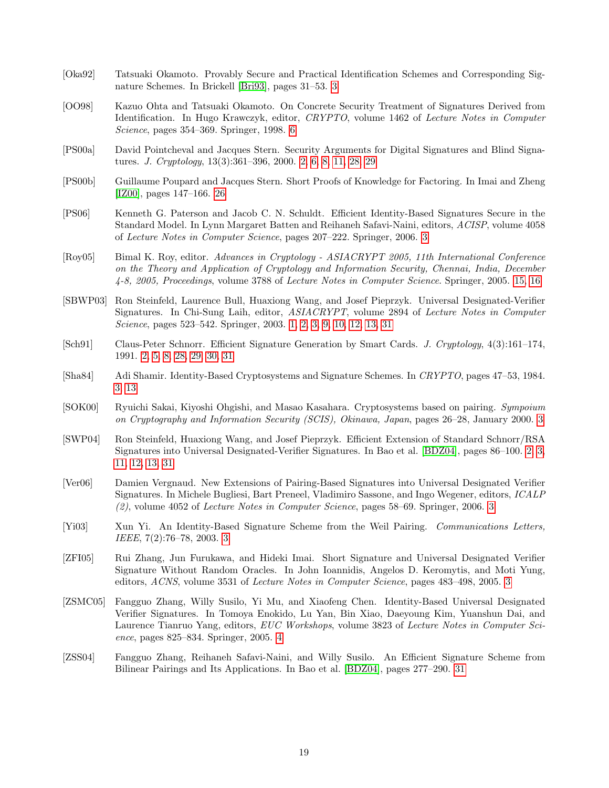- <span id="page-18-13"></span><span id="page-18-5"></span>[Oka92] Tatsuaki Okamoto. Provably Secure and Practical Identification Schemes and Corresponding Signature Schemes. In Brickell [\[Bri93\]](#page-15-14), pages 31–53. [3](#page-2-0)
- <span id="page-18-12"></span>[OO98] Kazuo Ohta and Tatsuaki Okamoto. On Concrete Security Treatment of Signatures Derived from Identification. In Hugo Krawczyk, editor, CRYPTO, volume 1462 of Lecture Notes in Computer Science, pages 354–369. Springer, 1998. [6](#page-5-1)
- <span id="page-18-3"></span>[PS00a] David Pointcheval and Jacques Stern. Security Arguments for Digital Signatures and Blind Signatures. J. Cryptology, 13(3):361–396, 2000. [2,](#page-1-0) [6,](#page-5-1) [8,](#page-7-0) [11,](#page-10-0) [28,](#page-27-0) [29](#page-28-0)
- <span id="page-18-15"></span>[PS00b] Guillaume Poupard and Jacques Stern. Short Proofs of Knowledge for Factoring. In Imai and Zheng [\[IZ00\]](#page-17-15), pages 147–166. [26](#page-25-2)
- <span id="page-18-8"></span>[PS06] Kenneth G. Paterson and Jacob C. N. Schuldt. Efficient Identity-Based Signatures Secure in the Standard Model. In Lynn Margaret Batten and Reihaneh Safavi-Naini, editors, ACISP, volume 4058 of Lecture Notes in Computer Science, pages 207–222. Springer, 2006. [3](#page-2-0)
- <span id="page-18-14"></span>[Roy05] Bimal K. Roy, editor. Advances in Cryptology - ASIACRYPT 2005, 11th International Conference on the Theory and Application of Cryptology and Information Security, Chennai, India, December 4-8, 2005, Proceedings, volume 3788 of Lecture Notes in Computer Science. Springer, 2005. [15,](#page-14-6) [16](#page-15-15)
- <span id="page-18-0"></span>[SBWP03] Ron Steinfeld, Laurence Bull, Huaxiong Wang, and Josef Pieprzyk. Universal Designated-Verifier Signatures. In Chi-Sung Laih, editor, ASIACRYPT, volume 2894 of Lecture Notes in Computer Science, pages 523–542. Springer, 2003. [1,](#page-0-0) [2,](#page-1-0) [3,](#page-2-0) [9,](#page-8-1) [10,](#page-9-1) [12,](#page-11-0) [13,](#page-12-1) [31](#page-30-1)
- <span id="page-18-2"></span>[Sch91] Claus-Peter Schnorr. Efficient Signature Generation by Smart Cards. J. Cryptology, 4(3):161–174, 1991. [2,](#page-1-0) [5,](#page-4-1) [8,](#page-7-0) [28,](#page-27-0) [29,](#page-28-0) [30,](#page-29-0) [31](#page-30-1)
- <span id="page-18-4"></span>[Sha84] Adi Shamir. Identity-Based Cryptosystems and Signature Schemes. In CRYPTO, pages 47–53, 1984. [3,](#page-2-0) [13](#page-12-1)
- <span id="page-18-6"></span>[SOK00] Ryuichi Sakai, Kiyoshi Ohgishi, and Masao Kasahara. Cryptosystems based on pairing. Sympoium on Cryptography and Information Security (SCIS), Okinawa, Japan, pages 26–28, January 2000. [3](#page-2-0)
- <span id="page-18-1"></span>[SWP04] Ron Steinfeld, Huaxiong Wang, and Josef Pieprzyk. Efficient Extension of Standard Schnorr/RSA Signatures into Universal Designated-Verifier Signatures. In Bao et al. [\[BDZ04\]](#page-14-7), pages 86–100. [2,](#page-1-0) [3,](#page-2-0) [11,](#page-10-0) [12,](#page-11-0) [13,](#page-12-1) [31](#page-30-1)
- <span id="page-18-10"></span>[Ver06] Damien Vergnaud. New Extensions of Pairing-Based Signatures into Universal Designated Verifier Signatures. In Michele Bugliesi, Bart Preneel, Vladimiro Sassone, and Ingo Wegener, editors, ICALP (2), volume 4052 of Lecture Notes in Computer Science, pages 58–69. Springer, 2006. [3](#page-2-0)
- <span id="page-18-7"></span>[Yi03] Xun Yi. An Identity-Based Signature Scheme from the Weil Pairing. Communications Letters, IEEE, 7(2):76–78, 2003. [3](#page-2-0)
- <span id="page-18-9"></span>[ZFI05] Rui Zhang, Jun Furukawa, and Hideki Imai. Short Signature and Universal Designated Verifier Signature Without Random Oracles. In John Ioannidis, Angelos D. Keromytis, and Moti Yung, editors, ACNS, volume 3531 of Lecture Notes in Computer Science, pages 483–498, 2005. [3](#page-2-0)
- <span id="page-18-11"></span>[ZSMC05] Fangguo Zhang, Willy Susilo, Yi Mu, and Xiaofeng Chen. Identity-Based Universal Designated Verifier Signatures. In Tomoya Enokido, Lu Yan, Bin Xiao, Daeyoung Kim, Yuanshun Dai, and Laurence Tianruo Yang, editors, EUC Workshops, volume 3823 of Lecture Notes in Computer Science, pages 825–834. Springer, 2005. [4](#page-3-1)
- <span id="page-18-16"></span>[ZSS04] Fangguo Zhang, Reihaneh Safavi-Naini, and Willy Susilo. An Efficient Signature Scheme from Bilinear Pairings and Its Applications. In Bao et al. [\[BDZ04\]](#page-14-7), pages 277–290. [31](#page-30-1)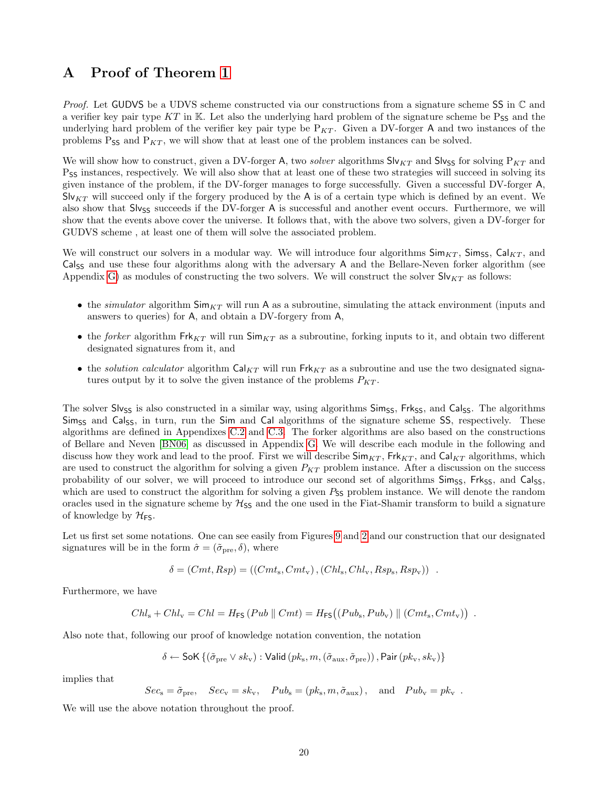# <span id="page-19-1"></span><span id="page-19-0"></span>A Proof of Theorem [1](#page-10-1)

Proof. Let GUDVS be a UDVS scheme constructed via our constructions from a signature scheme SS in  $\mathbb C$  and a verifier key pair type KT in K. Let also the underlying hard problem of the signature scheme be  $P_{SS}$  and the underlying hard problem of the verifier key pair type be  $P_{KT}$ . Given a DV-forger A and two instances of the problems  $P_{SS}$  and  $P_{KT}$ , we will show that at least one of the problem instances can be solved.

We will show how to construct, given a DV-forger A, two *solver* algorithms  $\mathsf{Slv}_{KT}$  and  $\mathsf{Slv}_{SS}$  for solving  $P_{KT}$  and PSS instances, respectively. We will also show that at least one of these two strategies will succeed in solving its given instance of the problem, if the DV-forger manages to forge successfully. Given a successful DV-forger A,  $\mathsf{Siv}_{KT}$  will succeed only if the forgery produced by the A is of a certain type which is defined by an event. We also show that Slv<sub>SS</sub> succeeds if the DV-forger A is successful and another event occurs. Furthermore, we will show that the events above cover the universe. It follows that, with the above two solvers, given a DV-forger for GUDVS scheme , at least one of them will solve the associated problem.

We will construct our solvers in a modular way. We will introduce four algorithms  $\textsf{Sim}_{KT}$ ,  $\textsf{Sim}_{SS}$ ,  $\textsf{Cal}_{KT}$ , and Cal<sub>SS</sub> and use these four algorithms along with the adversary A and the Bellare-Neven forker algorithm (see Appendix [G\)](#page-34-0) as modules of constructing the two solvers. We will construct the solver  $\mathsf{Siv}_{KT}$  as follows:

- the simulator algorithm  $\textsf{Sim}_{KT}$  will run A as a subroutine, simulating the attack environment (inputs and answers to queries) for A, and obtain a DV-forgery from A,
- the forker algorithm  $Frk_{KT}$  will run  $\textsf{Sim}_{KT}$  as a subroutine, forking inputs to it, and obtain two different designated signatures from it, and
- the solution calculator algorithm  $\text{Cal}_{KT}$  will run Frk<sub>KT</sub> as a subroutine and use the two designated signatures output by it to solve the given instance of the problems  $P_{KT}$ .

The solver  $S\log_5$  is also constructed in a similar way, using algorithms  $Sim_{SS}$ , Frk<sub>SS</sub>, and Cal<sub>SS</sub>. The algorithms  $\text{Sim}_{SS}$  and  $\text{Cal}_{SS}$ , in turn, run the Sim and Cal algorithms of the signature scheme SS, respectively. These algorithms are defined in Appendixes [C.2](#page-25-1) and [C.3.](#page-26-0) The forker algorithms are also based on the constructions of Bellare and Neven [\[BN06\]](#page-15-12) as discussed in Appendix [G.](#page-34-0) We will describe each module in the following and discuss how they work and lead to the proof. First we will describe  $\mathsf{Sim}_{KT}$ ,  $\mathsf{Frk}_{KT}$ , and  $\mathsf{Cal}_{KT}$  algorithms, which are used to construct the algorithm for solving a given  $P_{KT}$  problem instance. After a discussion on the success probability of our solver, we will proceed to introduce our second set of algorithms Sim<sub>SS</sub>, Frk<sub>SS</sub>, and Cal<sub>SS</sub>, which are used to construct the algorithm for solving a given  $P_{\text{SS}}$  problem instance. We will denote the random oracles used in the signature scheme by  $H_{SS}$  and the one used in the Fiat-Shamir transform to build a signature of knowledge by  $\mathcal{H}_{FS}$ .

Let us first set some notations. One can see easily from Figures [9](#page-32-1) and [2](#page-5-0) and our construction that our designated signatures will be in the form  $\hat{\sigma} = (\tilde{\sigma}_{pre}, \delta)$ , where

$$
\delta = (Cmt, Rsp) = ((Cmt_s, Cmt_v), (Chl_s, Chl_v, Rsp_s, Rsp_v))
$$

Furthermore, we have

$$
Chl_s + Chl_v = Chl = H_{FS}(Pub || Cmt) = H_{FS}((Pub_s, Pub_v) || (Cmt_s, Cmt_v)) .
$$

Also note that, following our proof of knowledge notation convention, the notation

$$
\delta \leftarrow \mathsf{Sok}\left\{\left(\tilde{\sigma}_{\mathrm{pre}} \vee sk_{\mathrm{v}}\right) : \mathsf{Valid}\left(pk_{\mathrm{s}}, m, \left(\tilde{\sigma}_{\mathrm{aux}}, \tilde{\sigma}_{\mathrm{pre}}\right)\right), \mathsf{Pair}\left(pk_{\mathrm{v}}, sk_{\mathrm{v}}\right)\right\}
$$

implies that

$$
Sec_s = \tilde{\sigma}_{pre}, \quad Sec_v = sk_v, \quad Pub_s = (pk_s, m, \tilde{\sigma}_{aux}), \quad \text{and} \quad Pub_v = pk_v .
$$

We will use the above notation throughout the proof.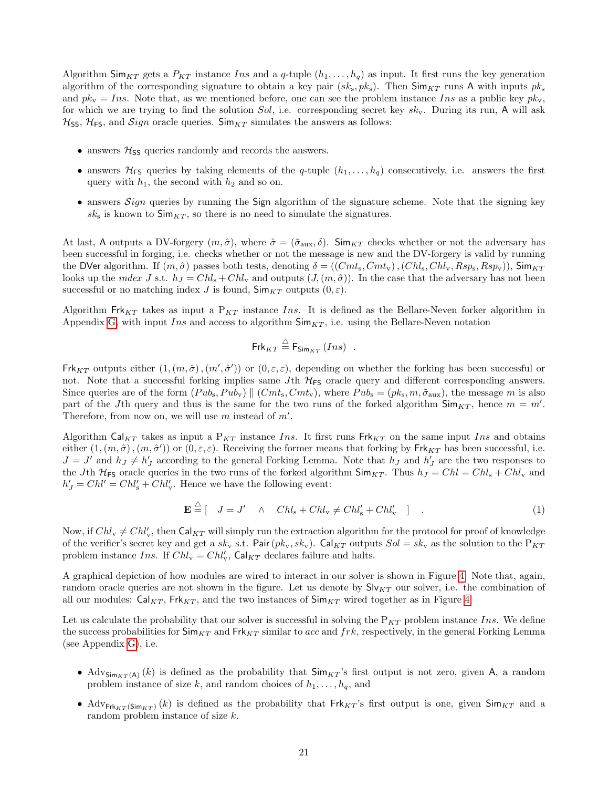Algorithm Sim<sub>KT</sub> gets a  $P_{KT}$  instance Ins and a q-tuple  $(h_1, \ldots, h_q)$  as input. It first runs the key generation algorithm of the corresponding signature to obtain a key pair  $(s_k, p_k)$ . Then  $\textsf{Sim}_{KT}$  runs A with inputs  $pk_s$ and  $pk_v = Ins$ . Note that, as we mentioned before, one can see the problem instance Ins as a public key  $pk_v$ , for which we are trying to find the solution  $Sol$ , i.e. corresponding secret key  $sk_y$ . During its run, A will ask  $\mathcal{H}_{SS}$ ,  $\mathcal{H}_{FS}$ , and  $\mathcal{S}ign$  oracle queries. Sim<sub>KT</sub> simulates the answers as follows:

- answers  $H_{SS}$  queries randomly and records the answers.
- answers  $\mathcal{H}_{FS}$  queries by taking elements of the q-tuple  $(h_1, \ldots, h_q)$  consecutively, i.e. answers the first query with  $h_1$ , the second with  $h_2$  and so on.
- answers Sign queries by running the Sign algorithm of the signature scheme. Note that the signing key  $sk_s$  is known to  $\mathsf{Sim}_{KT}$ , so there is no need to simulate the signatures.

At last, A outputs a DV-forgery  $(m, \hat{\sigma})$ , where  $\hat{\sigma} = (\tilde{\sigma}_{aux}, \delta)$ . Sim<sub>KT</sub> checks whether or not the adversary has been successful in forging, i.e. checks whether or not the message is new and the DV-forgery is valid by running the DVer algorithm. If  $(m, \hat{\sigma})$  passes both tests, denoting  $\delta = ((Cmt_s, Cmt_v), (Chl_s, Chl_v, Rsp_s, Rsp_v))$ , Sim<sub>KT</sub> looks up the *index J* s.t.  $h_J = Chl_s + Chl_v$  and outputs  $(J, (m, \hat{\sigma}))$ . In the case that the adversary has not been successful or no matching index J is found,  $\mathsf{Sim}_{KT}$  outputs  $(0, \varepsilon)$ .

Algorithm Frk<sub>KT</sub> takes as input a  $P_{KT}$  instance Ins. It is defined as the Bellare-Neven forker algorithm in Appendix [G,](#page-34-0) with input Ins and access to algorithm  $\text{Sim}_{KT}$ , i.e. using the Bellare-Neven notation

$$
\mathsf{Frk}_{KT} \stackrel{\triangle}{=} \mathsf{F}_{\mathsf{Sim}_{KT}}(Ins) .
$$

Frk<sub>KT</sub> outputs either  $(1,(m,\hat{\sigma}), (m',\hat{\sigma}'))$  or  $(0,\varepsilon,\varepsilon)$ , depending on whether the forking has been successful or not. Note that a successful forking implies same Jth  $H_{FS}$  oracle query and different corresponding answers. Since queries are of the form  $(Pub_s, Pub_v)$  (Cmt<sub>s</sub>, Cmt<sub>v</sub>), where  $Pub_s = (pk_s, m, \tilde{\sigma}_{aux})$ , the message m is also part of the Jth query and thus is the same for the two runs of the forked algorithm  $\mathsf{Sim}_{KT}$ , hence  $m = m'$ . Therefore, from now on, we will use  $m$  instead of  $m'$ .

Algorithm Cal<sub>KT</sub> takes as input a  $P_{KT}$  instance Ins. It first runs  $Frk_{KT}$  on the same input Ins and obtains either  $(1, (m, \hat{\sigma}), (m, \hat{\sigma}'))$  or  $(0, \varepsilon, \varepsilon)$ . Receiving the former means that forking by Frk<sub>KT</sub> has been successful, i.e.  $J = J'$  and  $h_J \neq h'_J$  according to the general Forking Lemma. Note that  $h_J$  and  $h'_J$  are the two responses to the Jth  $H_{FS}$  oracle queries in the two runs of the forked algorithm  $\text{Sim}_{KT}$ . Thus  $h_J = Chl = Chl_s + Chl_v$  and  $h'_J = Chl' = Chl'_s + Chl'_v$ . Hence we have the following event:

<span id="page-20-0"></span>
$$
\mathbf{E} \stackrel{\triangle}{=} \left[ \quad J = J' \quad \wedge \quad Chl_{s} + Chl_{v} \neq Chl'_{s} + Chl'_{v} \quad \right] \quad . \tag{1}
$$

Now, if  $Chl_v \neq Chl'_v$ , then  $\textsf{Cal}_{KT}$  will simply run the extraction algorithm for the protocol for proof of knowledge of the verifier's secret key and get a sk<sub>v</sub> s.t. Pair $(pk_v, sk_v)$ . Cal<sub>KT</sub> outputs  $Sol = sk_v$  as the solution to the  $P_{KT}$ problem instance Ins. If  $Chl_v = Chl'_v$ , Cal<sub>KT</sub> declares failure and halts.

A graphical depiction of how modules are wired to interact in our solver is shown in Figure [4.](#page-21-0) Note that, again, random oracle queries are not shown in the figure. Let us denote by  $\mathsf{Siv}_{KT}$  our solver, i.e. the combination of all our modules:  $\textsf{Cal}_{KT}$ , Frk<sub>KT</sub>, and the two instances of  $\textsf{Sim}_{KT}$  wired together as in Figure [4.](#page-21-0)

Let us calculate the probability that our solver is successful in solving the  $P_{KT}$  problem instance Ins. We define the success probabilities for  $\textsf{Sim}_{KT}$  and  $\textsf{Frk}_{KT}$  similar to acc and  $frk$ , respectively, in the general Forking Lemma (see Appendix [G\)](#page-34-0), i.e.

- Adv $\mathsf{Sim}_{KT}(\mathsf{A})$  (k) is defined as the probability that  $\mathsf{Sim}_{KT}$ 's first output is not zero, given A, a random problem instance of size k, and random choices of  $h_1, \ldots, h_q$ , and
- Adv<sub>FrkKT</sub>(Sim<sub>KT</sub>) (k) is defined as the probability that Frk<sub>KT</sub>'s first output is one, given  $\textsf{Sim}_{KT}$  and a random problem instance of size k.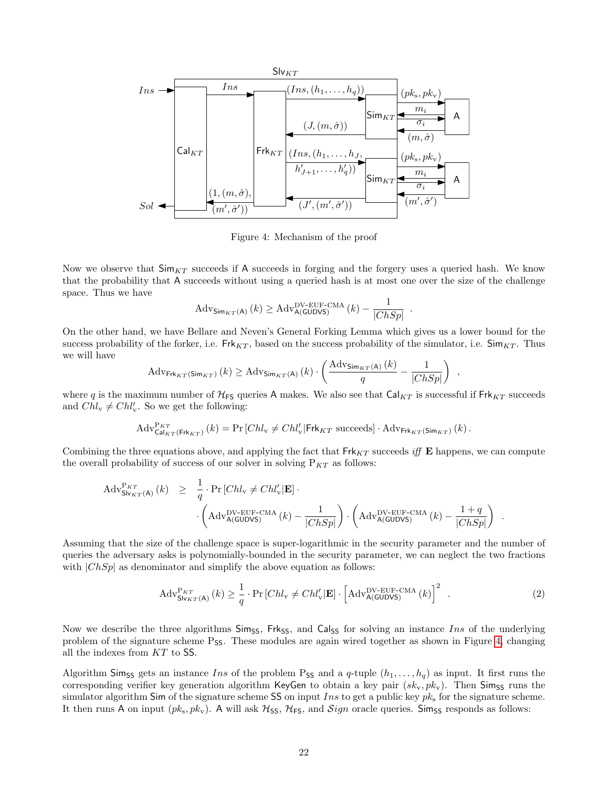

<span id="page-21-0"></span>Figure 4: Mechanism of the proof

Now we observe that  $\mathsf{Sim}_{KT}$  succeeds if A succeeds in forging and the forgery uses a queried hash. We know that the probability that A succeeds without using a queried hash is at most one over the size of the challenge space. Thus we have

$$
Adv_{\mathsf{Sim}_{KT}(A)}(k) \geq Adv_{A(\mathsf{GUDVS})}^{\mathsf{DV-EUF-CMA}}(k) - \frac{1}{|ChSp|}
$$

.

On the other hand, we have Bellare and Neven's General Forking Lemma which gives us a lower bound for the success probability of the forker, i.e.  $Frk_{KT}$ , based on the success probability of the simulator, i.e.  $\textsf{Sim}_{KT}$ . Thus we will have

$$
\mathrm{Adv}_{\mathsf{Frk}_{KT}(\mathsf{Sim}_{KT})}\left(k\right) \geq \mathrm{Adv}_{\mathsf{Sim}_{KT}\left(A\right)}\left(k\right) \cdot \left(\frac{\mathrm{Adv}_{\mathsf{Sim}_{KT}\left(A\right)}\left(k\right)}{q} - \frac{1}{|ChSp|}\right) ,
$$

where q is the maximum number of  $H<sub>FS</sub>$  queries A makes. We also see that Cal<sub>KT</sub> is successful if  $Frk_{KT}$  succeeds and  $Chl_{v} \neq Chl'_{v}$ . So we get the following:

$$
\mathrm{Adv}_{\mathsf{Cal}_{KT}(\mathsf{Frk}_{KT})}^{\mathsf{P}_{KT}}\left(k\right)=\Pr\left[Chl_{\mathrm{v}}\neq Chl_{\mathrm{v}}'\vert\mathsf{Frk}_{KT}\textrm{ succeeds}\right]\cdot\mathrm{Adv}_{\mathsf{Frk}_{KT}\left(\mathsf{Sim}_{KT}\right)}\left(k\right).
$$

Combining the three equations above, and applying the fact that  $Frk_{KT}$  succeeds iff  $E$  happens, we can compute the overall probability of success of our solver in solving  $P_{KT}$  as follows:

$$
Adv_{\mathsf{SW}_{KT}(A)}^{\mathsf{P}_{KT}}(k) \geq \frac{1}{q} \cdot \Pr[Chl_v \neq Chl'_v | \mathbf{E}] \cdot \left( Adv_{\mathsf{A}(\mathsf{GUDVS})}^{\mathsf{P}_{KT}} \right) \cdot \left( Adv_{\mathsf{A}(\mathsf{GUDVS})}^{\mathsf{D} \vee \text{-} \mathsf{EUF-CMA}}(k) - \frac{1}{|ChSp|} \right) \cdot \left( Adv_{\mathsf{A}(\mathsf{GUDVS})}^{\mathsf{D} \vee \text{-} \mathsf{EUF-CMA}}(k) - \frac{1+q}{|ChSp|} \right) .
$$

Assuming that the size of the challenge space is super-logarithmic in the security parameter and the number of queries the adversary asks is polynomially-bounded in the security parameter, we can neglect the two fractions with  $|ChSp|$  as denominator and simplify the above equation as follows:

<span id="page-21-1"></span>
$$
\mathrm{Adv}_{\mathsf{Slv}_{K}(A)}^{\mathrm{P}_{KT}}(k) \ge \frac{1}{q} \cdot \Pr\left[Chl_{\mathrm{v}} \ne Chl_{\mathrm{v}}'\vert \mathbf{E}\right] \cdot \left[\mathrm{Adv}_{\mathrm{A}(\mathrm{GUDVS})}^{\mathrm{DV-EUF-CMA}}(k)\right]^2 \tag{2}
$$

Now we describe the three algorithms  $Sims<sub>S</sub>$ ,  $Frk<sub>SS</sub>$ , and  $Cal<sub>SS</sub>$  for solving an instance Ins of the underlying problem of the signature scheme  $P_{\text{SS}}$ . These modules are again wired together as shown in Figure [4,](#page-21-0) changing all the indexes from KT to SS.

Algorithm Sim<sub>SS</sub> gets an instance Ins of the problem P<sub>SS</sub> and a q-tuple  $(h_1, \ldots, h_q)$  as input. It first runs the corresponding verifier key generation algorithm KeyGen to obtain a key pair  $(s_k, p_k)$ . Then Sim<sub>SS</sub> runs the simulator algorithm Sim of the signature scheme SS on input Ins to get a public key  $pk_s$  for the signature scheme. It then runs A on input  $(pk_s, pk_v)$ . A will ask  $H_{SS}$ ,  $H_{FS}$ , and  $Sign$  oracle queries. Sim<sub>SS</sub> responds as follows: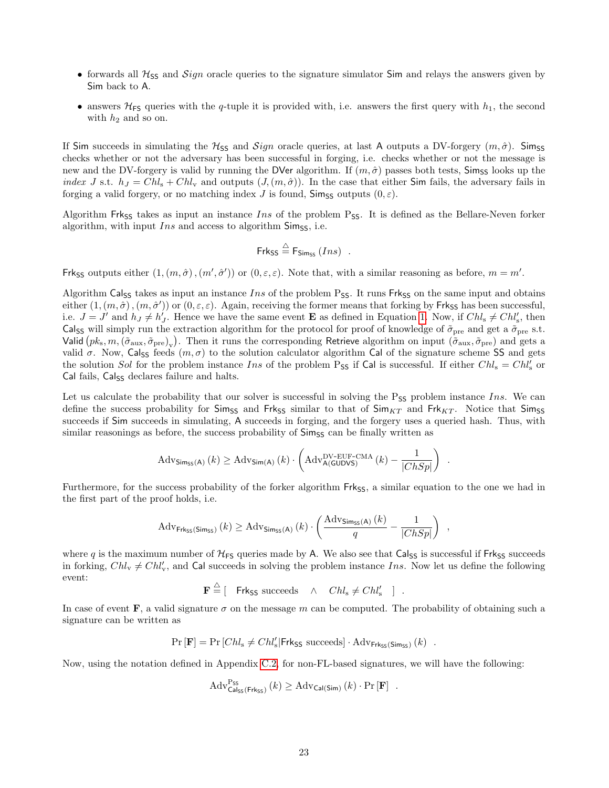- forwards all  $H_{SS}$  and  $Sign$  oracle queries to the signature simulator Sim and relays the answers given by Sim back to A.
- answers  $\mathcal{H}_{FS}$  queries with the q-tuple it is provided with, i.e. answers the first query with  $h_1$ , the second with  $h_2$  and so on.

If Sim succeeds in simulating the  $H_{SS}$  and  $Sign$  oracle queries, at last A outputs a DV-forgery  $(m, \hat{\sigma})$ . Sim<sub>SS</sub> checks whether or not the adversary has been successful in forging, i.e. checks whether or not the message is new and the DV-forgery is valid by running the DVer algorithm. If  $(m, \hat{\sigma})$  passes both tests, Sim<sub>SS</sub> looks up the index J s.t.  $h_J = Chl_s + Chl_v$  and outputs  $(J, (m, \hat{\sigma}))$ . In the case that either Sim fails, the adversary fails in forging a valid forgery, or no matching index J is found,  $\mathsf{Sims}_\mathsf{S}$  outputs  $(0,\varepsilon)$ .

Algorithm Frk<sub>SS</sub> takes as input an instance Ins of the problem  $P_{SS}$ . It is defined as the Bellare-Neven forker algorithm, with input  $Ins$  and access to algorithm  $Sims<sub>S</sub>$ , i.e.

$$
\mathsf{Frk}_{\mathsf{SS}} \stackrel{\triangle}{=} \mathsf{F}_{\mathsf{Simss}} \left( \mathit{Ins} \right) \enspace .
$$

Frk<sub>SS</sub> outputs either  $(1, (m, \hat{\sigma}), (m', \hat{\sigma}'))$  or  $(0, \varepsilon, \varepsilon)$ . Note that, with a similar reasoning as before,  $m = m'$ .

Algorithm Cal<sub>SS</sub> takes as input an instance Ins of the problem  $P_{SS}$ . It runs Frk<sub>SS</sub> on the same input and obtains either  $(1, (m, \hat{\sigma}), (m, \hat{\sigma}'))$  or  $(0, \varepsilon, \varepsilon)$ . Again, receiving the former means that forking by Frk<sub>SS</sub> has been successful, i.e.  $J = J'$  and  $h_J \neq h'_J$ . Hence we have the same event **E** as defined in Equation [1.](#page-20-0) Now, if  $Chl_s \neq Chl'_s$ , then Calss will simply run the extraction algorithm for the protocol for proof of knowledge of  $\tilde{\sigma}_{pre}$  and get a  $\tilde{\sigma}_{pre}$  s.t. Valid  $\left(pk_{\rm s},m, \left(\tilde{\sigma}_{\rm aux},\tilde{\sigma}_{\rm pre}\right)_{\rm v}\right)$ . Then it runs the corresponding Retrieve algorithm on input  $\left(\tilde{\sigma}_{\rm aux},\tilde{\sigma}_{\rm pre}\right)$  and gets a valid  $\sigma$ . Now, Cal<sub>SS</sub> feeds  $(m, \sigma)$  to the solution calculator algorithm Cal of the signature scheme SS and gets the solution Sol for the problem instance Ins of the problem  $P_{SS}$  if Cal is successful. If either  $Chl_s = Chl'_s$  or Cal fails,  $Cal_{SS}$  declares failure and halts.

Let us calculate the probability that our solver is successful in solving the  $P_{SS}$  problem instance Ins. We can define the success probability for  $\mathsf{Sims}_S$  and  $\mathsf{Frks}_S$  similar to that of  $\mathsf{Sim}_{KT}$  and  $\mathsf{Frk}_{KT}$ . Notice that  $\mathsf{Sims}_S$ succeeds if Sim succeeds in simulating, A succeeds in forging, and the forgery uses a queried hash. Thus, with similar reasonings as before, the success probability of  $\mathsf{Sim}_{SS}$  can be finally written as

$$
\mathrm{Adv}_{\mathsf{Simss}(\mathsf{A})}\left(k\right) \geq \mathrm{Adv}_{\mathsf{Sim}(\mathsf{A})}\left(k\right) \cdot \left(\mathrm{Adv}_{\mathsf{A}(\mathsf{GUDVS})}^{\mathsf{DV-EUF-CMA}}\left(k\right) - \frac{1}{|ChSp|}\right) \enspace .
$$

Furthermore, for the success probability of the forker algorithm  $Frk_{SS}$ , a similar equation to the one we had in the first part of the proof holds, i.e.

$$
\text{Adv}_{\text{Frk}_{\text{SS}}(\text{Sim}_{\text{SS}})}\left(k\right) \geq \text{Adv}_{\text{Sim}_{\text{SS}}\left(A\right)}\left(k\right) \cdot \left(\frac{\text{Adv}_{\text{Sim}_{\text{SS}}\left(A\right)}\left(k\right)}{q} - \frac{1}{|ChSp|}\right) \ ,
$$

where q is the maximum number of  $H_{FS}$  queries made by A. We also see that Calss is successful if Frkss succeeds in forking,  $Chl_v \neq Chl'_v$ , and Cal succeeds in solving the problem instance Ins. Now let us define the following event:

$$
\mathbf{F} \stackrel{\triangle}{=} [\quad \textsf{Frk}_{\textsf{SS}} \text{ succeeds} \quad \wedge \quad Chl_{\textsf{s}} \neq Chl'_{\textsf{s}} \quad ] \quad .
$$

In case of event **F**, a valid signature  $\sigma$  on the message m can be computed. The probability of obtaining such a signature can be written as

$$
\Pr\left[\mathbf{F}\right] = \Pr\left[Chl_{\mathrm{s}} \neq Chl'_{\mathrm{s}} | \mathsf{Frk}_{\mathsf{SS}} \text{ succeeds}\right] \cdot \mathrm{Adv}_{\mathsf{Frk}_{\mathsf{SS}}\left(\mathsf{Sim}_{\mathsf{SS}}\right)}\left(k\right) \enspace .
$$

Now, using the notation defined in Appendix [C.2,](#page-25-1) for non-FL-based signatures, we will have the following:

$$
\mathrm{Adv}_{\mathsf{Calss}(\mathsf{Frk}_{\mathsf{SS}})}^{\mathsf{Pss}}\left(k\right) \geq \mathrm{Adv}_{\mathsf{Cal}(\mathsf{Sim})}\left(k\right)\cdot \Pr\left[\mathbf{F}\right] \enspace .
$$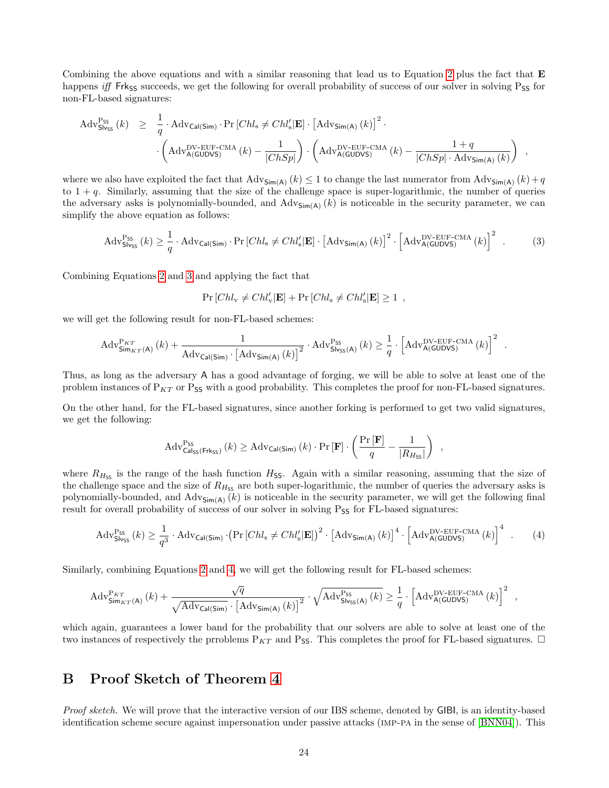<span id="page-23-1"></span>Combining the above equations and with a similar reasoning that lead us to Equation [2](#page-21-1) plus the fact that  $E$ happens iff  $Frk_{SS}$  succeeds, we get the following for overall probability of success of our solver in solving  $P_{SS}$  for non-FL-based signatures:

$$
Adv_{\mathsf{Siv}_{\mathsf{SS}}}^{\mathsf{P}_{\mathsf{SS}}}(k) \geq \frac{1}{q} \cdot \mathrm{Adv}_{\mathsf{Cal}(\mathsf{Sim})} \cdot \mathrm{Pr}\left[Chl_{\mathsf{s}} \neq Chl'_{\mathsf{s}}|\mathbf{E}\right] \cdot \left[\mathrm{Adv}_{\mathsf{Sim}(A)}(k)\right]^2 \cdot \\ \cdot \left(\mathrm{Adv}_{\mathsf{A}(\mathsf{GUDVS})}^{\mathsf{DV-EUF-CMA}}(k) - \frac{1}{|ChSp|}\right) \cdot \left(\mathrm{Adv}_{\mathsf{A}(\mathsf{GUDVS})}^{\mathsf{DV-EUF-CMA}}(k) - \frac{1+q}{|ChSp| \cdot \mathrm{Adv}_{\mathsf{Sim}(A)}(k)}\right) ,
$$

where we also have exploited the fact that  $\text{Adv}_{\text{Sim}(A)}(k) \leq 1$  to change the last numerator from  $\text{Adv}_{\text{Sim}(A)}(k) + q$ to  $1 + q$ . Similarly, assuming that the size of the challenge space is super-logarithmic, the number of queries the adversary asks is polynomially-bounded, and  $\text{Adv}_{\text{Sim}(A)}(k)$  is noticeable in the security parameter, we can simplify the above equation as follows:

<span id="page-23-2"></span>
$$
\text{Adv}_{\text{SIV}_{\text{SS}}}^{\text{Pss}}\left(k\right) \geq \frac{1}{q} \cdot \text{Adv}_{\text{Cal}(\text{Sim})} \cdot \text{Pr}\left[Chl_{\text{s}} \neq Chl'_{\text{s}}|\mathbf{E}\right] \cdot \left[\text{Adv}_{\text{Sim}(A)}\left(k\right)\right]^2 \cdot \left[\text{Adv}_{\text{A}(\text{GUDVS})}^{\text{DV-EUF-CMA}}\left(k\right)\right]^2 \tag{3}
$$

Combining Equations [2](#page-21-1) and [3](#page-23-2) and applying the fact that

$$
Pr[Chl_{v} \neq Chl'_{v}|\mathbf{E}] + Pr[Chl_{s} \neq Chl'_{s}|\mathbf{E}] \geq 1,
$$

we will get the following result for non-FL-based schemes:

$$
\mathrm{Adv}_{\mathsf{Sim}_{KT}(A)}^{\mathsf{P}_{KT}}\left(k\right) + \frac{1}{\mathrm{Adv}_{\mathsf{Cal}(\mathsf{Sim})}\cdot\left[\mathrm{Adv}_{\mathsf{Sim}(A)}\left(k\right)\right]^2}\cdot \mathrm{Adv}_{\mathsf{Slv}_{\mathsf{SUS}}\left(A\right)}^{\mathsf{P}_{\mathsf{SLS}}}\left(k\right) \geq \frac{1}{q}\cdot\left[\mathrm{Adv}_{\mathsf{A}(\mathsf{GUDVS})}^{\mathsf{DV-EUF-CMA}}\left(k\right)\right]^2.
$$

Thus, as long as the adversary A has a good advantage of forging, we will be able to solve at least one of the problem instances of  $P_{KT}$  or  $P_{SS}$  with a good probability. This completes the proof for non-FL-based signatures.

On the other hand, for the FL-based signatures, since another forking is performed to get two valid signatures, we get the following:

$$
\mathrm{Adv}_{\mathsf{Cal}_{\mathsf{S}}(\mathsf{Frk}_{\mathsf{S}\mathsf{S}})}^{\mathrm{P}_{\mathsf{S}\mathsf{S}}}(\mathit{k}) \geq \mathrm{Adv}_{\mathsf{Cal}(\mathsf{Sim})}\left(\mathit{k}\right) \cdot \Pr\left[\mathbf{F}\right] \cdot \left(\frac{\Pr\left[\mathbf{F}\right]}{q} - \frac{1}{|R_{H_{\mathsf{S}\mathsf{S}}}|}\right) ,
$$

where  $R_{H_{\rm SS}}$  is the range of the hash function  $H_{\rm SS}$ . Again with a similar reasoning, assuming that the size of the challenge space and the size of  $R_{Hss}$  are both super-logarithmic, the number of queries the adversary asks is polynomially-bounded, and  $Adv_{\text{Sim}(A)}(k)$  is noticeable in the security parameter, we will get the following final result for overall probability of success of our solver in solving  $P_{SS}$  for FL-based signatures:

<span id="page-23-3"></span>
$$
\text{Adv}_{\text{SIV}_{\text{SS}}}^{\text{Pss}}\left(k\right) \geq \frac{1}{q^3} \cdot \text{Adv}_{\text{Cal}(\text{Sim})} \cdot \left(\Pr\left[Chl_s \neq Chl_s'|\mathbf{E}|\right)^2 \cdot \left[\text{Adv}_{\text{Sim}(A)}\left(k\right)\right]^4 \cdot \left[\text{Adv}_{\text{A}(\text{GUDVS})}^{\text{DV-EUF-CMA}}\left(k\right)\right]^4\tag{4}
$$

Similarly, combining Equations [2](#page-21-1) and [4,](#page-23-3) we will get the following result for FL-based schemes:

$$
\operatorname{Adv}_{\mathsf{Sim}_{\mathcal{KT}}^{\mathcal{P}_{KT}}(\mathsf{A})}^{\mathcal{P}_{KT}}\left(k\right)+\frac{\sqrt{q}}{\sqrt{\operatorname{Adv}_{\mathsf{Cal}(\mathsf{Sim})}}\cdot\left[\operatorname{Adv}_{\mathsf{Sim}(\mathsf{A})}\left(k\right)\right]^{2}}\cdot\sqrt{\operatorname{Adv}_{\mathsf{Slv}_{\mathsf{SS}}^{\mathcal{P}_{\mathsf{SS}}}}^{\mathcal{P}_{\mathsf{PS}}}\left(k\right)}\geq\frac{1}{q}\cdot\left[\operatorname{Adv}_{\mathsf{A}(\mathsf{GUDVS})}^{\mathcal{D}\vee\text{-}\mathcal{E}\mathcal{U}\mathcal{F}\text{-}\mathcal{C}\mathcal{M}\mathcal{A}}\left(k\right)\right]^{2}\enspace,
$$

which again, guarantees a lower band for the probability that our solvers are able to solve at least one of the two instances of respectively the prroblems  $P_{KT}$  and  $P_{SS}$ . This completes the proof for FL-based signatures.  $\Box$ 

# <span id="page-23-0"></span>B Proof Sketch of Theorem [4](#page-13-1)

Proof sketch. We will prove that the interactive version of our IBS scheme, denoted by GIBI, is an identity-based identification scheme secure against impersonation under passive attacks (imp-pa in the sense of [\[BNN04\]](#page-15-6)). This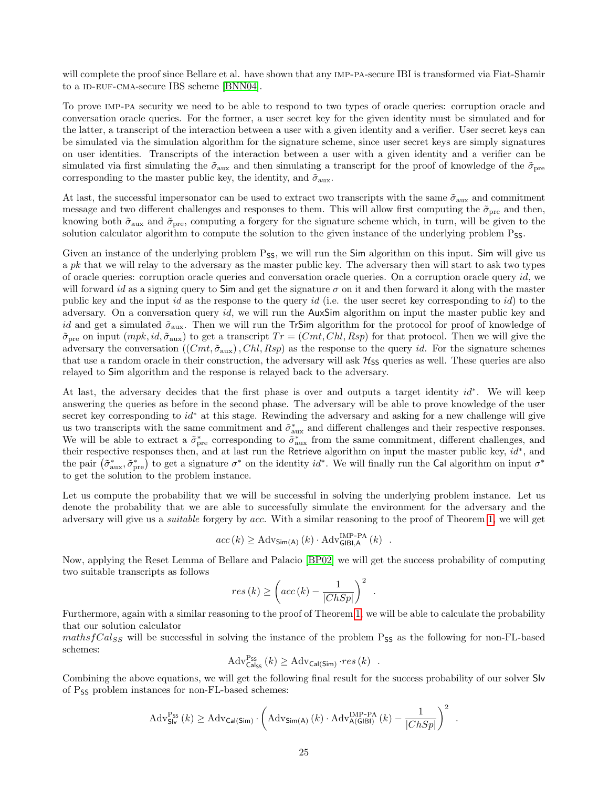<span id="page-24-0"></span>will complete the proof since Bellare et al. have shown that any IMP-PA-secure IBI is transformed via Fiat-Shamir to a ID-EUF-CMA-secure IBS scheme [\[BNN04\]](#page-15-6).

To prove imp-pa security we need to be able to respond to two types of oracle queries: corruption oracle and conversation oracle queries. For the former, a user secret key for the given identity must be simulated and for the latter, a transcript of the interaction between a user with a given identity and a verifier. User secret keys can be simulated via the simulation algorithm for the signature scheme, since user secret keys are simply signatures on user identities. Transcripts of the interaction between a user with a given identity and a verifier can be simulated via first simulating the  $\tilde{\sigma}_{aux}$  and then simulating a transcript for the proof of knowledge of the  $\tilde{\sigma}_{pre}$ corresponding to the master public key, the identity, and  $\tilde{\sigma}_{aux}$ .

At last, the successful impersonator can be used to extract two transcripts with the same  $\tilde{\sigma}_{aux}$  and commitment message and two different challenges and responses to them. This will allow first computing the  $\tilde{\sigma}_{pre}$  and then, knowing both  $\tilde{\sigma}_{aux}$  and  $\tilde{\sigma}_{pre}$ , computing a forgery for the signature scheme which, in turn, will be given to the solution calculator algorithm to compute the solution to the given instance of the underlying problem Pss.

Given an instance of the underlying problem P<sub>SS</sub>, we will run the Sim algorithm on this input. Sim will give us a pk that we will relay to the adversary as the master public key. The adversary then will start to ask two types of oracle queries: corruption oracle queries and conversation oracle queries. On a corruption oracle query id, we will forward id as a signing query to Sim and get the signature  $\sigma$  on it and then forward it along with the master public key and the input id as the response to the query id (i.e. the user secret key corresponding to id) to the adversary. On a conversation query id, we will run the AuxSim algorithm on input the master public key and id and get a simulated  $\tilde{\sigma}_{aux}$ . Then we will run the TrSim algorithm for the protocol for proof of knowledge of  $\tilde{\sigma}_{\text{pre}}$  on input  $(mpk, id, \tilde{\sigma}_{\text{aux}})$  to get a transcript  $Tr = (Cmt, Chl, Rsp)$  for that protocol. Then we will give the adversary the conversation  $((Cmt, \tilde{\sigma}_{aux}), Chl, Rsp)$  as the response to the query id. For the signature schemes that use a random oracle in their construction, the adversary will ask  $H_{SS}$  queries as well. These queries are also relayed to Sim algorithm and the response is relayed back to the adversary.

At last, the adversary decides that the first phase is over and outputs a target identity id<sup>∗</sup>. We will keep answering the queries as before in the second phase. The adversary will be able to prove knowledge of the user secret key corresponding to id<sup>∗</sup> at this stage. Rewinding the adversary and asking for a new challenge will give us two transcripts with the same commitment and  $\tilde{\sigma}_{\text{aux}}^*$  and different challenges and their respective responses. We will be able to extract a  $\tilde{\sigma}_{\text{pre}}^*$  corresponding to  $\tilde{\sigma}_{\text{aux}}^*$  from the same commitment, different challenges, and their respective responses then, and at last run the Retrieve algorithm on input the master public key,  $id^*$ , and the pair  $(\tilde{\sigma}_{aux}^*, \tilde{\sigma}_{pre}^*)$  to get a signature  $\sigma^*$  on the identity  $id^*$ . We will finally run the Cal algorithm on input  $\sigma^*$ to get the solution to the problem instance.

Let us compute the probability that we will be successful in solving the underlying problem instance. Let us denote the probability that we are able to successfully simulate the environment for the adversary and the adversary will give us a suitable forgery by acc. With a similar reasoning to the proof of Theorem [1,](#page-10-1) we will get

$$
acc(k) \geq \mathrm{Adv}_{\mathsf{Sim}(A)}(k) \cdot \mathrm{Adv}_{\mathsf{GIBI},A}^{\mathrm{IMP-PA}}(k) .
$$

Now, applying the Reset Lemma of Bellare and Palacio [\[BP02\]](#page-15-16) we will get the success probability of computing two suitable transcripts as follows

$$
res(k) \ge \left( acc(k) - \frac{1}{|ChSp|} \right)^2
$$

.

Furthermore, again with a similar reasoning to the proof of Theorem [1,](#page-10-1) we will be able to calculate the probability that our solution calculator

 $mathbf{C}al_{SS}$  will be successful in solving the instance of the problem  $P_{SS}$  as the following for non-FL-based schemes:

$$
Adv_{\text{Calgs}}^{\text{Pss}}\left(k\right) \geq Adv_{\text{Cal(Sim)}}\cdot res\left(k\right) .
$$

Combining the above equations, we will get the following final result for the success probability of our solver Slv of  $P_{SS}$  problem instances for non-FL-based schemes:

$$
\mathrm{Adv}_{\mathsf{Slv}}^{\mathrm{Pss}}\left(k\right) \geq \mathrm{Adv}_{\mathsf{Cal}(\mathsf{Sim})} \cdot \left(\mathrm{Adv}_{\mathsf{Sim}(A)}\left(k\right) \cdot \mathrm{Adv}_{\mathsf{A}(\mathsf{GIBI})}^{\mathrm{IMP\text{-}PA}}\left(k\right)-\frac{1}{|ChSp|}\right)^2.
$$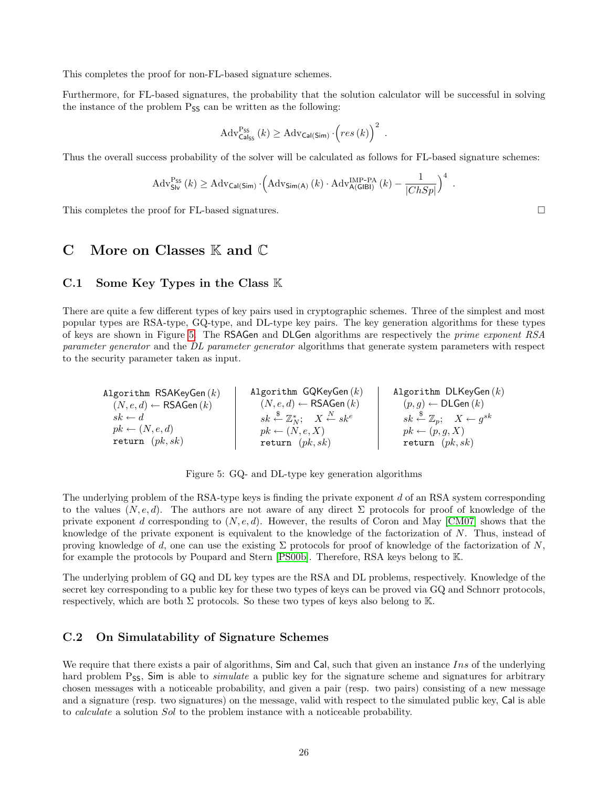<span id="page-25-2"></span>This completes the proof for non-FL-based signature schemes.

Furthermore, for FL-based signatures, the probability that the solution calculator will be successful in solving the instance of the problem  $P_{SS}$  can be written as the following:

$$
Adv^{\text{Pss}}_{\text{Calss}}(k) \geq Adv_{\text{Cal}(\text{Sim})} \cdot (res(k))^{2} .
$$

Thus the overall success probability of the solver will be calculated as follows for FL-based signature schemes:

$$
\mathrm{Adv}_{\mathsf{Slv}}^{\mathsf{Pss}}\left(k\right)\geq\mathrm{Adv}_{\mathsf{Cal}(\mathsf{Sim})}\cdot\left(\mathrm{Adv}_{\mathsf{Sim}(A)}\left(k\right)\cdot\mathrm{Adv}_{\mathsf{A}(\mathsf{GIBI})}^{\mathsf{IMP\text{-}PA}}\left(k\right)-\frac{1}{|ChSp|}\right)^{4}\ .
$$

This completes the proof for FL-based signatures.

## C More on Classes K and C

#### <span id="page-25-0"></span>C.1 Some Key Types in the Class  $K$

There are quite a few different types of key pairs used in cryptographic schemes. Three of the simplest and most popular types are RSA-type, GQ-type, and DL-type key pairs. The key generation algorithms for these types of keys are shown in Figure [5.](#page-25-3) The RSAGen and DLGen algorithms are respectively the prime exponent RSA parameter generator and the DL parameter generator algorithms that generate system parameters with respect to the security parameter taken as input.

| Algorithm RSAKeyGen(k)           | Algorithm GQKeyGen(k)                                | Algorithm GQKeyGen(k)                                | Algorithm DLKeyGen(k) |            |
|----------------------------------|------------------------------------------------------|------------------------------------------------------|-----------------------|------------|
| $(N, e, d) \leftarrow$ RSAGen(k) | $(N, e, d) \leftarrow$ RSAGen(k)                     | $(p, g) \leftarrow$ DLGen(k)                         |                       |            |
| $sk \leftarrow d$                | $sk \leftarrow \mathbb{Z}_N^*$ ; $X \leftarrow sk^e$ | $sk \leftarrow \mathbb{Z}_p$ ; $X \leftarrow g^{sk}$ |                       |            |
| $pk \leftarrow (N, e, d)$        | $pk \leftarrow (N, e, X)$                            | $pk \leftarrow (p, g, X)$                            |                       |            |
| $return$                         | $(pk, sk)$                                           | $(pk, sk)$                                           | $return$              | $(pk, sk)$ |

<span id="page-25-3"></span>Figure 5: GQ- and DL-type key generation algorithms

The underlying problem of the RSA-type keys is finding the private exponent d of an RSA system corresponding to the values  $(N, e, d)$ . The authors are not aware of any direct  $\Sigma$  protocols for proof of knowledge of the private exponent d corresponding to  $(N, e, d)$ . However, the results of Coron and May [\[CM07\]](#page-16-16) shows that the knowledge of the private exponent is equivalent to the knowledge of the factorization of N. Thus, instead of proving knowledge of d, one can use the existing  $\Sigma$  protocols for proof of knowledge of the factorization of N, for example the protocols by Poupard and Stern [\[PS00b\]](#page-18-15). Therefore, RSA keys belong to K.

The underlying problem of GQ and DL key types are the RSA and DL problems, respectively. Knowledge of the secret key corresponding to a public key for these two types of keys can be proved via GQ and Schnorr protocols, respectively, which are both  $\Sigma$  protocols. So these two types of keys also belong to K.

### <span id="page-25-1"></span>C.2 On Simulatability of Signature Schemes

We require that there exists a pair of algorithms,  $Sim$  and Cal, such that given an instance Ins of the underlying hard problem P<sub>SS</sub>, Sim is able to *simulate* a public key for the signature scheme and signatures for arbitrary chosen messages with a noticeable probability, and given a pair (resp. two pairs) consisting of a new message and a signature (resp. two signatures) on the message, valid with respect to the simulated public key, Cal is able to calculate a solution Sol to the problem instance with a noticeable probability.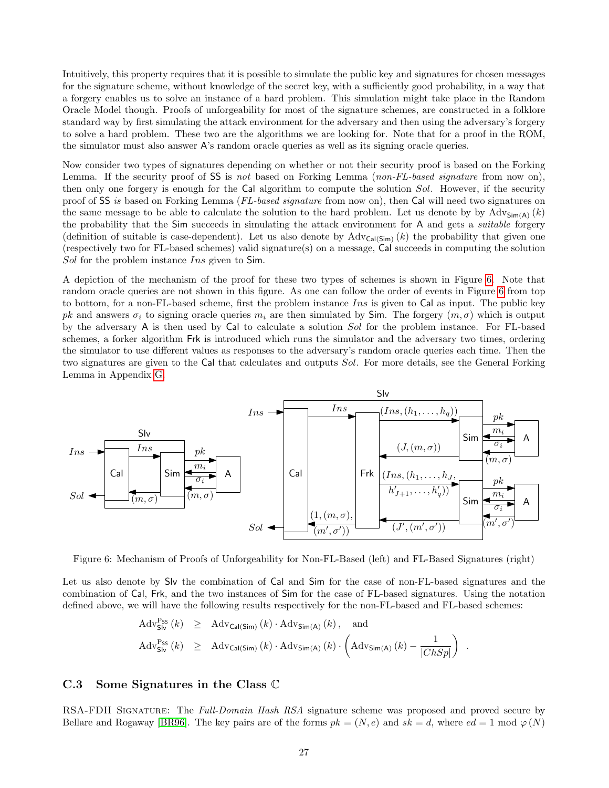<span id="page-26-1"></span>Intuitively, this property requires that it is possible to simulate the public key and signatures for chosen messages for the signature scheme, without knowledge of the secret key, with a sufficiently good probability, in a way that a forgery enables us to solve an instance of a hard problem. This simulation might take place in the Random Oracle Model though. Proofs of unforgeability for most of the signature schemes, are constructed in a folklore standard way by first simulating the attack environment for the adversary and then using the adversary's forgery to solve a hard problem. These two are the algorithms we are looking for. Note that for a proof in the ROM, the simulator must also answer A's random oracle queries as well as its signing oracle queries.

Now consider two types of signatures depending on whether or not their security proof is based on the Forking Lemma. If the security proof of SS is not based on Forking Lemma (non-FL-based signature from now on), then only one forgery is enough for the Cal algorithm to compute the solution Sol. However, if the security proof of SS is based on Forking Lemma (FL-based signature from now on), then Cal will need two signatures on the same message to be able to calculate the solution to the hard problem. Let us denote by by  $\text{Adv}_{\text{Sim}(A)}(k)$ the probability that the Sim succeeds in simulating the attack environment for A and gets a *suitable* forgery (definition of suitable is case-dependent). Let us also denote by  $\text{Adv}_{\text{Cal}(Sim)}(k)$  the probability that given one (respectively two for FL-based schemes) valid signature(s) on a message, Cal succeeds in computing the solution Sol for the problem instance Ins given to Sim.

A depiction of the mechanism of the proof for these two types of schemes is shown in Figure [6.](#page-26-2) Note that random oracle queries are not shown in this figure. As one can follow the order of events in Figure [6](#page-26-2) from top to bottom, for a non-FL-based scheme, first the problem instance Ins is given to  $Cal$  as input. The public key pk and answers  $\sigma_i$  to signing oracle queries  $m_i$  are then simulated by Sim. The forgery  $(m, \sigma)$  which is output by the adversary A is then used by Cal to calculate a solution Sol for the problem instance. For FL-based schemes, a forker algorithm Frk is introduced which runs the simulator and the adversary two times, ordering the simulator to use different values as responses to the adversary's random oracle queries each time. Then the two signatures are given to the Cal that calculates and outputs Sol. For more details, see the General Forking Lemma in Appendix [G.](#page-34-0)



<span id="page-26-2"></span>Figure 6: Mechanism of Proofs of Unforgeability for Non-FL-Based (left) and FL-Based Signatures (right)

Let us also denote by Slv the combination of Cal and Sim for the case of non-FL-based signatures and the combination of Cal, Frk, and the two instances of Sim for the case of FL-based signatures. Using the notation defined above, we will have the following results respectively for the non-FL-based and FL-based schemes:

$$
\begin{array}{rcl}\n\text{Adv}_{\text{Slv}}^{\text{PSS}}\left(k\right) & \geq & \text{Adv}_{\text{Cal}(Sim)}\left(k\right) \cdot \text{Adv}_{\text{Sim}(A)}\left(k\right), \quad \text{and} \\
\text{Adv}_{\text{Slv}}^{\text{PSS}}\left(k\right) & \geq & \text{Adv}_{\text{Cal}(Sim)}\left(k\right) \cdot \text{Adv}_{\text{Sim}(A)}\left(k\right) \cdot \left(\text{Adv}_{\text{Sim}(A)}\left(k\right) - \frac{1}{|ChSp|}\right)\n\end{array}
$$

.

#### <span id="page-26-0"></span>C.3 Some Signatures in the Class C

 $\mathbf{p}$ 

RSA-FDH SIGNATURE: The Full-Domain Hash RSA signature scheme was proposed and proved secure by Bellare and Rogaway [\[BR96\]](#page-15-2). The key pairs are of the forms  $pk = (N, e)$  and  $sk = d$ , where  $ed = 1 \text{ mod } \varphi(N)$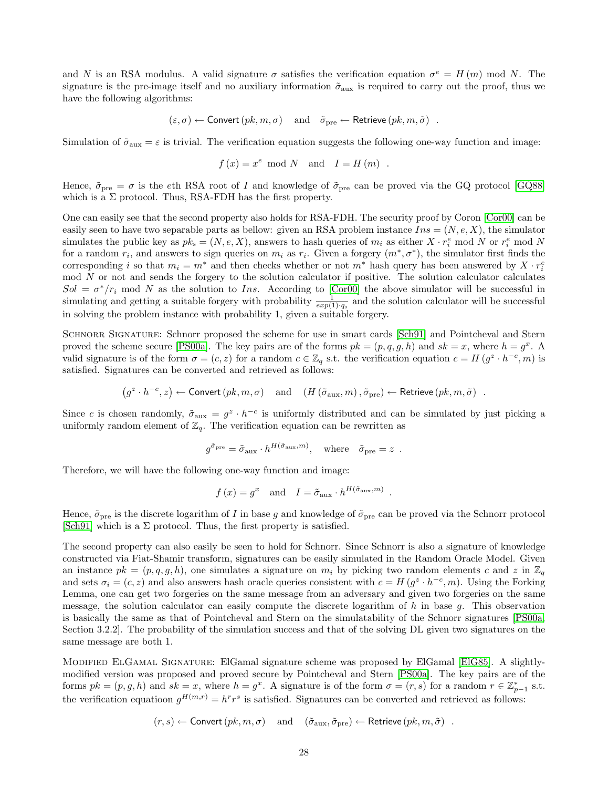<span id="page-27-0"></span>and N is an RSA modulus. A valid signature  $\sigma$  satisfies the verification equation  $\sigma^e = H(m) \text{ mod } N$ . The signature is the pre-image itself and no auxiliary information  $\tilde{\sigma}_{aux}$  is required to carry out the proof, thus we have the following algorithms:

$$
(\varepsilon,\sigma) \leftarrow \text{Convert}(pk,m,\sigma) \quad \text{and} \quad \tilde{\sigma}_{\text{pre}} \leftarrow \text{Retrieve}(pk,m,\tilde{\sigma}) \quad .
$$

Simulation of  $\tilde{\sigma}_{aux} = \varepsilon$  is trivial. The verification equation suggests the following one-way function and image:

$$
f(x) = x^e \mod N
$$
 and  $I = H(m)$ .

Hence,  $\tilde{\sigma}_{pre} = \sigma$  is the eth RSA root of I and knowledge of  $\tilde{\sigma}_{pre}$  can be proved via the GQ protocol [\[GQ88\]](#page-16-2) which is a  $\Sigma$  protocol. Thus, RSA-FDH has the first property.

One can easily see that the second property also holds for RSA-FDH. The security proof by Coron [\[Cor00\]](#page-16-17) can be easily seen to have two separable parts as bellow: given an RSA problem instance  $Ins = (N, e, X)$ , the simulator simulates the public key as  $pk_s = (N, e, X)$ , answers to hash queries of  $m_i$  as either  $X \cdot r_i^e \mod N$  or  $r_i^e \mod N$ for a random  $r_i$ , and answers to sign queries on  $m_i$  as  $r_i$ . Given a forgery  $(m^*, \sigma^*)$ , the simulator first finds the corresponding i so that  $m_i = m^*$  and then checks whether or not  $m^*$  hash query has been answered by  $X \cdot r_i^e$ mod N or not and sends the forgery to the solution calculator if positive. The solution calculator calculates  $Sol = \sigma^* / r_i \text{ mod } N$  as the solution to Ins. According to [\[Cor00\]](#page-16-17) the above simulator will be successful in simulating and getting a suitable forgery with probability  $\frac{1}{exp(1)\cdot q_s}$  and the solution calculator will be successful in solving the problem instance with probability 1, given a suitable forgery.

SCHNORR SIGNATURE: Schnorr proposed the scheme for use in smart cards [\[Sch91\]](#page-18-2) and Pointcheval and Stern proved the scheme secure [\[PS00a\]](#page-18-3). The key pairs are of the forms  $pk = (p, q, g, h)$  and  $sk = x$ , where  $h = g^x$ . A valid signature is of the form  $\sigma = (c, z)$  for a random  $c \in \mathbb{Z}_q$  s.t. the verification equation  $c = H(g^z \cdot h^{-c}, m)$  is satisfied. Signatures can be converted and retrieved as follows:

$$
(g^z \cdot h^{-c}, z) \leftarrow \text{Convert}(pk, m, \sigma) \quad \text{and} \quad (H(\tilde{\sigma}_{\text{aux}}, m), \tilde{\sigma}_{\text{pre}}) \leftarrow \text{Retrieve}(pk, m, \tilde{\sigma}) \enspace .
$$

Since c is chosen randomly,  $\tilde{\sigma}_{aux} = g^z \cdot h^{-c}$  is uniformly distributed and can be simulated by just picking a uniformly random element of  $\mathbb{Z}_q$ . The verification equation can be rewritten as

$$
g^{\tilde{\sigma}_{\text{pre}}} = \tilde{\sigma}_{\text{aux}} \cdot h^{H(\tilde{\sigma}_{\text{aux}}, m)}, \quad \text{where} \quad \tilde{\sigma}_{\text{pre}} = z \ .
$$

Therefore, we will have the following one-way function and image:

$$
f(x) = g^x
$$
 and  $I = \tilde{\sigma}_{\text{aux}} \cdot h^{H(\tilde{\sigma}_{\text{aux}}, m)}$ .

Hence,  $\tilde{\sigma}_{\text{pre}}$  is the discrete logarithm of I in base g and knowledge of  $\tilde{\sigma}_{\text{pre}}$  can be proved via the Schnorr protocol [\[Sch91\]](#page-18-2) which is a  $\Sigma$  protocol. Thus, the first property is satisfied.

The second property can also easily be seen to hold for Schnorr. Since Schnorr is also a signature of knowledge constructed via Fiat-Shamir transform, signatures can be easily simulated in the Random Oracle Model. Given an instance  $pk = (p, q, g, h)$ , one simulates a signature on  $m_i$  by picking two random elements c and z in  $\mathbb{Z}_q$ and sets  $\sigma_i = (c, z)$  and also answers hash oracle queries consistent with  $c = H(g^z \cdot h^{-c}, m)$ . Using the Forking Lemma, one can get two forgeries on the same message from an adversary and given two forgeries on the same message, the solution calculator can easily compute the discrete logarithm of  $h$  in base  $g$ . This observation is basically the same as that of Pointcheval and Stern on the simulatability of the Schnorr signatures [\[PS00a,](#page-18-3) Section 3.2.2]. The probability of the simulation success and that of the solving DL given two signatures on the same message are both 1.

Modified ElGamal Signature: ElGamal signature scheme was proposed by ElGamal [\[ElG85\]](#page-16-18). A slightlymodified version was proposed and proved secure by Pointcheval and Stern [\[PS00a\]](#page-18-3). The key pairs are of the forms  $pk = (p, g, h)$  and  $sk = x$ , where  $h = g^x$ . A signature is of the form  $\sigma = (r, s)$  for a random  $r \in \mathbb{Z}_{p-1}^*$  s.t. the verification equatioon  $g^{H(m,r)} = h^r r^s$  is satisfied. Signatures can be converted and retrieved as follows:

$$
(r, s)
$$
  $\leftarrow$  Convert  $(pk, m, \sigma)$  and  $(\tilde{\sigma}_{aux}, \tilde{\sigma}_{pre}) \leftarrow$  Retrieved  $(pk, m, \tilde{\sigma})$ .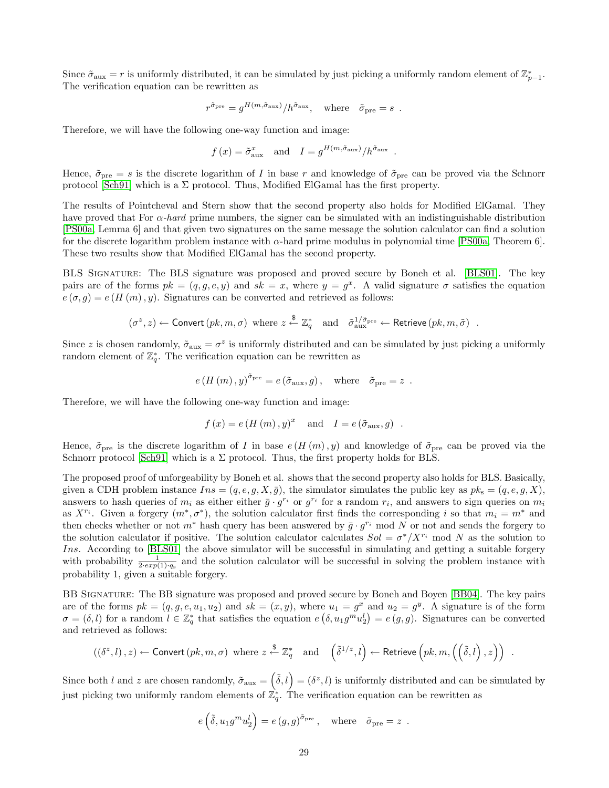<span id="page-28-0"></span>Since  $\tilde{\sigma}_{aux} = r$  is uniformly distributed, it can be simulated by just picking a uniformly random element of  $\mathbb{Z}_{p-1}^*$ . The verification equation can be rewritten as

$$
r^{\tilde{\sigma}_{\rm pre}} = g^{H(m,\tilde{\sigma}_{\rm aux})}/h^{\tilde{\sigma}_{\rm aux}}, \quad \text{where} \quad \tilde{\sigma}_{\rm pre} = s \ .
$$

Therefore, we will have the following one-way function and image:

$$
f(x) = \tilde{\sigma}_{\text{aux}}^x
$$
 and  $I = g^{H(m, \tilde{\sigma}_{\text{aux}})}/h^{\tilde{\sigma}_{\text{aux}}}$ .

Hence,  $\tilde{\sigma}_{pre} = s$  is the discrete logarithm of I in base r and knowledge of  $\tilde{\sigma}_{pre}$  can be proved via the Schnorr protocol [\[Sch91\]](#page-18-2) which is a  $\Sigma$  protocol. Thus, Modified ElGamal has the first property.

The results of Pointcheval and Stern show that the second property also holds for Modified ElGamal. They have proved that For  $\alpha$ -hard prime numbers, the signer can be simulated with an indistinguishable distribution [\[PS00a,](#page-18-3) Lemma 6] and that given two signatures on the same message the solution calculator can find a solution for the discrete logarithm problem instance with  $\alpha$ -hard prime modulus in polynomial time [\[PS00a,](#page-18-3) Theorem 6]. These two results show that Modified ElGamal has the second property.

BLS Signature: The BLS signature was proposed and proved secure by Boneh et al. [\[BLS01\]](#page-15-3). The key pairs are of the forms  $pk = (q, g, e, y)$  and  $sk = x$ , where  $y = g^x$ . A valid signature  $\sigma$  satisfies the equation  $e(\sigma, g) = e(H(m), y)$ . Signatures can be converted and retrieved as follows:

$$
(\sigma^z, z) \leftarrow \text{Convert}(pk, m, \sigma) \text{ where } z \stackrel{\$}{\leftarrow} \mathbb{Z}_q^* \text{ and } \tilde{\sigma}_{\text{aux}}^{1/\tilde{\sigma}_{\text{pre}}} \leftarrow \text{Retrieve}(pk, m, \tilde{\sigma}) \enspace .
$$

Since z is chosen randomly,  $\tilde{\sigma}_{aux} = \sigma^z$  is uniformly distributed and can be simulated by just picking a uniformly random element of  $\mathbb{Z}_q^*$ . The verification equation can be rewritten as

$$
e(H(m), y)^{\tilde{\sigma}_{pre}} = e(\tilde{\sigma}_{aux}, g), \text{ where } \tilde{\sigma}_{pre} = z.
$$

Therefore, we will have the following one-way function and image:

e

$$
f(x) = e(H(m), y)^{x}
$$
 and  $I = e(\tilde{\sigma}_{aux}, g)$ .

Hence,  $\tilde{\sigma}_{pre}$  is the discrete logarithm of I in base  $e(H(m), y)$  and knowledge of  $\tilde{\sigma}_{pre}$  can be proved via the Schnorr protocol [\[Sch91\]](#page-18-2) which is a  $\Sigma$  protocol. Thus, the first property holds for BLS.

The proposed proof of unforgeability by Boneh et al. shows that the second property also holds for BLS. Basically, given a CDH problem instance  $Ins = (q, e, g, X, \overline{g})$ , the simulator simulates the public key as  $pk_s = (q, e, g, X)$ , answers to hash queries of  $m_i$  as either either  $\bar{g} \cdot g^{r_i}$  or  $g^{r_i}$  for a random  $r_i$ , and answers to sign queries on  $m_i$ as  $X^{r_i}$ . Given a forgery  $(m^*, \sigma^*)$ , the solution calculator first finds the corresponding i so that  $m_i = m^*$  and then checks whether or not  $m^*$  hash query has been answered by  $\bar{g} \cdot g^{r_i}$  mod N or not and sends the forgery to the solution calculator if positive. The solution calculator calculates  $Sol = \sigma^* / X^{r_i} \text{ mod } N$  as the solution to Ins. According to [\[BLS01\]](#page-15-3) the above simulator will be successful in simulating and getting a suitable forgery with probability  $\frac{1}{2\cdot exp(1)\cdot q_s}$  and the solution calculator will be successful in solving the problem instance with probability 1, given a suitable forgery.

BB Signature: The BB signature was proposed and proved secure by Boneh and Boyen [\[BB04\]](#page-14-0). The key pairs are of the forms  $pk = (q, g, e, u_1, u_2)$  and  $sk = (x, y)$ , where  $u_1 = g^x$  and  $u_2 = g^y$ . A signature is of the form  $\sigma = (\delta, l)$  for a random  $l \in \mathbb{Z}_q^*$  that satisfies the equation  $e(\delta, u_1 g^m u_2^l) = e(g, g)$ . Signatures can be converted and retrieved as follows:

$$
((\delta^z,l),z) \leftarrow \text{Convert}(pk,m,\sigma) \text{ where } z \stackrel{\$}{\leftarrow} \mathbb{Z}_q^* \text{ and } \left(\tilde{\delta}^{1/z},l\right) \leftarrow \text{Retrieve}\left(pk,m,\left(\left(\tilde{\delta},l\right),z\right)\right) .
$$

Since both l and z are chosen randomly,  $\tilde{\sigma}_{aux} = (\tilde{\delta}, l) = (\delta^z, l)$  is uniformly distributed and can be simulated by just picking two uniformly random elements of  $\mathbb{Z}_q^*$ . The verification equation can be rewritten as

$$
e^2(\tilde{\delta}, u_1 g^m u_2^l) = e(g, g)^{\tilde{\sigma}_{\text{pre}}}, \text{ where } \tilde{\sigma}_{\text{pre}} = z.
$$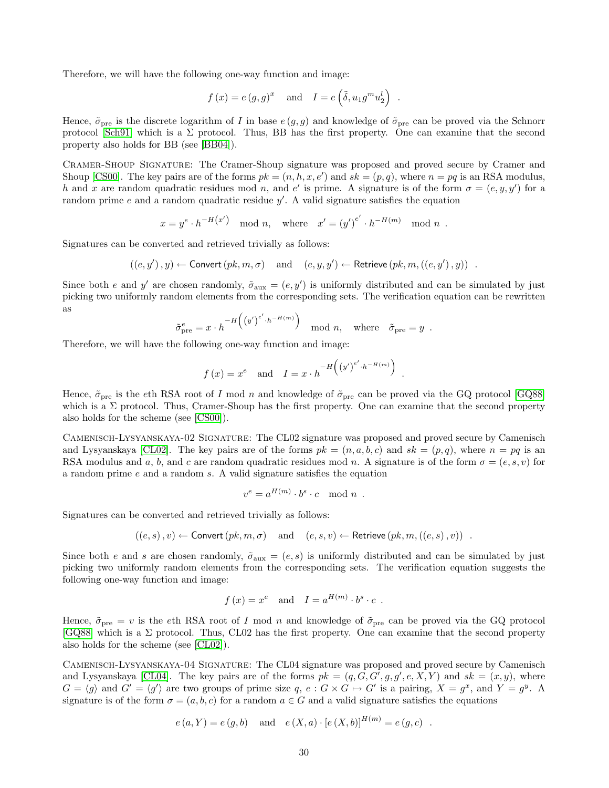<span id="page-29-0"></span>Therefore, we will have the following one-way function and image:

$$
f(x) = e(g, g)^x
$$
 and  $I = e(\tilde{\delta}, u_1 g^m u_2^l)$ .

Hence,  $\tilde{\sigma}_{\text{pre}}$  is the discrete logarithm of I in base  $e(g, g)$  and knowledge of  $\tilde{\sigma}_{\text{pre}}$  can be proved via the Schnorr protocol [\[Sch91\]](#page-18-2) which is a  $\Sigma$  protocol. Thus, BB has the first property. One can examine that the second property also holds for BB (see [\[BB04\]](#page-14-0)).

Cramer-Shoup Signature: The Cramer-Shoup signature was proposed and proved secure by Cramer and Shoup [\[CS00\]](#page-16-1). The key pairs are of the forms  $pk = (n, h, x, e')$  and  $sk = (p, q)$ , where  $n = pq$  is an RSA modulus, h and x are random quadratic residues mod n, and e' is prime. A signature is of the form  $\sigma = (e, y, y')$  for a random prime e and a random quadratic residue  $y'$ . A valid signature satisfies the equation

$$
x = y^e \cdot h^{-H(x')} \mod n, \quad \text{where} \quad x' = (y')^{e'} \cdot h^{-H(m)} \mod n \enspace .
$$

Signatures can be converted and retrieved trivially as follows:

$$
\left( \left( e,y' \right) ,y \right) \leftarrow \text{Convert}\left( pk,m,\sigma \right) \quad \text{and} \quad \left( e,y,y' \right) \leftarrow \text{Retrieve}\left( pk,m,\left( \left( e,y' \right) ,y \right) \right) \enspace .
$$

Since both e and y' are chosen randomly,  $\tilde{\sigma}_{aux} = (e, y')$  is uniformly distributed and can be simulated by just picking two uniformly random elements from the corresponding sets. The verification equation can be rewritten as

$$
\tilde{\sigma}_{\text{pre}}^{e} = x \cdot h^{-H\left(\left(y'\right)^{e'} \cdot h^{-H(m)}\right)} \mod n, \quad \text{where} \quad \tilde{\sigma}_{\text{pre}} = y \enspace .
$$

Therefore, we will have the following one-way function and image:

$$
f(x) = x^e
$$
 and  $I = x \cdot h^{-H((y')^{e'} \cdot h^{-H(m)})}$ .

Hence,  $\tilde{\sigma}_{\text{pre}}$  is the eth RSA root of I mod n and knowledge of  $\tilde{\sigma}_{\text{pre}}$  can be proved via the GQ protocol [\[GQ88\]](#page-16-2) which is a  $\Sigma$  protocol. Thus, Cramer-Shoup has the first property. One can examine that the second property also holds for the scheme (see [\[CS00\]](#page-16-1)).

Camenisch-Lysyanskaya-02 Signature: The CL02 signature was proposed and proved secure by Camenisch and Lysyanskaya [\[CL02\]](#page-15-4). The key pairs are of the forms  $pk = (n, a, b, c)$  and  $sk = (p, q)$ , where  $n = pq$  is an RSA modulus and a, b, and c are random quadratic residues mod n. A signature is of the form  $\sigma = (e, s, v)$  for a random prime e and a random s. A valid signature satisfies the equation

$$
v^e = a^{H(m)} \cdot b^s \cdot c \mod n \enspace .
$$

Signatures can be converted and retrieved trivially as follows:

$$
((e, s), v) \leftarrow
$$
 Convert  $(pk, m, \sigma)$  and  $(e, s, v) \leftarrow$  Retrieved  $(pk, m, ((e, s), v))$ .

Since both e and s are chosen randomly,  $\tilde{\sigma}_{aux} = (e, s)$  is uniformly distributed and can be simulated by just picking two uniformly random elements from the corresponding sets. The verification equation suggests the following one-way function and image:

$$
f(x) = x^e
$$
 and  $I = a^{H(m)} \cdot b^s \cdot c$ .

Hence,  $\tilde{\sigma}_{pre} = v$  is the eth RSA root of I mod n and knowledge of  $\tilde{\sigma}_{pre}$  can be proved via the GQ protocol  $[GQ88]$  which is a  $\Sigma$  protocol. Thus, CL02 has the first property. One can examine that the second property also holds for the scheme (see [\[CL02\]](#page-15-4)).

Camenisch-Lysyanskaya-04 Signature: The CL04 signature was proposed and proved secure by Camenisch and Lysyanskaya [\[CL04\]](#page-15-5). The key pairs are of the forms  $pk = (q, G, G', g, g', e, X, Y)$  and  $sk = (x, y)$ , where  $G = \langle g \rangle$  and  $G' = \langle g' \rangle$  are two groups of prime size  $q, e : G \times G \mapsto G'$  is a pairing,  $X = g^x$ , and  $Y = g^y$ . A signature is of the form  $\sigma = (a, b, c)$  for a random  $a \in G$  and a valid signature satisfies the equations

$$
e(a, Y) = e(g, b)
$$
 and  $e(X, a) \cdot [e(X, b)]^{H(m)} = e(g, c)$ .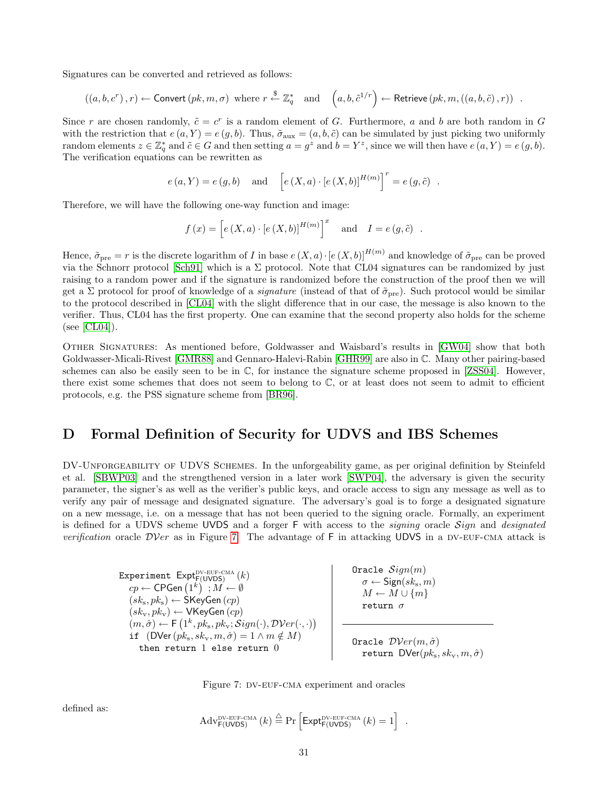<span id="page-30-1"></span>Signatures can be converted and retrieved as follows:

$$
((a, b, c^r), r) \leftarrow \text{Convert}(pk, m, \sigma) \text{ where } r \stackrel{\$}{\leftarrow} \mathbb{Z}_q^* \text{ and } \left(a, b, \tilde{c}^{1/r}\right) \leftarrow \text{Retrieve}(pk, m, ((a, b, \tilde{c}), r)) .
$$

Since r are chosen randomly,  $\tilde{c} = c^r$  is a random element of G. Furthermore, a and b are both random in G with the restriction that  $e(a, Y) = e(g, b)$ . Thus,  $\tilde{\sigma}_{aux} = (a, b, \tilde{c})$  can be simulated by just picking two uniformly random elements  $z \in \mathbb{Z}_q^*$  and  $\tilde{c} \in G$  and then setting  $a = g^z$  and  $b = Y^z$ , since we will then have  $e(a, Y) = e(g, b)$ . The verification equations can be rewritten as

$$
e(a, Y) = e(g, b)
$$
 and  $[e(X, a) \cdot [e(X, b)]^{H(m)}]^{r} = e(g, \tilde{c})$ .

Therefore, we will have the following one-way function and image:

$$
f(x) = [e(X, a) \cdot [e(X, b)]^{H(m)}]^{x}
$$
 and  $I = e(g, \tilde{c})$ .

Hence,  $\tilde{\sigma}_{pre} = r$  is the discrete logarithm of I in base  $e(X, a) \cdot [e(X, b)]^{H(m)}$  and knowledge of  $\tilde{\sigma}_{pre}$  can be proved via the Schnorr protocol [\[Sch91\]](#page-18-2) which is a  $\Sigma$  protocol. Note that CL04 signatures can be randomized by just raising to a random power and if the signature is randomized before the construction of the proof then we will get a Σ protocol for proof of knowledge of a *signature* (instead of that of  $\tilde{\sigma}_{pre}$ ). Such protocol would be similar to the protocol described in [\[CL04\]](#page-15-5) with the slight difference that in our case, the message is also known to the verifier. Thus, CL04 has the first property. One can examine that the second property also holds for the scheme  $(see [CL04]).$  $(see [CL04]).$  $(see [CL04]).$ 

Other Signatures: As mentioned before, Goldwasser and Waisbard's results in [\[GW04\]](#page-16-4) show that both Goldwasser-Micali-Rivest [\[GMR88\]](#page-16-5) and Gennaro-Halevi-Rabin [\[GHR99\]](#page-16-6) are also in C. Many other pairing-based schemes can also be easily seen to be in  $\mathbb{C}$ , for instance the signature scheme proposed in [\[ZSS04\]](#page-18-16). However, there exist some schemes that does not seem to belong to  $\mathbb{C}$ , or at least does not seem to admit to efficient protocols, e.g. the PSS signature scheme from [\[BR96\]](#page-15-2).

## <span id="page-30-0"></span>D Formal Definition of Security for UDVS and IBS Schemes

DV-UNFORGEABILITY OF UDVS SCHEMES. In the unforgeability game, as per original definition by Steinfeld et al. [\[SBWP03\]](#page-18-0) and the strengthened version in a later work [\[SWP04\]](#page-18-1), the adversary is given the security parameter, the signer's as well as the verifier's public keys, and oracle access to sign any message as well as to verify any pair of message and designated signature. The adversary's goal is to forge a designated signature on a new message, i.e. on a message that has not been queried to the signing oracle. Formally, an experiment is defined for a UDVS scheme UVDS and a forger  $F$  with access to the *signing* oracle Sign and designated verification oracle  $\mathcal{D}V$ er as in Figure [7.](#page-30-2) The advantage of F in attacking UDVS in a DV-EUF-CMA attack is

> $\texttt{Experiment}\ \textsf{Expt}_{\mathsf{F}(\textsf{UVDS})}^{\textsf{DV-EUF-CMA}}(k)$  $cp \leftarrow \mathsf{CPGen}\left(1^k\right) \; ; M \leftarrow \emptyset.$  $(s k<sub>s</sub>, p k<sub>s</sub>) \leftarrow$  SKeyGen  $(cp)$  $(s k_{v}, p k_{v}) \leftarrow \mathsf{V}$ KeyGen $\left(\textit{cp}\right)$  $(m, \hat{\sigma}) \leftarrow \mathsf{F}\left(1^k, pk_s, pk_v; Sign(\cdot), \mathcal{D} \mathcal{V}er(\cdot, \cdot)\right)$ if  $(DVer(pk<sub>s</sub>, sk<sub>v</sub>, m, \hat{\sigma}) = 1 \land m \notin M)$ then return  $1$  else return  $0$ Oracle  $Sign(m)$ return  $\sigma$ Oracle  $\mathcal{D} \mathcal{V}$ er $(m, \hat{\sigma})$

 $\sigma \leftarrow \mathsf{Sign}(sk_\mathrm{s},m)$  $M \leftarrow M \cup \{m\}$ 

return  $DVer(pk_s, sk_v, m, \hat{\sigma})$ 

.

<span id="page-30-2"></span>Figure 7: DV-EUF-CMA experiment and oracles

defined as:

$$
Adv_{\mathsf{F(UVDS)}}^{\text{DV-EUF-CMA}}(k) \stackrel{\triangle}{=} \Pr \left[ \text{Expt}_{\mathsf{F(UVDS)}}^{\text{DV-EUF-CMA}}(k) = 1 \right]
$$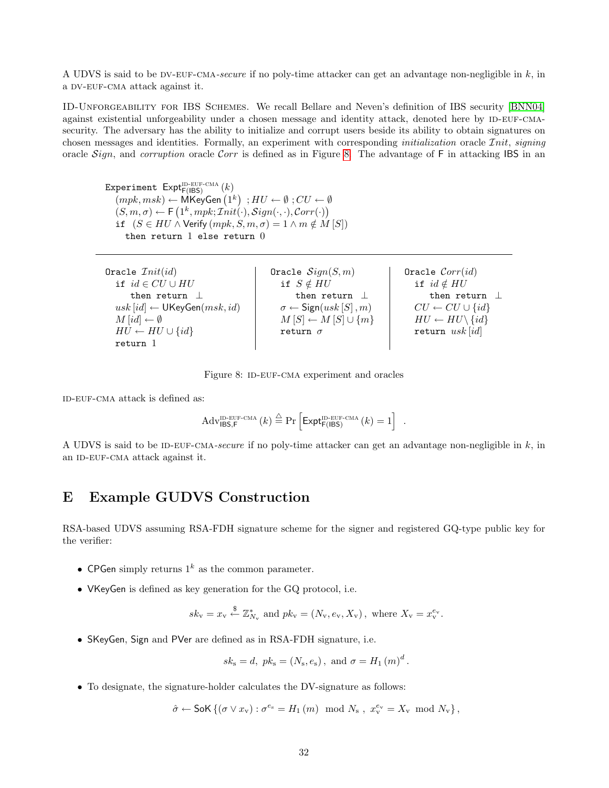<span id="page-31-1"></span>A UDVS is said to be DV-EUF-CMA-secure if no poly-time attacker can get an advantage non-negligible in  $k$ , in a dv-euf-cma attack against it.

ID-Unforgeability for IBS Schemes. We recall Bellare and Neven's definition of IBS security [\[BNN04\]](#page-15-6) against existential unforgeability under a chosen message and identity attack, denoted here by ID-EUF-CMAsecurity. The adversary has the ability to initialize and corrupt users beside its ability to obtain signatures on chosen messages and identities. Formally, an experiment with corresponding *initialization* oracle  $Init$ , signing oracle  $Sign$ , and corruption oracle Corr is defined as in Figure [8.](#page-31-2) The advantage of F in attacking IBS in an

 $\texttt{Experiment}\ \textsf{Expt}^{\text{ID-EUF-CMA}}_{\textsf{F(IBS)}}(k)$  $(mpk,msk) \leftarrow \mathsf{MKeyGen}\left(1^k\right) \ ;HU \leftarrow \emptyset \ ;CU \leftarrow \emptyset$  $(S, m, \sigma) \leftarrow \mathsf{F}\left(1^k, mpk; \mathcal{I}nit(\cdot), \mathcal{S}ign(\cdot, \cdot), \mathcal{C}orr(\cdot)\right)$ if  $(S \in HU \wedge$  Verify  $(mpk, S, m, \sigma) = 1 \wedge m \notin M[S])$ then return 1 else return 0

| Oracle $Init(id)$                               | Oracle $Sign(S, m)$                  | Oracle $Corr(id)$                   |
|-------------------------------------------------|--------------------------------------|-------------------------------------|
| if $id \in CU \cup HU$                          | if $S \notin HU$                     | if $id \notin HU$                   |
| then return $\perp$                             | then return $\perp$                  | then return $\perp$                 |
| $usk[i d] \leftarrow \mathsf{UKeyGen}(msk, id)$ | $\sigma \leftarrow$ Sign(usk [S], m) | $CU \leftarrow CU \cup \{id\}$      |
| $M$ [id] $\leftarrow \emptyset$                 | $M[S] \leftarrow M[S] \cup \{m\}$    | $HU \leftarrow HU \setminus \{id\}$ |
| $HU \leftarrow HU \cup \{id\}$                  | return $\sigma$                      | return $usk[i d]$                   |
| return 1                                        |                                      |                                     |

<span id="page-31-2"></span>Figure 8: ID-EUF-CMA experiment and oracles

ID-EUF-CMA attack is defined as:

$$
\operatorname{Adv}_{\mathsf{IBS},\mathsf{F}}^{\text{ID-EUF-CMA}}\left(k\right)\overset{\triangle}{=}\operatorname{Pr}\left[\mathsf{Expt}_{\mathsf{F(IBS)}}^{\text{ID-EUF-CMA}}\left(k\right)=1\right]\enspace.
$$

A UDVS is said to be ID-EUF-CMA-secure if no poly-time attacker can get an advantage non-negligible in  $k$ , in an ID-EUF-CMA attack against it.

# <span id="page-31-0"></span>E Example GUDVS Construction

RSA-based UDVS assuming RSA-FDH signature scheme for the signer and registered GQ-type public key for the verifier:

- CPGen simply returns  $1^k$  as the common parameter.
- VKeyGen is defined as key generation for the GQ protocol, i.e.

$$
sk_{\mathbf{v}} = x_{\mathbf{v}} \stackrel{\$}{\leftarrow} \mathbb{Z}_{N_{\mathbf{v}}}^{*} \text{ and } pk_{\mathbf{v}} = (N_{\mathbf{v}}, e_{\mathbf{v}}, X_{\mathbf{v}}), \text{ where } X_{\mathbf{v}} = x_{\mathbf{v}}^{e_{\mathbf{v}}}.
$$

• SKeyGen, Sign and PVer are defined as in RSA-FDH signature, i.e.

$$
sk_s = d
$$
,  $pk_s = (N_s, e_s)$ , and  $\sigma = H_1 (m)^d$ .

• To designate, the signature-holder calculates the DV-signature as follows:

 $\hat{\sigma} \leftarrow \mathsf{Sok}\left\{(\sigma \vee x_{v}): \sigma^{e_{s}} = H_{1}(m) \mod N_{s}, \ x_{v}^{e_{v}} = X_{v} \mod N_{v}\right\},$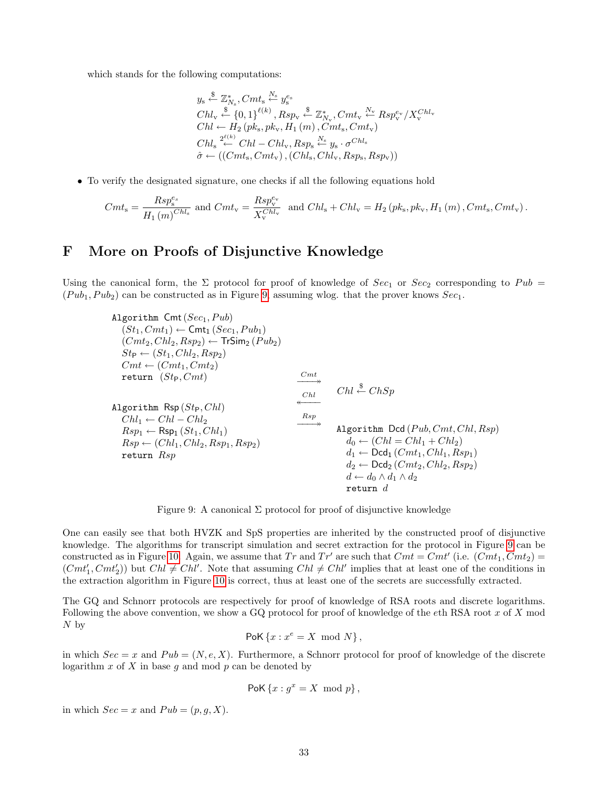which stands for the following computations:

$$
y_{\rm s} \stackrel{\$}{\leftarrow} \mathbb{Z}_{N_{\rm s}}^{*}, Cmt_{\rm s} \stackrel{N_{\rm s}}{\leftarrow} y_{\rm s}^{e_{\rm s}}
$$
  
\n
$$
Chl_{\rm v} \stackrel{\$}{\leftarrow} \{0,1\}^{\ell(k)}, Rsp_{\rm v} \stackrel{\$}{\leftarrow} \mathbb{Z}_{N_{\rm v}}^{*}, Cmt_{\rm v} \stackrel{N_{\rm v}}{\leftarrow} Rsp_{\rm v}^{e_{\rm v}} / X_{\rm v}^{Chl_{\rm v}}
$$
  
\n
$$
Chl_{\rm v} \stackrel{2^{\ell(k)}}{\leftarrow} Chl - Chl_{\rm v}, Rsp_{\rm s} \stackrel{N_{\rm s}}{\leftarrow} y_{\rm s} \cdot \sigma^{Chl_{\rm s}}
$$
  
\n
$$
\hat{\sigma} \leftarrow ((Cmt_{\rm s}, Cmt_{\rm v}), (Chl_{\rm s}, Chl_{\rm v}, Rsp_{\rm s}, Rsp_{\rm v}))
$$

• To verify the designated signature, one checks if all the following equations hold

 $\ddotsc$ 

$$
Cmt_{\rm s} = \frac{Rsp_{\rm s}^{e_s}}{H_1(m)^{Chl_{\rm s}}}\text{ and }Cmt_{\rm v} = \frac{Rsp_{\rm v}^{e_{\rm v}}}{X_{\rm v}^{Chl_{\rm v}}}\text{ and }Chl_{\rm s} + Chl_{\rm v} = H_2\left(pk_{\rm s}, pk_{\rm v}, H_1\left(m\right), Cmt_{\rm s}, Cmt_{\rm v}\right).
$$

### <span id="page-32-0"></span>F More on Proofs of Disjunctive Knowledge

Using the canonical form, the  $\Sigma$  protocol for proof of knowledge of  $Sec_1$  or  $Sec_2$  corresponding to  $Pub =$  $(Pub<sub>1</sub>, Pub<sub>2</sub>)$  can be constructed as in Figure [9,](#page-32-1) assuming wlog. that the prover knows  $Sec<sub>1</sub>$ .

> Algorithm  $Cmt(Sec_1, Pub)$  $(St_1, Cmt_1) \leftarrow \mathsf{Cmt}_1(Sec_1, Pub_1)$  $(Cmt_2, Chl_2, Rsp_2) \leftarrow$  TrSim<sub>2</sub>  $(Pub_2)$  $St_{\mathsf{P}} \leftarrow (St_1, Chl_2, Rsp_2)$  $Cmt \leftarrow (Cmt_1, Cmt_2)$ return  $(St_P, Cmt)$  $\frac{Cmt}{\longrightarrow}$  $\overline{Chl} \stackrel{\$}{\leftarrow} ChSp$ Algorithm  $\textsf{Rsp}(St_P, Chl)$  $Chl_1 \leftarrow Chl - Chl_2$  $Rsp_1 \leftarrow \textsf{Rsp}_1\left(St_1, Chl_1\right)$  $Rsp \leftarrow (Chl_1, Chl_2, Rsp_1, Rsp_2)$ return Rsp Rsp  $\texttt{Algorithm} \ \textsf{Dcd} \left (Pub, Cmt, Chl, Rsp \right )$  $d_0 \leftarrow (Chl = Chl_1 + Chl_2)$  $d_1 \leftarrow \textsf{Dcd}_1 \left( Cmt_1, Chl_1, Rsp_1 \right)$  $d_2 \leftarrow \mathsf{Dcd}_2 \left( Cmt_2, Chl_2, Rsp_2 \right)$  $d \leftarrow d_0 \wedge d_1 \wedge d_2$ return  $d$

> > <span id="page-32-1"></span>Figure 9: A canonical  $\Sigma$  protocol for proof of disjunctive knowledge

One can easily see that both HVZK and SpS properties are inherited by the constructed proof of disjunctive knowledge. The algorithms for transcript simulation and secret extraction for the protocol in Figure [9](#page-32-1) can be constructed as in Figure [10.](#page-33-1) Again, we assume that Tr and Tr' are such that  $Cmt = Cmt'$  (i.e.  $(Cmt_1, Cmt_2)$ )  $(Cmt_1', Cmt_2')$  but  $Chl \neq Chl'$ . Note that assuming  $Chl \neq Chl'$  implies that at least one of the conditions in the extraction algorithm in Figure [10](#page-33-1) is correct, thus at least one of the secrets are successfully extracted.

The GQ and Schnorr protocols are respectively for proof of knowledge of RSA roots and discrete logarithms. Following the above convention, we show a GQ protocol for proof of knowledge of the eth RSA root x of X mod  $N<sub>by</sub>$ 

$$
Pok\left\{x : x^e = X \mod N\right\},\
$$

in which  $Sec = x$  and  $Pub = (N, e, X)$ . Furthermore, a Schnorr protocol for proof of knowledge of the discrete logarithm  $x$  of  $X$  in base  $g$  and mod  $p$  can be denoted by

$$
\mathsf{PoK}\left\{x : g^x = X \mod p\right\},\
$$

in which  $Sec = x$  and  $Pub = (p, g, X)$ .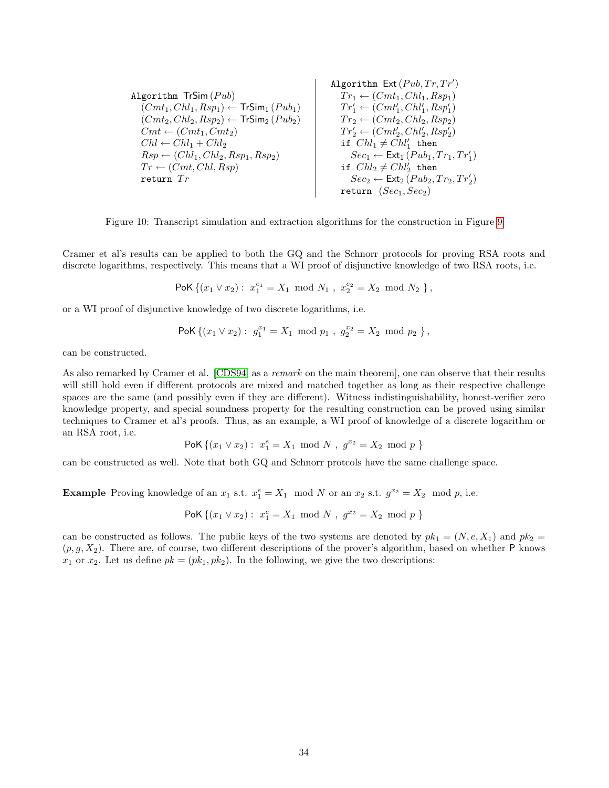<span id="page-33-0"></span>

| Algorithm TrSim $(Pub)$                           | Algorithm Ext $(Pub, Tr, Tr')$               |
|---------------------------------------------------|----------------------------------------------|
| $(Cmt_1, Chl_1, Rsp_1) \leftarrow TrSim_1(Pub_1)$ | $Tr_1 \leftarrow (Cmt_1, Chl_1, Rsp_1)$      |
| $(Cmt_2, Chl_2, Rsp_2) \leftarrow TrSim_2(Pub_2)$ | $Tr'_1 \leftarrow (Cmt'_1, Chl'_1, Rsp'_1)$  |
| $Cmt \leftarrow (Cmt_1, Cmt_2)$                   | $Tr_2 \leftarrow (Cmt_2, Chl_2, Rsp_2)$      |
| $Chl \leftarrow Chl_1 + Chl_2$                    | $Tr'_2 \leftarrow (Cmt'_2, Chl'_2, Rsp'_2)$  |
| $Rsp \leftarrow (Chl_1, Chl_2, Rsp_1, Rsp_2)$     | $Tr'_2 \leftarrow (Cmt'_2, Chl'_2, Rsp'_2)$  |
| $Tr \leftarrow (Cmt, Chl, Rsp)$                   | $Sec_1 \leftarrow Ext_1(Pub_1, Tr_1, Tr'_1)$ |
| $Tr \leftarrow (Cmt, Chl, Rsp)$                   | $Sec_1 \leftarrow Ext_1(Pub_1, Tr_1, Tr'_1)$ |
| $Sec_2 \leftarrow Ext_2(Pub_2, Tr_2, Tr'_2)$      |                                              |
| $Sec_1 \leftarrow Ext_2(Pub_2, Tr_2, Tr'_2)$      |                                              |
| $Sec_1, Sec_2)$                                   | $Sec_1, Sec_2)$                              |

<span id="page-33-1"></span>Figure 10: Transcript simulation and extraction algorithms for the construction in Figure [9](#page-32-1)

Cramer et al's results can be applied to both the GQ and the Schnorr protocols for proving RSA roots and discrete logarithms, respectively. This means that a WI proof of disjunctive knowledge of two RSA roots, i.e.

PoK { $(x_1 \vee x_2): x_1^{e_1} = X_1 \mod N_1$ ,  $x_2^{e_2} = X_2 \mod N_2$  },

or a WI proof of disjunctive knowledge of two discrete logarithms, i.e.

$$
\mathsf{PoK}\left\{ (x_1 \vee x_2) : g_1^{x_1} = X_1 \mod p_1, \ g_2^{x_2} = X_2 \mod p_2 \right\},\
$$

can be constructed.

As also remarked by Cramer et al. [\[CDS94,](#page-15-0) as a remark on the main theorem], one can observe that their results will still hold even if different protocols are mixed and matched together as long as their respective challenge spaces are the same (and possibly even if they are different). Witness indistinguishability, honest-verifier zero knowledge property, and special soundness property for the resulting construction can be proved using similar techniques to Cramer et al's proofs. Thus, as an example, a WI proof of knowledge of a discrete logarithm or an RSA root, i.e.

$$
\mathsf{PoK}\left\{ (x_1 \vee x_2): \ x_1^e = X_1 \ \mathrm{mod} \ N \ , \ g^{x_2} = X_2 \ \mathrm{mod} \ p \ \right\}
$$

can be constructed as well. Note that both GQ and Schnorr protcols have the same challenge space.

**Example** Proving knowledge of an  $x_1$  s.t.  $x_1^e = X_1$  mod N or an  $x_2$  s.t.  $g^{x_2} = X_2$  mod p, i.e.

$$
\mathsf{PoK}\left\{ (x_1 \vee x_2): \ x_1^e = X_1 \, \bmod N \ , \ g^{x_2} = X_2 \, \bmod p \ \right\}
$$

can be constructed as follows. The public keys of the two systems are denoted by  $pk_1 = (N, e, X_1)$  and  $pk_2 =$  $(p, g, X_2)$ . There are, of course, two different descriptions of the prover's algorithm, based on whether P knows  $x_1$  or  $x_2$ . Let us define  $pk = (pk_1, pk_2)$ . In the following, we give the two descriptions: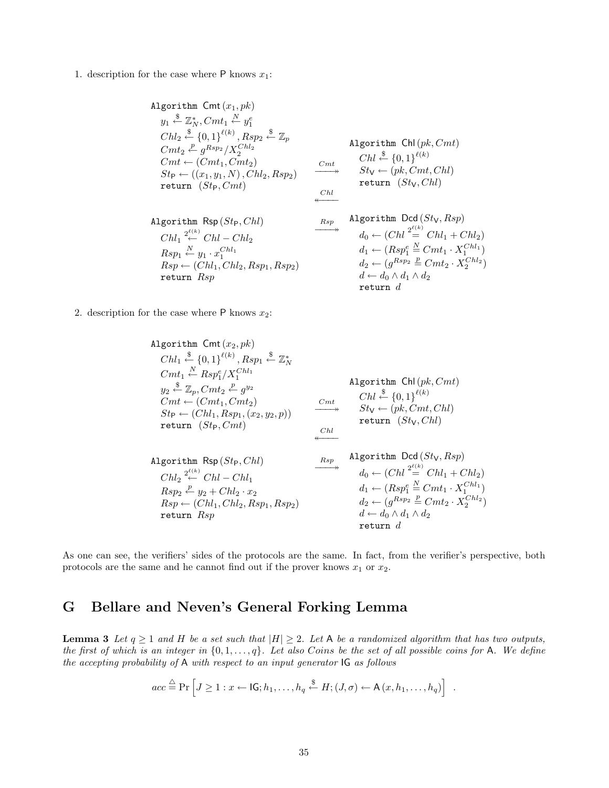1. description for the case where P knows  $x_1$ :

Algorithm  $\mathsf{Cmt}\left(x_1, pk\right)$  $y_1 \overset{\$}{\leftarrow} \mathbb{Z}_N^*, Cmt_1 \overset{N}{\leftarrow} y_1^e$  $Chl_2 \stackrel{\$}{\leftarrow} \{0,1\}^{\ell(k)}$  ,  $Rsp_2 \stackrel{\$}{\leftarrow} \mathbb{Z}_p$  $Cmt_2 \stackrel{p}{\leftarrow} g^{Rsp_2}/X_2^{Ch_2} \ \hbox{\it Cont} \leftarrow (Cmt_1, Cmt_2)$  $St_{\mathsf{P}} \leftarrow ((x_1, y_1, N), Chl_2, Rsp_2)$ return  $(St_P, Cmt)$  $\frac{Cmt}{\longrightarrow}$  $\overset{Chl}{\longleftarrow}$ Algorithm  $Chl(pk, Cmt)$  $Chl \stackrel{\$}{\leftarrow} \{0,1\}^{\ell(k)}$  $St_{\mathsf{V}} \leftarrow (pk, Cmt, Chl)$ return  $(St_V, Chl)$ 

Algorithm  $\textsf{Rsp}(St_{\textsf{P}}, Chl)$  $Chl_1 \stackrel{2^{\ell(k)}}{\leftarrow} Chl - Chl_2$  $Rsp_1 \overset{N}{\leftarrow} y_1 \cdot x_1^{Chl_1}$  $Rsp \leftarrow (Chl_1, Chl_2, Rsp_1, Rsp_2)$ return Rsp

$$
\xrightarrow{Rsp} \begin{array}{c}\n\text{Algorithm } \text{Dcd}(St_V, Rsp) \\
\hline\n\text{A}_0 \leftarrow (Chl \stackrel{2^{\ell(k)}}{=} Chl_1 + Chl_2) \\
d_1 \leftarrow (Rsp_1^e \stackrel{N}{=} Cmt_1 \cdot X_1^{Chl_1}) \\
d_2 \leftarrow (g^{Rsp_2} \stackrel{p}{=} Cmt_2 \cdot X_2^{Chl_2}) \\
d \leftarrow d_0 \wedge d_1 \wedge d_2 \\
 \text{return } d\n\end{array}
$$

2. description for the case where  $P$  knows  $x_2$ :

Algorithm  $\mathsf{Cmt}\left(x_2, pk\right)$  $Chl_1 \overset{\$}{\leftarrow} \{0,1\}^{\ell(k)}, Rsp_1 \overset{\$}{\leftarrow} \mathbb{Z}_N^*$  $Cmt_1 \overset{N}{\leftarrow} Rsp_1^e/X_1^{Chl_1}$  $y_2 \stackrel{\$}{\leftarrow} \mathbb{Z}_p, Cmt_2 \stackrel{p}{\leftarrow} g^{y_2}$  $Cmt \leftarrow (Cmt_1, Cmt_2)$  $St_{\mathsf{P}} \leftarrow (Chl_1, Rsp_1, (x_2, y_2, p))$ return  $(St_P, Cmt)$ Algorithm  $\text{Rsp}(St_P, Chl)$  $Chl_2 \stackrel{2^{\ell(k)}}{\leftarrow} Chl - Chl_1$  $Rsp_2 \stackrel{p}{\leftarrow} y_2 + Chl_2 \cdot x_2$  $Rsp \leftarrow (Chl_1, Chl_2, Rsp_1, Rsp_2)$ return Rsp  $\frac{Cmt}{\longrightarrow}$  $\overset{Chl}{\longleftarrow}$  $\xrightarrow{Rsp}$ Algorithm  $Chl(pk, Cmt)$  $Chl \stackrel{\$}{\leftarrow} \{0,1\}^{\ell(k)}$  $St_{\mathsf{V}} \leftarrow (pk, Cmt, Chl)$ return  $(St_V, Chl)$ Algorithm  $Dcd(St_V, Rsp)$  $d_0 \leftarrow (Chl \stackrel{2^{\ell(k)}}{=} Chl_1 + Chl_2)$  $d_1 \leftarrow (Rsp_1^e \stackrel{N}{=} Cmt_1 \cdot X_1^{Chl_1})$  $d_2 \leftarrow (g^{Rsp_2} \stackrel{p}{=} Cmt_2 \cdot X_2^{Chl_2})$  $d \leftarrow d_0 \wedge d_1 \wedge d_2$ return  $d$ 

As one can see, the verifiers' sides of the protocols are the same. In fact, from the verifier's perspective, both protocols are the same and he cannot find out if the prover knows  $x_1$  or  $x_2$ .

## <span id="page-34-0"></span>G Bellare and Neven's General Forking Lemma

**Lemma 3** Let  $q \ge 1$  and H be a set such that  $|H| \ge 2$ . Let A be a randomized algorithm that has two outputs, the first of which is an integer in  $\{0, 1, \ldots, q\}$ . Let also Coins be the set of all possible coins for A. We define the accepting probability of A with respect to an input generator IG as follows

$$
acc \stackrel{\triangle}{=} \Pr\left[J \ge 1 : x \leftarrow \mathsf{IG}; h_1, \ldots, h_q \stackrel{\$}{\leftarrow} H; (J, \sigma) \leftarrow \mathsf{A}(x, h_1, \ldots, h_q)\right] .
$$